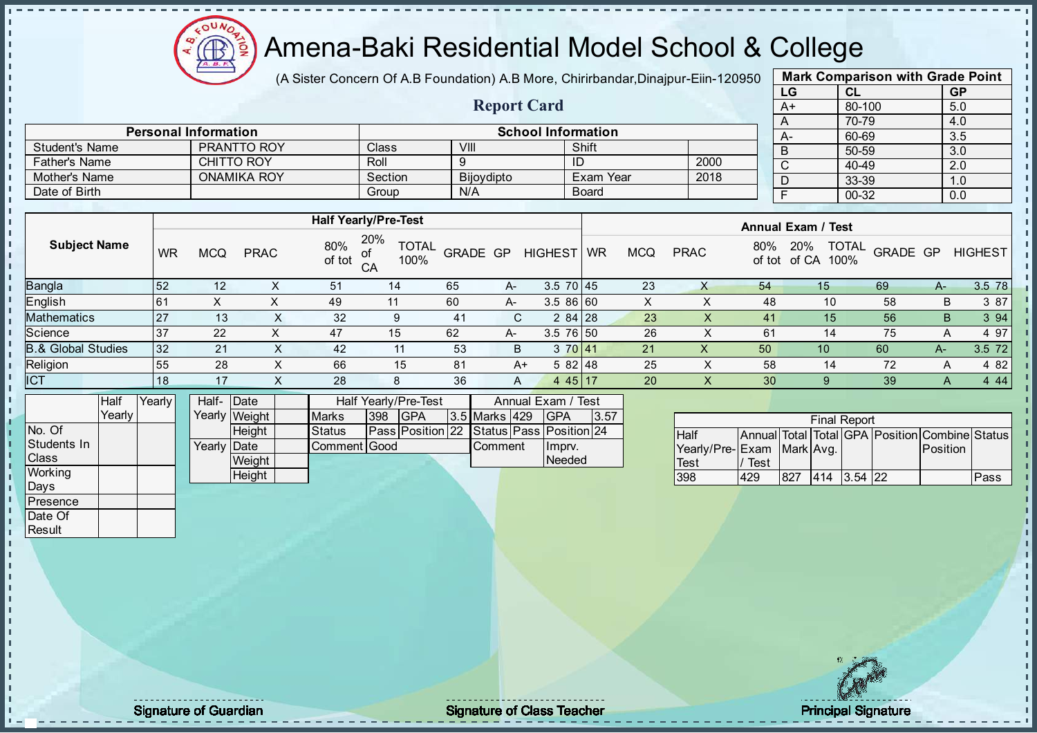

(A Sister Concern Of A.B Foundation) A.B More, Chirirbandar, Dinajpur-Eiin-120950

Report Card

| <b>Mark Comparison with Grade Point</b> |           |  |  |  |  |  |  |  |  |  |
|-----------------------------------------|-----------|--|--|--|--|--|--|--|--|--|
| CL                                      | <b>GP</b> |  |  |  |  |  |  |  |  |  |
| 80-100                                  | 5.0       |  |  |  |  |  |  |  |  |  |
| 70-79                                   | 4.0       |  |  |  |  |  |  |  |  |  |
| 60-69                                   | 3.5       |  |  |  |  |  |  |  |  |  |
| 50-59                                   | 3.0       |  |  |  |  |  |  |  |  |  |
| 40-49                                   | 2.0       |  |  |  |  |  |  |  |  |  |
| 33-39                                   | 1.0       |  |  |  |  |  |  |  |  |  |
| $00 - 32$                               | 0.0       |  |  |  |  |  |  |  |  |  |
|                                         |           |  |  |  |  |  |  |  |  |  |

|                |                             |         |                           |              |      |       | 70-79 |
|----------------|-----------------------------|---------|---------------------------|--------------|------|-------|-------|
|                | <b>Personal Information</b> |         | <b>School Information</b> |              | $A-$ | 60-69 |       |
| Student's Name | PRANTTO ROY                 | Class   | VIII                      | Shift        |      |       | 50-59 |
| Father's Name  | <b>CHITTO ROY</b>           | Roll    |                           | ID           | 2000 |       | 40-49 |
| Mother's Name  | <b>ONAMIKA ROY</b>          | Section | Bijoydipto                | Exam Year    | 2018 |       | 33-39 |
| Date of Birth  |                             | Group   | N/A                       | <b>Board</b> |      |       | 00-32 |
|                |                             |         |                           |              |      |       |       |

|                               |    |            |             |                  | <b>Half Yearly/Pre-Test</b> |          |      |                 | <b>Annual Exam / Test</b> |            |             |     |                             |                                 |    |                |
|-------------------------------|----|------------|-------------|------------------|-----------------------------|----------|------|-----------------|---------------------------|------------|-------------|-----|-----------------------------|---------------------------------|----|----------------|
| <b>Subject Name</b>           | WR | <b>MCQ</b> | <b>PRAC</b> | 80%<br>of tot of | 20%<br><b>TOTAL</b><br>100% | GRADE GP |      | <b>HIGHEST</b>  | <b>WR</b>                 | <b>MCQ</b> | <b>PRAC</b> | 80% | 20%<br>100%<br>of tot of CA | <b>TOTAL</b><br><b>GRADE GP</b> |    | <b>HIGHEST</b> |
| <b>Bangla</b>                 | 52 | 12         |             | 51               | 14                          | 65       | $A-$ | $3.5 \ 70 \ 45$ |                           | 23         |             | 54  | 15                          | 69                              | A- | 3.5 78         |
| English                       | 61 | Χ          |             | 49               | 11                          | 60       | A-   | 3.5 86 60       |                           | $\lambda$  |             | 48  | 10                          | 58                              | В  | 3 87           |
| <b>Mathematics</b>            | 27 | 13         |             | 32               |                             | 41       | C.   | $284$   28      |                           | 23         |             | 41  | 15 <sub>1</sub>             | 56                              | B. | 3 9 4          |
| Science                       | 37 | 22         |             | 47               | 15                          | 62       | $A-$ | 3.5 76 50       |                           | 26         |             | 61  | 14                          | 75                              |    | 4 97           |
| <b>B.&amp; Global Studies</b> | 32 | 21         | ∧           | 42               | 11                          | 53       | B    | 3 70 41         |                           | 21         | х           | 50  | 10                          | 60                              | A- | 3.5 72         |
| Religion                      | 55 | 28         | ∧           | 66               | 15                          | 81       | A+   | 582 48          |                           | 25         | $\sim$      | 58  | 14                          | 72                              |    | 4 8 2          |
| <b>ICT</b>                    | 18 | 17         |             | 28               | 8                           | 36       | A    | 4 45 17         |                           | 20         | $\lambda$   | 30  |                             | 39                              |    | 4 4 4          |
|                               |    |            |             |                  |                             |          |      |                 |                           |            |             |     |                             |                                 |    |                |

|                | Half   | Yearly <i>I</i> | Half- Date          |               |              |     | Half Yearly/Pre-Test                     |                | Annual Exam / Test |      |
|----------------|--------|-----------------|---------------------|---------------|--------------|-----|------------------------------------------|----------------|--------------------|------|
|                | Yearly |                 |                     | Yearly Weight | <b>Marks</b> | 398 | <b>IGPA</b>                              | 3.5 Marks 429  | <b>IGPA</b>        | 3.57 |
| No. Of         |        |                 |                     | <b>Height</b> | Status       |     | Pass Position 22 Status Pass Position 24 |                |                    |      |
| Students In    |        |                 | Yearly <b>IDate</b> |               | Comment Good |     |                                          | <b>Comment</b> | Imprv.             |      |
| <b>Class</b>   |        |                 |                     | Weight        |              |     |                                          |                | Needed             |      |
| <b>Working</b> |        |                 |                     | Height        |              |     |                                          |                |                    |      |

| <b>Final Report</b>       |      |      |             |  |  |                                                |      |  |  |  |  |  |  |
|---------------------------|------|------|-------------|--|--|------------------------------------------------|------|--|--|--|--|--|--|
| <b>Half</b>               |      |      |             |  |  | Annual Total Total GPA Position Combine Status |      |  |  |  |  |  |  |
| Yearly/Pre-Exam Mark Avg. |      |      |             |  |  | <b>Position</b>                                |      |  |  |  |  |  |  |
| Test                      | Test |      |             |  |  |                                                |      |  |  |  |  |  |  |
| 398                       | 429  | 1827 | 414 3.54 22 |  |  |                                                | Pass |  |  |  |  |  |  |

Days **Presence** Date Of **Result** 

J. п  $\frac{1}{1}$  $\mathbf{I}$ 

extending the Class Teacher Class Teacher Class Teacher Principal Signature of Guardian Class Teacher Principal Signature of Class Teacher Principal Signature of Class Teacher Principal Signature of Class Teacher Class Tea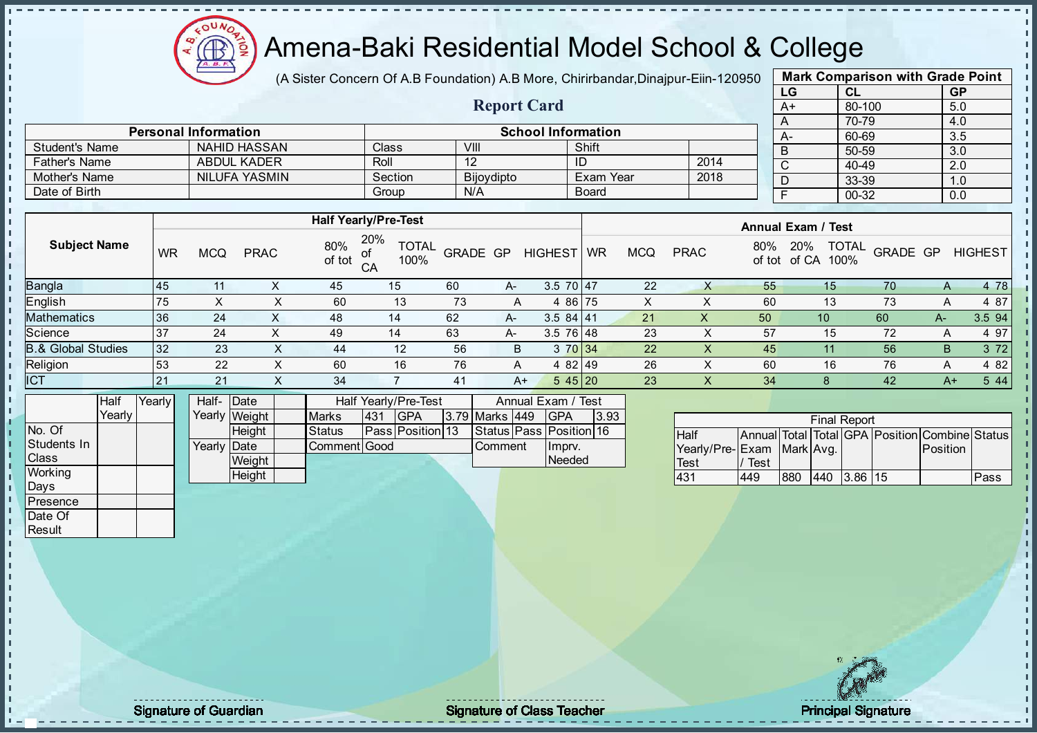

(A Sister Concern Of A.B Foundation) A.B More, Chirirbandar, Dinajpur-Eiin-120950

Report Card

| <b>Mark Comparison with Grade Point</b> |           |           |  |  |  |  |  |  |  |
|-----------------------------------------|-----------|-----------|--|--|--|--|--|--|--|
| LG                                      | <b>CL</b> | <b>GP</b> |  |  |  |  |  |  |  |
| $A+$                                    | 80-100    | 5.0       |  |  |  |  |  |  |  |
| A                                       | 70-79     | 4.0       |  |  |  |  |  |  |  |
| A-                                      | 60-69     | 3.5       |  |  |  |  |  |  |  |
| B                                       | 50-59     | 3.0       |  |  |  |  |  |  |  |
| C                                       | 40-49     | 2.0       |  |  |  |  |  |  |  |
| D                                       | 33-39     | 1.0       |  |  |  |  |  |  |  |
| F                                       | 00-32     | 0.0       |  |  |  |  |  |  |  |

|                      | <b>Personal Information</b> |         | <b>School Information</b> |           |      |  |  |          |  |  |  |  |
|----------------------|-----------------------------|---------|---------------------------|-----------|------|--|--|----------|--|--|--|--|
| Student's Name       | NAHID HASSAN                | Class   | VIII                      | Shift     |      |  |  | 60<br>50 |  |  |  |  |
| <b>Father's Name</b> | ABDUL KADER                 | Roll    |                           |           | 2014 |  |  | 40       |  |  |  |  |
| Mother's Name        | NILUFA YASMIN               | Section | Bijoydipto                | Exam Year | 2018 |  |  | 33       |  |  |  |  |
| Date of Birth        |                             | Group   | N/A                       | Board     |      |  |  | -00      |  |  |  |  |

|                               |     | <b>Half Yearly/Pre-Test</b> |             |               |                                   |          |    |                |           |            | <b>Annual Exam / Test</b> |               |                                      |          |      |                |  |
|-------------------------------|-----|-----------------------------|-------------|---------------|-----------------------------------|----------|----|----------------|-----------|------------|---------------------------|---------------|--------------------------------------|----------|------|----------------|--|
| <b>Subject Name</b>           | WR  | MCQ                         | <b>PRAC</b> | 80%<br>of tot | 20%<br><b>TOTAL</b><br>100%<br>CA | GRADE GP |    | <b>HIGHEST</b> | <b>WR</b> | <b>MCQ</b> | <b>PRAC</b>               | 80%<br>of tot | <b>TOTAL</b><br>20%<br>of CA<br>100% | GRADE GP |      | <b>HIGHEST</b> |  |
| <b>Bangla</b>                 | 145 | 11                          |             | 45            | 15                                | 60       | A- | $3.5$ 70 47    |           | 22         |                           | 55            | 15                                   | 70       | A    | 4 78           |  |
| English                       | 75  |                             |             | 60            | 13                                | 73       | A  | 4 86 75        |           | x          |                           | 60            | 13                                   | 73       |      | 4 87           |  |
| <b>Mathematics</b>            | 36  | 24                          | $\sim$      | 48            | 14                                | 62       | A- | $3.584$ 41     |           | 21         | ∧                         | 50            | 10 <sup>1</sup>                      | 60       | А-   | 3.5 94         |  |
| Science                       | 37  | 24                          |             | 49            | 14                                | 63       | A- | $3.5$ 76 48    |           | 23         |                           | 57            | 15                                   | 72       | A    | 4 97           |  |
| <b>B.&amp; Global Studies</b> | 32  | 23                          | ∧           | 44            | 12                                | 56       | B  | 3 70 34        |           | 22         | X.                        | 45            |                                      | 56       | B    | 3 7 2          |  |
| Religion                      | 53  | 22                          |             | 60            | 16                                | 76       | A  | 4 82 49        |           | 26         |                           | 60            | 16                                   | 76       | A    | 4 82           |  |
| <b>ICT</b>                    | 21  | 21                          | ∧           | 34            |                                   | 41       | A+ | 545 20         |           | 23         | X.                        | 34            |                                      | 42       | $A+$ | 5 4 4          |  |

|                | Half     | Yearly | Half- Date  |               |               |      | Half Yearly/Pre-Test    | Annual Exam / Test |  |                         |      |
|----------------|----------|--------|-------------|---------------|---------------|------|-------------------------|--------------------|--|-------------------------|------|
|                | Yearlv I |        |             | Yearly Weight | <b>Marks</b>  | 1431 | IGPA                    | 3.79 Marks 449     |  | IGPA                    | 3.93 |
| No. Of         |          |        |             | <b>Height</b> | <b>Status</b> |      | <b>Pass Position 13</b> |                    |  | Status Pass Position 16 |      |
| Students In    |          |        | Yearly Date |               | Comment Good  |      |                         | <b>Comment</b>     |  | Imprv.                  |      |
| <b>Class</b>   |          |        |             | Weight        |               |      |                         |                    |  | Needed                  |      |
| <b>Working</b> |          |        |             | Height        |               |      |                         |                    |  |                         |      |

| <b>Final Report</b>       |      |     |     |      |    |                                                |      |  |  |  |  |  |  |
|---------------------------|------|-----|-----|------|----|------------------------------------------------|------|--|--|--|--|--|--|
| <b>Half</b>               |      |     |     |      |    | Annual Total Total GPA Position Combine Status |      |  |  |  |  |  |  |
| Yearly/Pre-Exam Mark Avg. |      |     |     |      |    | Position                                       |      |  |  |  |  |  |  |
| <b>Test</b>               | Test |     |     |      |    |                                                |      |  |  |  |  |  |  |
| 431                       | 449  | 880 | 440 | 3.86 | 15 |                                                | Pass |  |  |  |  |  |  |

Days **Presence** Date Of **Result** 

h J.

 $\begin{bmatrix} 1 \\ 1 \\ 1 \end{bmatrix}$ 

 $\mathbf{I}$ 

extending the Class Teacher Class Teacher Class Teacher Principal Signature of Guardian Class Teacher Principal Signature of Class Teacher Principal Signature of Class Teacher Principal Signature of Class Teacher Class Tea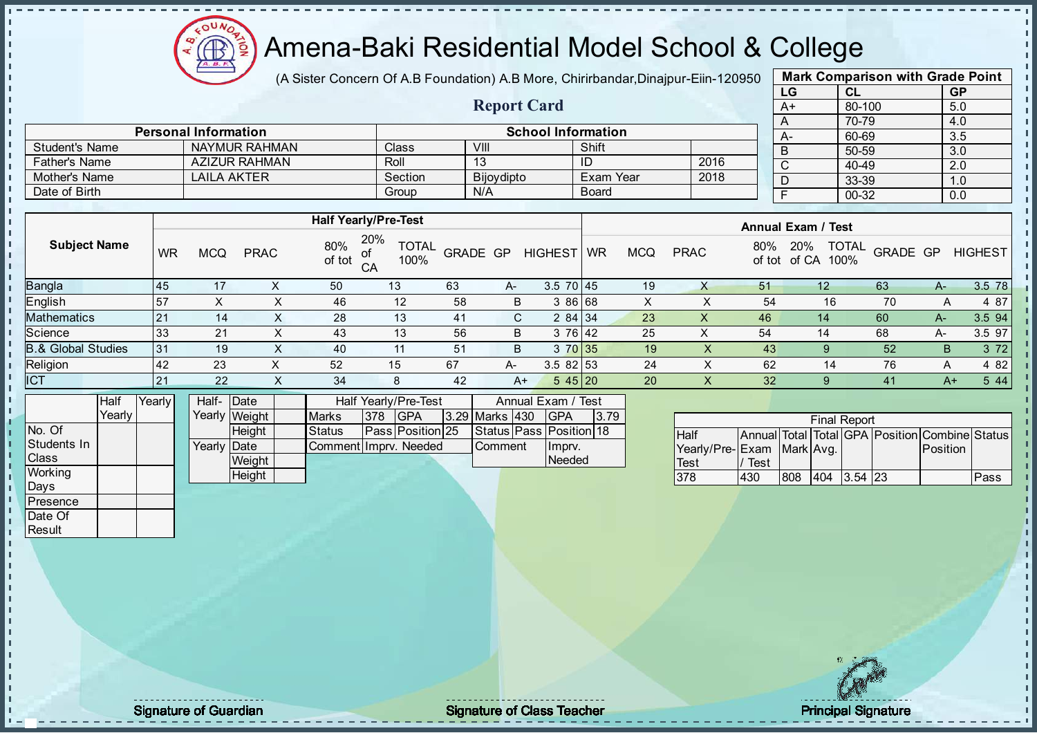

(A Sister Concern Of A.B Foundation) A.B More, Chirirbandar, Dinajpur-Eiin-120950

Report Card

| <b>Mark Comparison with Grade Point</b> |           |  |  |  |  |  |  |  |  |
|-----------------------------------------|-----------|--|--|--|--|--|--|--|--|
| <b>CL</b>                               | <b>GP</b> |  |  |  |  |  |  |  |  |
| 80-100                                  | 5.0       |  |  |  |  |  |  |  |  |
| 70-79                                   | 4.0       |  |  |  |  |  |  |  |  |
| 60-69                                   | 3.5       |  |  |  |  |  |  |  |  |
| 50-59                                   | 3.0       |  |  |  |  |  |  |  |  |
| 40-49                                   | 2.0       |  |  |  |  |  |  |  |  |
| 33-39                                   | 1.0       |  |  |  |  |  |  |  |  |
| $00 - 32$                               | 0.0       |  |  |  |  |  |  |  |  |
|                                         |           |  |  |  |  |  |  |  |  |

|                       | <b>Personal Information</b> |         | <b>School Information</b> |              |      |  |           |  |  |  |  |
|-----------------------|-----------------------------|---------|---------------------------|--------------|------|--|-----------|--|--|--|--|
| <b>Student's Name</b> | NAYMUR RAHMAN               | Class   | VIII                      | Shift        |      |  | $A-$<br>D |  |  |  |  |
| <b>Father's Name</b>  | <b>AZIZUR RAHMAN</b>        | Roll    |                           | ID           | 2016 |  |           |  |  |  |  |
| Mother's Name         | LAILA AKTER                 | Section | <b>Bijoydipto</b>         | Exam Year    | 2018 |  | υ         |  |  |  |  |
| Date of Birth         |                             | Group   | N/A                       | <b>Board</b> |      |  |           |  |  |  |  |

|                     |           |            |             | <b>Half Yearly/Pre-Test</b> |                             |                 |      |                 |           |     |             |               | <b>Annual Exam / Test</b>            |          |       |                |
|---------------------|-----------|------------|-------------|-----------------------------|-----------------------------|-----------------|------|-----------------|-----------|-----|-------------|---------------|--------------------------------------|----------|-------|----------------|
| <b>Subject Name</b> | <b>WR</b> | <b>MCQ</b> | <b>PRAC</b> | 80%<br>οf<br>of tot<br>CA   | 20%<br><b>TOTAL</b><br>100% | <b>GRADE GP</b> |      | <b>HIGHEST</b>  | <b>WR</b> | MCQ | <b>PRAC</b> | 80%<br>of tot | <b>TOTAL</b><br>20%<br>of CA<br>100% | GRADE GP |       | <b>HIGHEST</b> |
| Bangla              | 145       | 17         |             | 50                          | 13                          | 63              | A-   | $3.5 \ 70 \ 45$ |           | 19  | x           | 51            | $12 \,$                              | 63       | $A-$  | 3.5 78         |
| English             | 57        | X          |             | 46                          | 12                          | 58              | B    | 3 86 68         |           | X   |             | 54            | 16                                   | 70       | A     | 4 87           |
| Mathematics         | 121       | 14         | $\sim$      | 28                          | 13                          | 41              | C.   | 284 34          |           | 23  | X           | 46            | 14                                   | 60       | $A -$ | 3.5 94         |
| Science             | 33        | 21         | x           | 43                          | 13                          | 56              | B    | 3 76 42         |           | 25  |             | 54            | 14                                   | 68       | A-    | 3.5 97         |
| 3.& Global Studies  | 31        | 19         | ∧           | 40                          | 11                          | 51              | B    | 3 70 35         |           | 19  | X           | 43            | <sub>9</sub>                         | 52       | B     | 3 7 2          |
| Religion            | <b>42</b> | 23         | X           | 52                          | 15                          | 67              | A-   | $3.582$ 53      |           | 24  | ⌒           | 62            | 14                                   | 76       | Α     | 4 8 2          |
| <b>ICT</b>          | 21        | 22         | v<br>⌒      | 34                          | 8                           | 42              | $A+$ | 545 20          |           | 20  | $\lambda$   | 32            | 9                                    | 41       | A+    | 5 4 4          |
|                     |           |            |             |                             |                             |                 |      |                 |           |     |             |               |                                      |          |       |                |

|                | Half     | Yearlv | Half- Date  |               |                       |     | Half Yearly/Pre-Test     |                       | Annual Exam / Test      |       |
|----------------|----------|--------|-------------|---------------|-----------------------|-----|--------------------------|-----------------------|-------------------------|-------|
|                | Yearlv I |        |             | Yearly Weight | <b>Marks</b>          | 378 | <b>IGPA</b>              | <b>3.29 Marks 430</b> | <b>IGPA</b>             | 13.79 |
| INo. Of        |          |        |             | Heiaht        | <b>Status</b>         |     | <b>IPassIPositionI25</b> |                       | Status Pass Position 18 |       |
| Students In    |          |        | Yearly Date |               | Comment Impry, Needed |     |                          | <b>Comment</b>        | Ilmpry.                 |       |
| <b>Class</b>   |          |        |             | Weight        |                       |     |                          |                       | Needed                  |       |
| <b>Working</b> |          |        |             | Height        |                       |     |                          |                       |                         |       |

|                           |      |     |      | <b>Final Report</b> |                                                |      |
|---------------------------|------|-----|------|---------------------|------------------------------------------------|------|
| <b>Half</b>               |      |     |      |                     | Annual Total Total GPA Position Combine Status |      |
| Yearly/Pre-Exam Mark Avg. |      |     |      |                     | <b>Position</b>                                |      |
| Test                      | Test |     |      |                     |                                                |      |
| 378                       | 430  | 808 | 1404 | $3.54$ 23           |                                                | Pass |

Days **Presence** Date Of **Result** 

л  $\blacksquare$ 

п h J.

 $\begin{bmatrix} 1 \\ 1 \\ 1 \end{bmatrix}$ 

 $\mathbf{I}$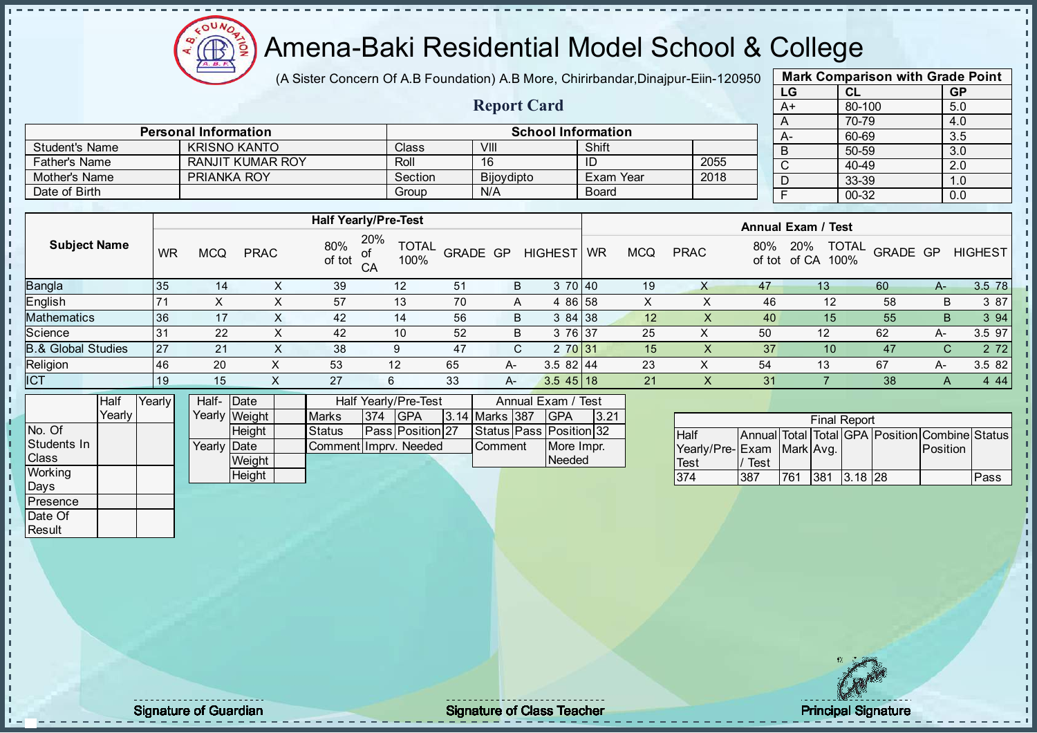Æ

## Amena-Baki Residential Model School & College

(A Sister Concern Of A.B Foundation) A.B More, Chirirbandar, Dinajpur-Eiin-120950

| <b>Mark Comparison with Grade Point</b> |        |           |  |  |  |  |  |  |  |  |  |
|-----------------------------------------|--------|-----------|--|--|--|--|--|--|--|--|--|
| LG                                      | CL     | <b>GP</b> |  |  |  |  |  |  |  |  |  |
| $A+$                                    | 80-100 | 5.0       |  |  |  |  |  |  |  |  |  |
| Α                                       | 70-79  | 4.0       |  |  |  |  |  |  |  |  |  |
| А-                                      | 60-69  | 3.5       |  |  |  |  |  |  |  |  |  |
| B                                       | 50-59  | 3.0       |  |  |  |  |  |  |  |  |  |
| C                                       | 40-49  | 2.0       |  |  |  |  |  |  |  |  |  |
| D                                       | 33-39  | 1.0       |  |  |  |  |  |  |  |  |  |
| F<br>00-32<br>0.0                       |        |           |  |  |  |  |  |  |  |  |  |
|                                         |        |           |  |  |  |  |  |  |  |  |  |

|                      |                             |         | <b>Report Card</b> |                           |      | A+ |
|----------------------|-----------------------------|---------|--------------------|---------------------------|------|----|
|                      |                             |         |                    |                           |      |    |
|                      | <b>Personal Information</b> |         |                    | <b>School Information</b> |      |    |
| Student's Name       | <b>KRISNO KANTO</b>         | Class   | VIII               | Shift                     |      | D. |
| <b>Father's Name</b> | <b>RANJIT KUMAR ROY</b>     | Roll    | 16                 | ID                        | 2055 |    |
| Mother's Name        | <b>PRIANKA ROY</b>          | Section | Bijoydipto         | Exam Year                 | 2018 |    |
| Date of Birth        |                             | Group   | N/A                | <b>Board</b>              |      |    |

|                               |    |            |             |               | <b>Half Yearly/Pre-Test</b>       |          |      |                |           |            |             |               | <b>Annual Exam / Test</b> |                          |    |                |
|-------------------------------|----|------------|-------------|---------------|-----------------------------------|----------|------|----------------|-----------|------------|-------------|---------------|---------------------------|--------------------------|----|----------------|
| <b>Subject Name</b>           | WR | <b>MCQ</b> | <b>PRAC</b> | 80%<br>of tot | 20%<br><b>TOTAL</b><br>100%<br>CA | GRADE GP |      | <b>HIGHEST</b> | <b>WR</b> | <b>MCQ</b> | <b>PRAC</b> | 80%<br>of tot | 20%<br>of CA<br>100%      | <b>TOTAL</b><br>GRADE GP |    | <b>HIGHEST</b> |
| Bangla                        | 35 | 14         | ∧           | 39            | 12                                | 51       | B    | 3 70 40        |           | 19         |             | 47            | 13 <sup>°</sup>           | 60                       | A- | 3.5 78         |
| English                       |    |            | ∧           | 57            | 13                                | 70       | Α    | 4 86 58        |           | X          |             | 46            | 12                        | 58                       | B  | 3 87           |
| <b>Mathematics</b>            | 36 |            | X           | 42            | 14                                | 56       | B    | 384138         |           | 12         |             | 40            | 15                        | 55                       | B  | 3 9 4          |
| Science                       | 31 | 22         | ⋏           | 42            | 10                                | 52       | B    | 3 76 37        |           | 25         | X           | 50            | 12                        | 62                       | A- | 3.5 97         |
| <b>B.&amp; Global Studies</b> | 27 | 21         | X           | 38            | 9                                 | 47       | C.   | 2 70 31        |           | 15         |             | 37            | 10                        | 47                       | C  | 2 7 2          |
| Religion                      | 46 | 20         | ⌒           | 53            | 12                                | 65       | $A-$ | $3.582$   44   |           | 23         | ↗           | 54            | 13                        | 67                       | A- | 3.5 82         |
| <b>ICT</b>                    | 19 | 15         |             | 27            | 6                                 | 33       | $A-$ | $3.545$ 18     |           | 21         | X.          | 31            |                           | 38                       | A  | 4 4 4          |

|                | Half     | Yearly | Half- Date           |               |                       |     | Half Yearly/Pre-Test     |                | Annual Exam / Test      |       |
|----------------|----------|--------|----------------------|---------------|-----------------------|-----|--------------------------|----------------|-------------------------|-------|
|                | Yearlv I |        |                      | Yearly Weight | <b>Marks</b>          | 374 | <b>IGPA</b>              | 3.14 Marks 387 | IGPA                    | 13.21 |
| No. Of         |          |        |                      | <b>Height</b> | <b>Status</b>         |     | <b>IPassIPosition127</b> |                | Status Pass Position 32 |       |
| Students In    |          |        | Yearlv <b>I</b> Date |               | CommentIImprv. Needed |     |                          | <b>Comment</b> | More Impr.              |       |
| <b>Class</b>   |          |        |                      | Weight        |                       |     |                          |                | Needed                  |       |
| <b>Working</b> |          |        |                      | Height        |                       |     |                          |                |                         |       |

|                           |      |     |      | <b>Final Report</b> |                                                |      |
|---------------------------|------|-----|------|---------------------|------------------------------------------------|------|
| <b>Half</b>               |      |     |      |                     | Annual Total Total GPA Position Combine Status |      |
| Yearly/Pre-Exam Mark Avg. |      |     |      |                     | <b>Position</b>                                |      |
| <b>Test</b>               | Test |     |      |                     |                                                |      |
| 374                       | 387  | 761 | 1381 | $-13.18$ $128$      |                                                | Pass |

Days **Presence** Date Of **Result** 

h J. D  $\frac{1}{1}$  $\mathbf{I}$ 

Signature of Guardian **Signature Signature of Class Teacher Principal Signature Principal Signature**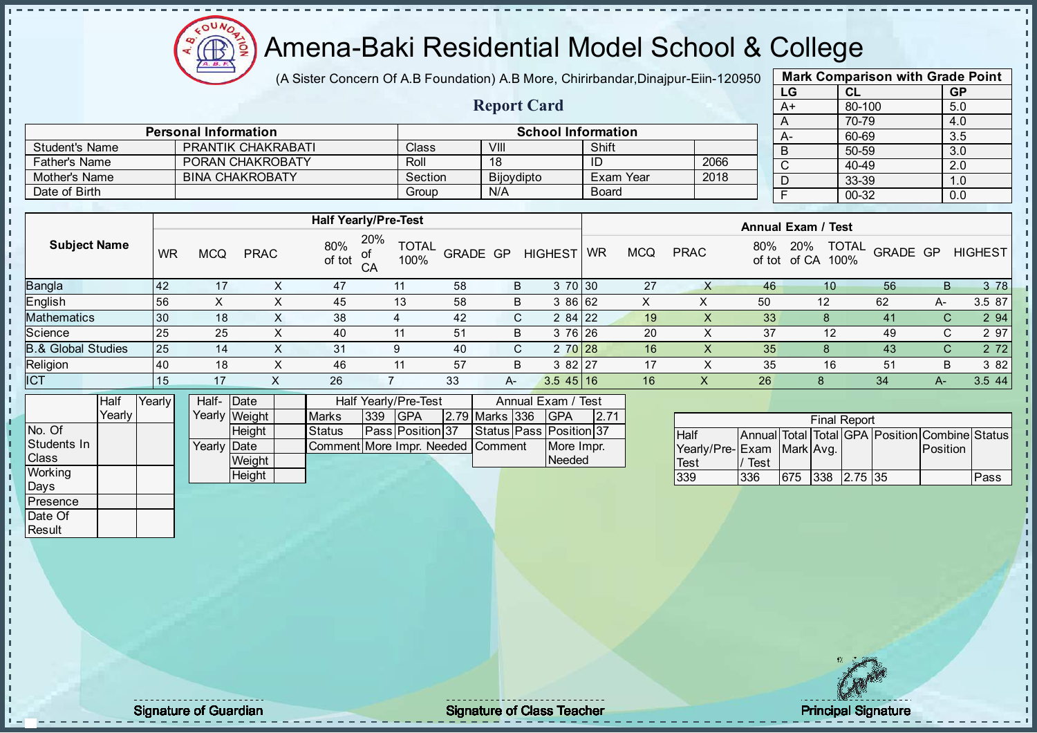

(A Sister Concern Of A.B Foundation) A.B More, Chirirbandar, Dinajpur-Eiin-120950

Report Card

| <b>Mark Comparison with Grade Point</b> |        |           |  |  |  |  |  |  |  |  |  |
|-----------------------------------------|--------|-----------|--|--|--|--|--|--|--|--|--|
| LG                                      | CL     | <b>GP</b> |  |  |  |  |  |  |  |  |  |
| $A+$                                    | 80-100 | 5.0       |  |  |  |  |  |  |  |  |  |
| A                                       | 70-79  | 4.0       |  |  |  |  |  |  |  |  |  |
| А-                                      | 60-69  | 3.5       |  |  |  |  |  |  |  |  |  |
| B                                       | 50-59  | 3.0       |  |  |  |  |  |  |  |  |  |
| C                                       | 40-49  | 2.0       |  |  |  |  |  |  |  |  |  |
| D                                       | 33-39  | 1.0       |  |  |  |  |  |  |  |  |  |
| F<br>00-32<br>0.0                       |        |           |  |  |  |  |  |  |  |  |  |
|                                         |        |           |  |  |  |  |  |  |  |  |  |

|                       |                             |         |                   |                           |      | $\overline{A}$ |
|-----------------------|-----------------------------|---------|-------------------|---------------------------|------|----------------|
|                       | <b>Personal Information</b> |         |                   | <b>School Information</b> |      | $\overline{A}$ |
| <b>Student's Name</b> | <b>PRANTIK CHAKRABATI</b>   | Class   | VIII              | Shift                     |      | $\overline{B}$ |
| <b>Father's Name</b>  | PORAN CHAKROBATY            | Roll    | 18                |                           | 2066 |                |
| Mother's Name         | <b>BINA CHAKROBATY</b>      | Section | <b>Bijoydipto</b> | Exam Year                 | 2018 |                |
| Date of Birth         |                             | Group   | N/A               | <b>Board</b>              |      |                |

|                               |           |            |             |               | <b>Half Yearly/Pre-Test</b>       |                 |    |                     | <b>Annual Exam / Test</b> |            |             |               |                               |          |    |                |
|-------------------------------|-----------|------------|-------------|---------------|-----------------------------------|-----------------|----|---------------------|---------------------------|------------|-------------|---------------|-------------------------------|----------|----|----------------|
| <b>Subject Name</b>           | WR        | <b>MCQ</b> | <b>PRAC</b> | 80%<br>of tot | 20%<br><b>TOTAL</b><br>100%<br>CA | <b>GRADE GP</b> |    | <b>HIGHEST</b>      | <b>WR</b>                 | <b>MCQ</b> | <b>PRAC</b> | 80%<br>of tot | TOTAL<br>20%<br>of CA<br>100% | GRADE GP |    | <b>HIGHEST</b> |
| <b>Bangla</b>                 | <b>42</b> | 17         |             | 47            | 11                                | 58              | B  | 3 70 30             |                           | 27         |             | 46            | 10                            | 56       | B  | 3 78           |
| English                       | 56        |            |             | 45            | 13                                | 58              | B  | 3 86 62             |                           | х          |             | 50            | 12                            | 62       | A- | 3.5 87         |
| <b>Mathematics</b>            | 30        | 18         | ∧           | 38            |                                   | 42              | C. | $284$   22          |                           | 19         | $\lambda$   | 33            |                               | 41       |    | 2 9 4          |
| Science                       | 25        | 25         | x           | 40            |                                   | 51              | B  | 3 76 26             |                           | 20         |             | 37            | 12                            | 49       | C. | 2 97           |
| <b>B.&amp; Global Studies</b> | 25        | 14         | X           | 31            | 9                                 | 40              | C. | 2 70 28             |                           | 16         | X           | 35            |                               | 43       | C. | 2 7 2          |
| Religion                      | 40        | 18         | х           | 46            | 11                                | 57              | B  | $82$ 27<br>3        |                           | 17         |             | 35            | 16                            | 51       | B  | 3 82           |
| <b>ICT</b>                    | 15        | 17         |             | 26            |                                   | 33              | A- | $3.5 \, 45 \,   16$ |                           | 16         |             | 26            | 8                             | 34       | A- | 3.5 44         |

|                | Half     | Yearly | Half-Date   |               |                                   |     | <b>Half Yearly/Pre-Test</b> |                | Annual Exam / Test      |      |
|----------------|----------|--------|-------------|---------------|-----------------------------------|-----|-----------------------------|----------------|-------------------------|------|
|                | Yearlv I |        |             | Yearly Weight | <b>Marks</b>                      | 339 | <b>IGPA</b>                 | 2.79 Marks 336 | <b>IGPA</b>             | 2.71 |
| INo. Of        |          |        |             | <b>Height</b> | <b>Status</b>                     |     | <b>Pass Position 37</b>     |                | Status Pass Position 37 |      |
| Students In    |          |        | Yearly Date |               | Comment More Impr. Needed Comment |     |                             |                | More Impr.              |      |
| <b>Class</b>   |          |        |             | Weight        |                                   |     |                             |                | Needed                  |      |
| <b>Working</b> |          |        |             | Height        |                                   |     |                             |                |                         |      |

| <b>Final Report</b>       |      |     |  |                      |  |                                                |      |  |  |  |
|---------------------------|------|-----|--|----------------------|--|------------------------------------------------|------|--|--|--|
| <b>Half</b>               |      |     |  |                      |  | Annual Total Total GPA Position Combine Status |      |  |  |  |
| Yearly/Pre-Exam Mark Avg. |      |     |  |                      |  | <b>IPosition</b>                               |      |  |  |  |
| <b>Test</b>               | Test |     |  |                      |  |                                                |      |  |  |  |
| 339                       | 336  | 675 |  | $ 338 \t12.75 \t135$ |  |                                                | Pass |  |  |  |

Days **Presence** Date Of **Result** 

h J. D  $\frac{1}{1}$  $\mathbf{I}$ 

Signature of Guardian **Signature Signature of Class Teacher Principal Signature Principal Signature**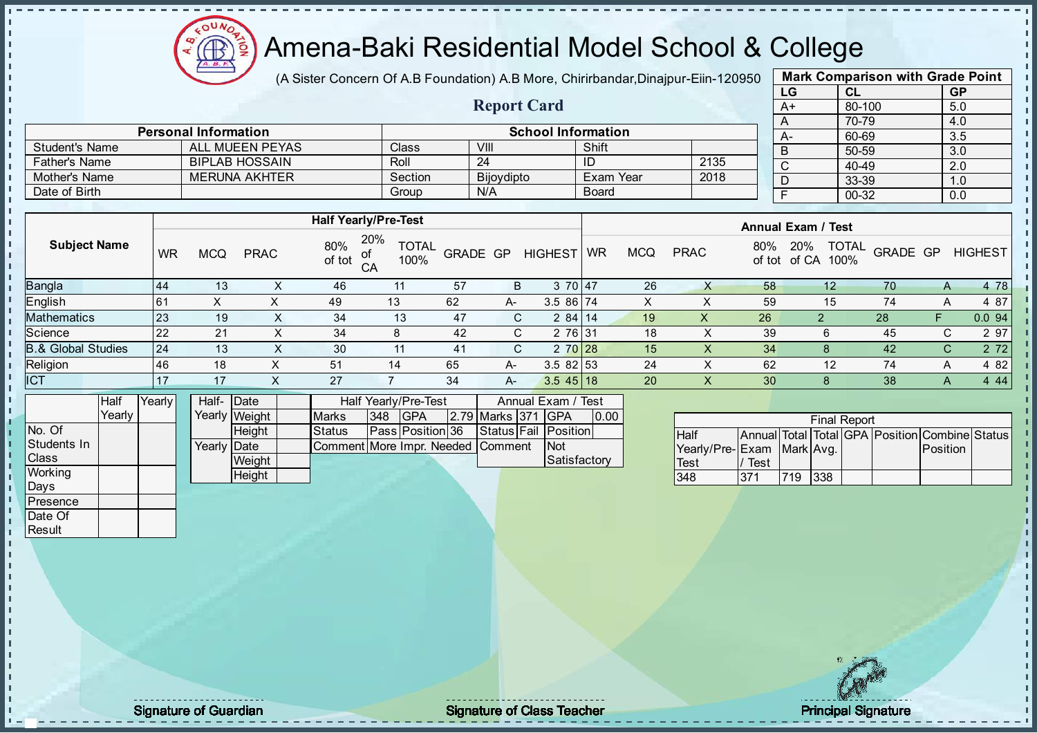

(A Sister Concern Of A.B Foundation) A.B More, Chirirbandar, Dinajpur-Eiin-120950

Report Card

| <b>Mark Comparison with Grade Point</b> |        |           |  |  |  |  |  |  |  |
|-----------------------------------------|--------|-----------|--|--|--|--|--|--|--|
| LG                                      | CL     | <b>GP</b> |  |  |  |  |  |  |  |
| $A+$                                    | 80-100 | 5.0       |  |  |  |  |  |  |  |
| 70-79<br>4.0<br>A                       |        |           |  |  |  |  |  |  |  |
| А-                                      | 60-69  | 3.5       |  |  |  |  |  |  |  |
| B                                       | 50-59  | 3.0       |  |  |  |  |  |  |  |
| C                                       | 40-49  | 2.0       |  |  |  |  |  |  |  |
| D                                       | 33-39  | 1.0       |  |  |  |  |  |  |  |
| F<br>00-32<br>0.0                       |        |           |  |  |  |  |  |  |  |

|                       | <b>Personal Information</b> |              | <b>School Information</b> |              |      |      |  |  |  |  |
|-----------------------|-----------------------------|--------------|---------------------------|--------------|------|------|--|--|--|--|
| <b>Student's Name</b> | ALL MUEEN PEYAS             | <b>Class</b> | VIII                      | Shift        |      | $A-$ |  |  |  |  |
| <b>Father's Name</b>  | <b>BIPLAB HOSSAIN</b>       | Roll         | 24                        | ID           | 2135 |      |  |  |  |  |
| Mother's Name         | <b>MERUNA AKHTER</b>        | Section      | <b>Bijoydipto</b>         | ⊦Exam Year   | 2018 |      |  |  |  |  |
| Date of Birth         |                             | Group        | N/A                       | <b>Board</b> |      |      |  |  |  |  |

|                               |           |            |             |               | <b>Half Yearly/Pre-Test</b>       |          |    |                | <b>Annual Exam / Test</b> |            |             |                 |                                             |          |              |                |
|-------------------------------|-----------|------------|-------------|---------------|-----------------------------------|----------|----|----------------|---------------------------|------------|-------------|-----------------|---------------------------------------------|----------|--------------|----------------|
| <b>Subject Name</b>           | <b>WR</b> | <b>MCQ</b> | <b>PRAC</b> | 80%<br>of tot | 20%<br><b>TOTAL</b><br>100%<br>CA | GRADE GP |    | <b>HIGHEST</b> | <b>WR</b>                 | <b>MCQ</b> | <b>PRAC</b> | 80%             | <b>TOTAL</b><br>20%<br>100%<br>of tot of CA | GRADE GP |              | <b>HIGHEST</b> |
| Bangla                        | 44        | 13         |             | 46            |                                   | 57       | B  | 3 70 47        |                           | 26         |             | 58              | 12                                          | 70       | Α            | 4 78           |
| English                       | 61        |            |             | 49            | 13                                | 62       | A- | 3.5 86 74      |                           | х          |             | 59              | 15                                          | 74       |              | 4 87           |
| <b>Mathematics</b>            | 23        | 19         | $\sim$      | 34            | 13                                | 47       |    | 2 84 14        |                           | 19         | $\sqrt{ }$  | 26              |                                             | 28       |              | 0.094          |
| Science                       | 22        | 21         | ∧           | 34            | 8                                 | 42       | C. | 2 76 31        |                           | 18         |             | 39              | 6                                           | 45       | C.           | 2 97           |
| <b>B.&amp; Global Studies</b> | 24        | 13         | X           | 30            |                                   | 41       | C. | 2 70 28        |                           | 15         |             | 34              | 8                                           | 42       | С            | 2 7 2          |
| Religion                      | 46        | 18         |             | 51            | 14                                | 65       | A- | 3.5 82 53      |                           | 24         | X           | 62              | 12                                          | 74       | A            | 4 8 2          |
| <b>ICT</b>                    |           | 17         |             | 27            |                                   | 34       | A- | $3.545$ 18     |                           | 20         | X           | 30 <sub>l</sub> | 8                                           | 38       | $\mathsf{A}$ | 4 4 4          |
|                               |           |            |             |               |                                   |          |    |                |                           |            |             |                 |                                             |          |              |                |

|                | Half   | Yearly | Half- Date  |               |                                   | Half Yearly/Pre-Test<br>Annual Exam / Test |                         |  |                    |  |                      |      |
|----------------|--------|--------|-------------|---------------|-----------------------------------|--------------------------------------------|-------------------------|--|--------------------|--|----------------------|------|
|                | Yearlv |        |             | Yearly Weight | <b>Marks</b>                      | 348                                        | <b>IGPA</b>             |  | 2.79 Marks 371 GPA |  |                      | 0.00 |
| INo. Of        |        |        |             | <b>Height</b> | <b>Status</b>                     |                                            | <b>Pass Position 36</b> |  |                    |  | Status Fail Position |      |
| Students In    |        |        | Yearly Date |               | Comment More Impr. Needed Comment |                                            |                         |  |                    |  | <b>INot</b>          |      |
| <b>Class</b>   |        |        |             | Weight        |                                   |                                            |                         |  |                    |  | <b>Satisfactory</b>  |      |
| <b>Working</b> |        |        |             | Height        |                                   |                                            |                         |  |                    |  |                      |      |

| <b>Final Report</b>       |      |     |     |  |  |                                                |  |  |  |  |
|---------------------------|------|-----|-----|--|--|------------------------------------------------|--|--|--|--|
| <b>Half</b>               |      |     |     |  |  | Annual Total Total GPA Position Combine Status |  |  |  |  |
| Yearly/Pre-Exam Mark Avg. |      |     |     |  |  | Position                                       |  |  |  |  |
| <b>Test</b>               | Test |     |     |  |  |                                                |  |  |  |  |
| 348                       | 371  | 719 | 338 |  |  |                                                |  |  |  |  |

Days **Presence** Date Of **Result** 

л п  $\frac{1}{1}$  $\mathbf{I}$ 

extending the Class Teacher Class Teacher Class Teacher Principal Signature of Guardian Class Teacher Principal Signature of Class Teacher Principal Signature of Class Teacher Principal Signature of Class Teacher Class Tea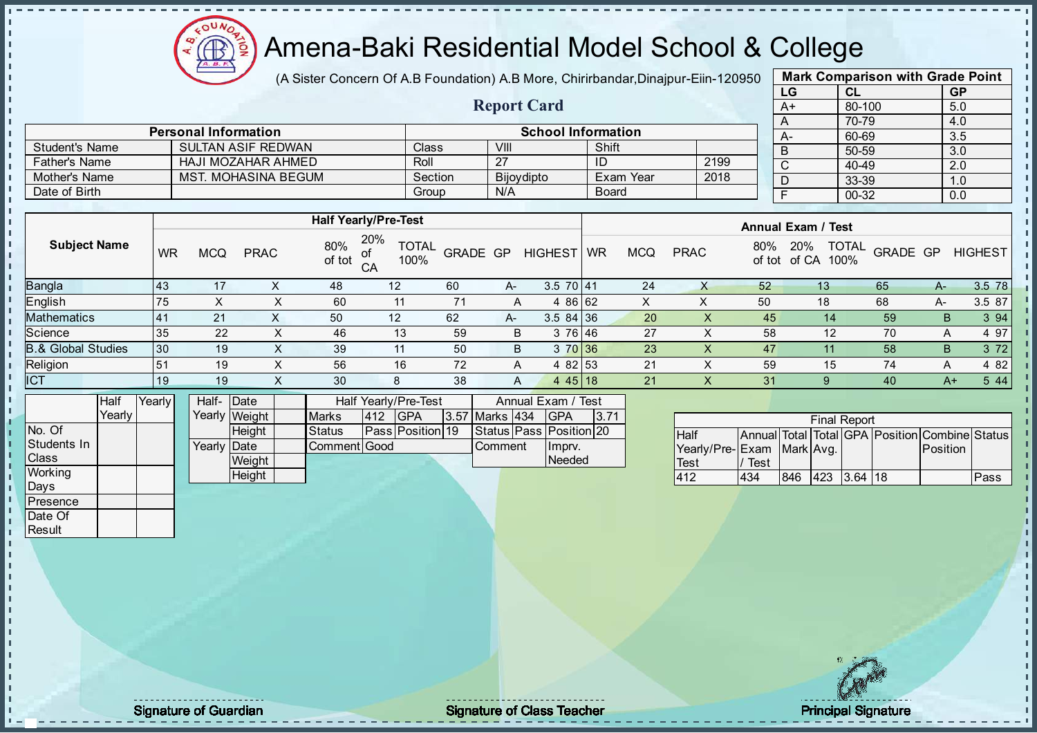

(A Sister Concern Of A.B Foundation) A.B More, Chirirbandar, Dinajpur-Eiin-120950

Report Card

| <b>Mark Comparison with Grade Point</b> |        |           |  |  |  |  |  |  |  |
|-----------------------------------------|--------|-----------|--|--|--|--|--|--|--|
| LG                                      | CL     | <b>GP</b> |  |  |  |  |  |  |  |
| A+                                      | 80-100 | 5.0       |  |  |  |  |  |  |  |
| A                                       | 4.0    |           |  |  |  |  |  |  |  |
| А-                                      | 60-69  | 3.5       |  |  |  |  |  |  |  |
| B                                       | 50-59  | 3.0       |  |  |  |  |  |  |  |
| C                                       | 40-49  | 2.0       |  |  |  |  |  |  |  |
| D                                       | 33-39  | 1.0       |  |  |  |  |  |  |  |
| F<br>00-32<br>0.0                       |        |           |  |  |  |  |  |  |  |
|                                         |        |           |  |  |  |  |  |  |  |

|                      | <b>Personal Information</b> |         | School Information |              |      |  |  |  |
|----------------------|-----------------------------|---------|--------------------|--------------|------|--|--|--|
| Student's Name       | SULTAN ASIF REDWAN          | Class   | VIII               | Shift        |      |  |  |  |
| <b>Father's Name</b> | HAJI MOZAHAR AHMED          | Roll    |                    | ID           | 2199 |  |  |  |
| Mother's Name        | MST. MOHASINA BEGUM         | Section | <b>Bijoydipto</b>  | Exam Year    | 2018 |  |  |  |
| Date of Birth        |                             | Group   | N/A                | <b>Board</b> |      |  |  |  |

|                     |           |            |             |               | <b>Half Yearly/Pre-Test</b>       |                 |    |                | <b>Annual Exam / Test</b> |            |             |               |                                      |          |      |                |
|---------------------|-----------|------------|-------------|---------------|-----------------------------------|-----------------|----|----------------|---------------------------|------------|-------------|---------------|--------------------------------------|----------|------|----------------|
| <b>Subject Name</b> | <b>WR</b> | <b>MCQ</b> | <b>PRAC</b> | 80%<br>of tot | 20%<br><b>TOTAL</b><br>100%<br>CA | <b>GRADE GP</b> |    | <b>HIGHEST</b> | WR                        | <b>MCQ</b> | <b>PRAC</b> | 80%<br>of tot | <b>TOTAL</b><br>20%<br>of CA<br>100% | GRADE GP |      | <b>HIGHEST</b> |
| Bangla              | 143       | 17         |             | 48            | 12                                | 60              | A- | $3.570$   41   |                           | 24         |             | 52            | 13                                   | 65       | A-   | 3.5 78         |
| English             | 75        | х          |             | 60            | 11                                |                 | A  | 4 86 62        |                           | X          |             | 50            | 18                                   | 68       | A-   | 3.5 87         |
| <b>Mathematics</b>  | <b>41</b> | 21         |             | 50            | 12                                | 62              | A- | $3.584$ 36     |                           | 20         |             | 45            | 14                                   | 59       | В    | 3 9 4          |
| Science             | 35        | 22         | х           | 46            | 13                                | 59              | B  | 3 76 46        |                           | 27         |             | 58            | 12                                   | 70       | А    | 4 97           |
| 3.& Global Studies  | 30        | 19         | x           | 39            | 11                                | 50              | B  | 3 70 36        |                           | 23         |             | 47            | 11                                   | 58       | B.   | 3 7 2          |
| Religion            | 51        | 19         | X           | 56            | 16                                | 72              | A  | 4 82 53        |                           | 21         |             | 59            | 15                                   | 74       | А    | 4 8 2          |
| <b>ICT</b>          | 19        | 19         |             | 30            | 8                                 | 38              | A  | 4 4 5 1 1 8    |                           | 21         |             | 31            |                                      | 40       | $A+$ | 5 4 4          |
|                     |           |            |             |               |                                   |                 |    |                |                           |            |             |               |                                      |          |      |                |

|              | Half   | Yearly | Half- Date           |               |              |     | <b>Half Yearly/Pre-Test</b> | Annual Exam / Test |  |                         |      |
|--------------|--------|--------|----------------------|---------------|--------------|-----|-----------------------------|--------------------|--|-------------------------|------|
|              | Yearly |        |                      | Yearly Weight | <b>Marks</b> | 412 | <b>IGPA</b>                 | 3.57 Marks 434     |  | <b>IGPA</b>             | 3.71 |
| INo. Of      |        |        |                      | <b>Height</b> | Status       |     | <b>IPassIPosition19</b>     |                    |  | Status Pass Position 20 |      |
| Students In  |        |        | Yearlv <b>I</b> Date |               | Comment Good |     |                             | <b>Comment</b>     |  | Ilmprv.                 |      |
| <b>Class</b> |        |        |                      | <b>Weight</b> |              |     |                             |                    |  | Needed                  |      |
| Working      |        |        |                      | Height        |              |     |                             |                    |  |                         |      |

| <b>Final Report</b>       |      |     |  |             |  |                                                |      |  |  |  |
|---------------------------|------|-----|--|-------------|--|------------------------------------------------|------|--|--|--|
| <b>Half</b>               |      |     |  |             |  | Annual Total Total GPA Position Combine Status |      |  |  |  |
| Yearly/Pre-Exam Mark Avg. |      |     |  |             |  | <b>IPosition</b>                               |      |  |  |  |
| <b>Test</b>               | Test |     |  |             |  |                                                |      |  |  |  |
| 412                       | 434  | 846 |  | 423 3.64 18 |  |                                                | Pass |  |  |  |

Days Presence Date Of **Result** 

h D  $\frac{1}{1}$  $\mathbf{I}$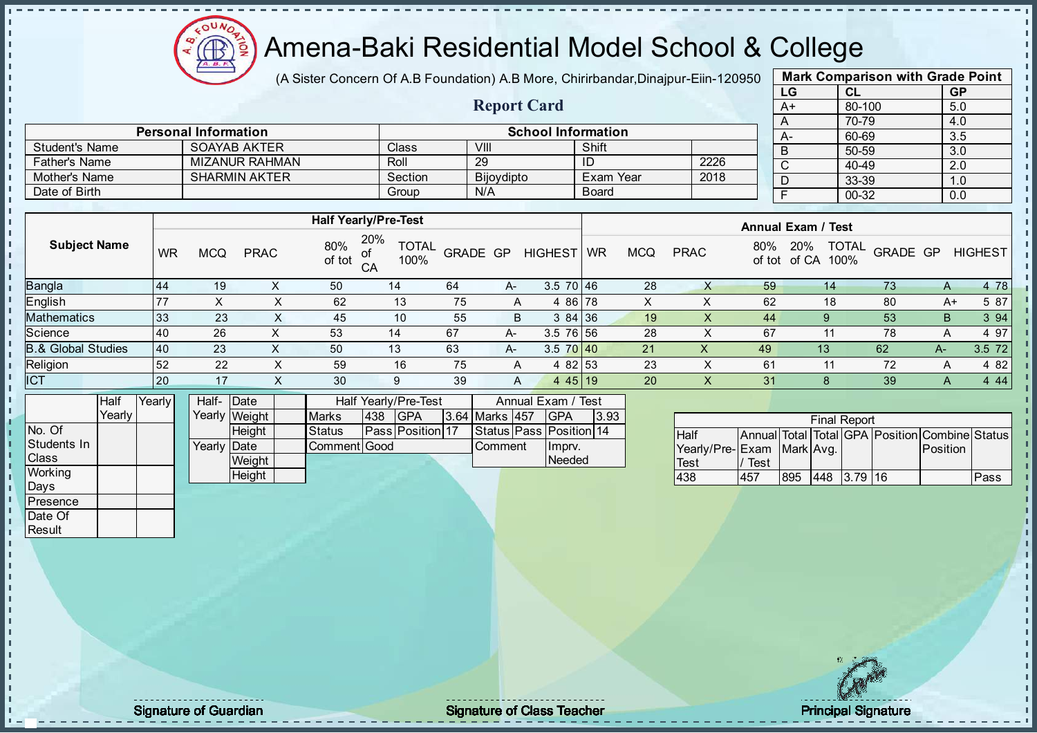

(A Sister Concern Of A.B Foundation) A.B More, Chirirbandar, Dinajpur-Eiin-120950

Report Card

| <b>Mark Comparison with Grade Point</b> |           |  |  |  |  |  |  |  |  |
|-----------------------------------------|-----------|--|--|--|--|--|--|--|--|
| CL                                      | <b>GP</b> |  |  |  |  |  |  |  |  |
| 80-100                                  | 5.0       |  |  |  |  |  |  |  |  |
| 70-79                                   | 4.0       |  |  |  |  |  |  |  |  |
| 60-69                                   | 3.5       |  |  |  |  |  |  |  |  |
| 50-59                                   | 3.0       |  |  |  |  |  |  |  |  |
| 40-49                                   | 2.0       |  |  |  |  |  |  |  |  |
| 33-39                                   | 1.0       |  |  |  |  |  |  |  |  |
| $00 - 32$                               | 0.0       |  |  |  |  |  |  |  |  |
|                                         |           |  |  |  |  |  |  |  |  |

|                      | <b>Personal Information</b> |         |                   | <b>School Information</b> |      | $A-$ |
|----------------------|-----------------------------|---------|-------------------|---------------------------|------|------|
| Student's Name       | SOAYAB AKTER                | Class   | VIII              | Shift                     |      |      |
| <b>Father's Name</b> | <b>MIZANUR RAHMAN</b>       | Roll    | 29                |                           | 2226 |      |
| Mother's Name        | <b>SHARMIN AKTER</b>        | Section | <b>Bijovdipto</b> | Exam Year                 | 2018 |      |
| Date of Birth        |                             | Group   | N/A               | <b>Board</b>              |      |      |

|                               |           |            |             |               | <b>Half Yearly/Pre-Test</b>       |                 |      |                 | <b>Annual Exam / Test</b> |            |             |               |                                      |          |    |                |
|-------------------------------|-----------|------------|-------------|---------------|-----------------------------------|-----------------|------|-----------------|---------------------------|------------|-------------|---------------|--------------------------------------|----------|----|----------------|
| <b>Subject Name</b>           | <b>WR</b> | <b>MCQ</b> | <b>PRAC</b> | 80%<br>of tot | 20%<br><b>TOTAL</b><br>100%<br>CA | <b>GRADE GP</b> |      | <b>HIGHEST</b>  | <b>WR</b>                 | <b>MCQ</b> | <b>PRAC</b> | 80%<br>of tot | <b>TOTAL</b><br>20%<br>of CA<br>100% | GRADE GP |    | <b>HIGHEST</b> |
| <b>Bangla</b>                 | 44        | 19         |             | 50            | 14                                | 64              | $A-$ | $3.5 \ 70 \ 46$ |                           | 28         |             | 59            | 14                                   | 73       | Α  | 4 78           |
| <b>English</b>                | -77       |            |             | 62            | 13                                | 75              | A    | 4 86 78         |                           | X          |             | 62            | 18                                   | 80       | A+ | 5 87           |
| <b>Mathematics</b>            | 33        | 23         |             | 45            | 10                                | 55              | B    | 384 36          |                           | 19         | X           | 44            | 9                                    | 53       | B. | 3 94           |
| Science                       | 40        | 26         | ⌒           | 53            | 14                                | 67              | A-   | $3.5 \ 76 \ 56$ |                           | 28         | ∧           | 67            |                                      | 78       | A  | 4 9 7          |
| <b>B.&amp; Global Studies</b> | 40        | 23         | $\sim$      | 50            | 13                                | 63              | $A-$ | $3.5 \ 70 \ 40$ |                           | 21         | X           | 49            | 13                                   | 62       | A- | 3.5 72         |
| Religion                      | 52        | 22         | х           | 59            | 16                                | 75              | A    | 4 82 53         |                           | 23         | ∧           | 61            |                                      | 72       | A  | 4 82           |
| <b>ICT</b>                    | 20        | 17         |             | 30            |                                   | 39              | A    | 4 4 5 1 9       |                           | 20         | Ā           | 31            |                                      | 39       |    | 4 4 4          |

|                | Half     | Yearly | Half- Date         |               |                     | Half Yearly/Pre-Test    |             |                | Annual Exam / Test      |  |
|----------------|----------|--------|--------------------|---------------|---------------------|-------------------------|-------------|----------------|-------------------------|--|
|                | Yearlv I |        |                    | Yearly Weight | <b>Marks</b><br>438 | 3.64 Marks 457          | <b>IGPA</b> | 3.93           |                         |  |
| INo. Of        |          |        |                    | <b>Height</b> | Status              | <b>Pass Position 17</b> |             |                | Status Pass Position 14 |  |
| Students In    |          |        | Yearly <b>Date</b> |               | Comment Good        |                         |             | <b>Comment</b> | Ilmpry.                 |  |
| <b>Class</b>   |          |        |                    | Weight        |                     |                         |             |                | Needed                  |  |
| <b>Working</b> |          |        |                    | Height        |                     |                         |             |                |                         |  |

|                           |      |     |          | <b>Final Report</b> |    |                                                |      |
|---------------------------|------|-----|----------|---------------------|----|------------------------------------------------|------|
| Half                      |      |     |          |                     |    | Annual Total Total GPA Position Combine Status |      |
| Yearly/Pre-Exam Mark Avg. |      |     |          |                     |    | Position                                       |      |
| <b>Test</b>               | Test |     |          |                     |    |                                                |      |
| 438                       | 457  | 895 | 448 3.79 |                     | 16 |                                                | Pass |

Days Presence Date Of **Result** 

h. h D  $\frac{1}{1}$  $\mathbf{I}$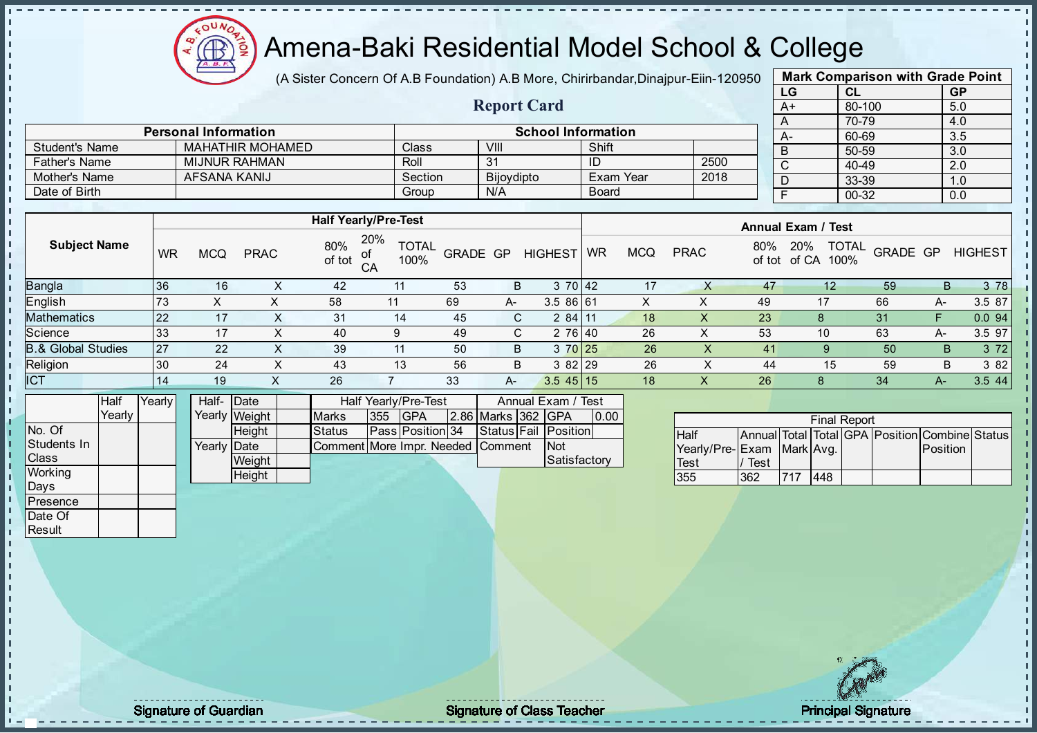

(A Sister Concern Of A.B Foundation) A.B More, Chirirbandar, Dinajpur-Eiin-120950

Report Card

|      | <b>Mark Comparison with Grade Point</b> |           |
|------|-----------------------------------------|-----------|
| LG   | CL                                      | <b>GP</b> |
| $A+$ | 80-100                                  | 5.0       |
| A    | 70-79                                   | 4.0       |
| А-   | 60-69                                   | 3.5       |
| B    | 50-59                                   | 3.0       |
| C    | 40-49                                   | 2.0       |
| D    | 33-39                                   | 1.0       |
| F    | 00-32                                   | 0.0       |
|      |                                         |           |

|                      | <b>Personal Information</b> |         |                   | <b>School Information</b> |      |  | $A-$ |
|----------------------|-----------------------------|---------|-------------------|---------------------------|------|--|------|
| Student's Name       | <b>MAHATHIR MOHAMED</b>     | Class   | VIII              | Shift                     |      |  | B    |
| <b>Father's Name</b> | MIJNUR RAHMAN               | Roll    | 31                | ID                        | 2500 |  | ັ    |
| Mother's Name        | AFSANA KANIJ                | Section | <b>Bijovdipto</b> | Exam Year                 | 2018 |  |      |
| Date of Birth        |                             | Group   | N/A               | <b>Board</b>              |      |  |      |

|                               |           | <b>Half Yearly/Pre-Test</b> |             |               |                                         |          |      |                |           | <b>Annual Exam / Test</b> |             |     |                                             |          |    |                |  |
|-------------------------------|-----------|-----------------------------|-------------|---------------|-----------------------------------------|----------|------|----------------|-----------|---------------------------|-------------|-----|---------------------------------------------|----------|----|----------------|--|
| <b>Subject Name</b>           | <b>WR</b> | <b>MCQ</b>                  | <b>PRAC</b> | 80%<br>of tot | 20%<br><b>TOTAL</b><br>of<br>100%<br>CA | GRADE GP |      | <b>HIGHEST</b> | <b>WR</b> | <b>MCQ</b>                | <b>PRAC</b> | 80% | <b>TOTAL</b><br>20%<br>of tot of CA<br>100% | GRADE GP |    | <b>HIGHEST</b> |  |
| <b>Bangla</b>                 | 36        | 16                          |             | 42            | 11                                      | 53       | B    | 370 42         |           | 17                        |             | 47  |                                             | 59       | B  | 3 78           |  |
| English                       | 73        | ∧                           |             | 58            | 11                                      | 69       | $A-$ | 3.5 86 61      |           |                           |             | 49  | 17                                          | 66       | A- | 3.5 87         |  |
| Mathematics                   | 22        | 17                          |             | 31            | 14                                      | 45       | C.   | 284 11         |           | 18                        | ∧           | 23  | 8                                           | 31       |    | 0.094          |  |
| Science                       | 33        | 17                          |             | 40            | 9                                       | 49       | C.   | 2 76 40        |           | 26                        | ↗           | 53  | 10                                          | 63       | A- | 3.5 97         |  |
| <b>B.&amp; Global Studies</b> | 27        | 22                          | $\sim$      | 39            | 11                                      | 50       | B    | 3 70 25        |           | 26                        | X.          | 41  | 9                                           | 50       | B  | 3 7 2          |  |
| Religion                      | 30        | 24                          |             | 43            | 13                                      | 56       | B    | 3 82 29        |           | 26                        |             | 44  | 15                                          | 59       | B  | 3 8 2          |  |
| <b>ICT</b>                    | 14        | 19                          | $\sim$      | 26            |                                         | 33       | A-   | $3.545$ 15     |           | 18                        | х           | 26  | 8                                           | 34       | А- | 3.5 44         |  |
|                               |           |                             |             |               |                                         |          |      |                |           |                           |             |     |                                             |          |    |                |  |

|                | <b>Half</b> | Yearlv l | Half- Date           |               |                                   |     | Half Yearly/Pre-Test    |  | Annual Exam / Test |                      |      |
|----------------|-------------|----------|----------------------|---------------|-----------------------------------|-----|-------------------------|--|--------------------|----------------------|------|
|                | Yearlv      |          |                      | Yearly Weight | <b>Marks</b>                      | 355 | <b>IGPA</b>             |  | 2.86 Marks 362 GPA |                      | 0.00 |
| INo. Of        |             |          |                      | <b>Height</b> | <b>Status</b>                     |     | <b>Pass Position 34</b> |  |                    | Status Fail Position |      |
| Students In    |             |          | Yearly <b>I</b> Date |               | Comment More Impr. Needed Comment |     |                         |  |                    | <b>INot</b>          |      |
| <b>Class</b>   |             |          |                      | Weight        |                                   |     |                         |  |                    | <b>Satisfactory</b>  |      |
| <b>Working</b> |             |          |                      | Height        |                                   |     |                         |  |                    |                      |      |

|                              |      |     |     | <b>Final Report</b> |                                                |  |
|------------------------------|------|-----|-----|---------------------|------------------------------------------------|--|
| <b>Half</b>                  |      |     |     |                     | Annual Total Total GPA Position Combine Status |  |
| Yearly/Pre- Exam   Mark Avg. |      |     |     |                     | Position                                       |  |
| <b>Test</b>                  | Test |     |     |                     |                                                |  |
| 355                          | 362  | 717 | 448 |                     |                                                |  |

Days Presence Date Of **Result** 

h J. D  $\frac{1}{1}$  $\mathbf{I}$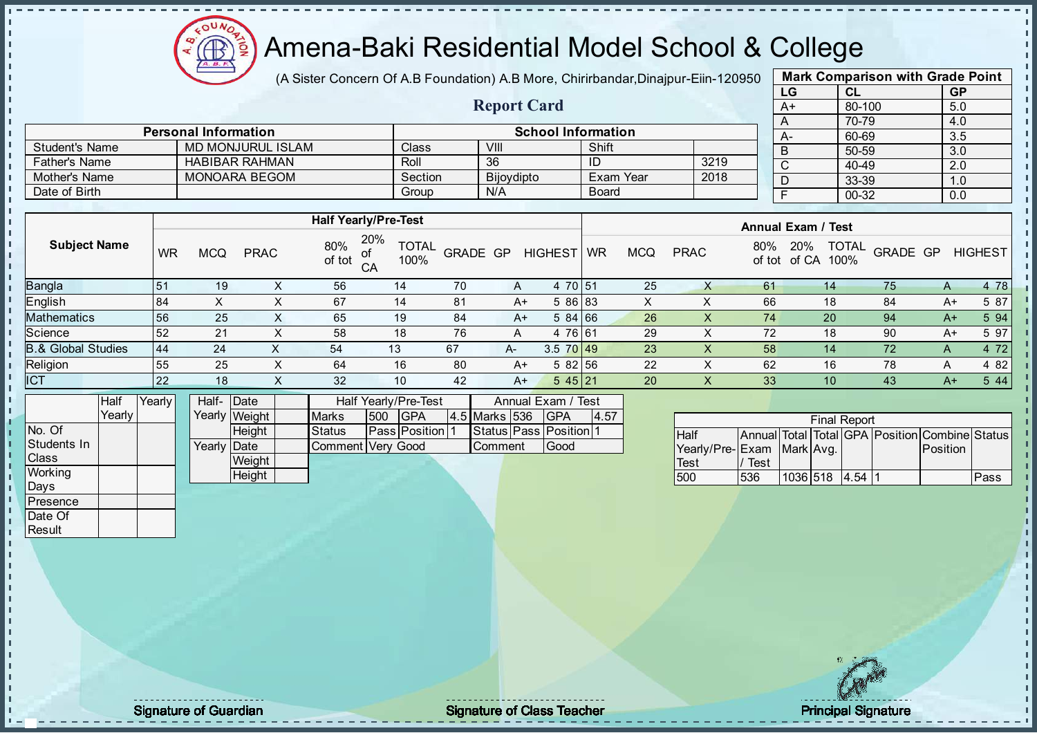

(A Sister Concern Of A.B Foundation) A.B More, Chirirbandar, Dinajpur-Eiin-120950

Report Card

|      | <b>Mark Comparison with Grade Point</b> |           |
|------|-----------------------------------------|-----------|
| LG   | CL                                      | <b>GP</b> |
| $A+$ | 80-100                                  | 5.0       |
| A    | 70-79                                   | 4.0       |
| А-   | 60-69                                   | 3.5       |
| B    | 50-59                                   | 3.0       |
| C    | 40-49                                   | 2.0       |
| D    | 33-39                                   | 1.0       |
| F    | 00-32                                   | 0.0       |
|      |                                         |           |

|                       | <b>Personal Information</b> |         |            | <b>School Information</b> |      |  | $A-$ |
|-----------------------|-----------------------------|---------|------------|---------------------------|------|--|------|
| <b>Student's Name</b> | <b>MD MONJURUL ISLAM</b>    | Class   | VIII       | Shift                     |      |  | B    |
| <b>Father's Name</b>  | <b>HABIBAR RAHMAN</b>       | Roll    | 36         | ID                        | 3219 |  |      |
| Mother's Name         | MONOARA BEGOM               | Section | Bijoydipto | Exam Year                 | 2018 |  |      |
| Date of Birth         |                             | Group   | N/A        | <b>Board</b>              |      |  |      |

|                               |           |            |             |               | <b>Half Yearly/Pre-Test</b>              |          |      |                |           |            |             |               | <b>Annual Exam / Test</b>            |          |      |                |
|-------------------------------|-----------|------------|-------------|---------------|------------------------------------------|----------|------|----------------|-----------|------------|-------------|---------------|--------------------------------------|----------|------|----------------|
| <b>Subject Name</b>           | <b>WR</b> | <b>MCQ</b> | <b>PRAC</b> | 80%<br>of tot | 20%<br><b>TOTAL</b><br>100%<br>$C\Delta$ | GRADE GP |      | <b>HIGHEST</b> | <b>WR</b> | <b>MCQ</b> | <b>PRAC</b> | 80%<br>of tot | <b>TOTAL</b><br>20%<br>100%<br>of CA | GRADE GP |      | <b>HIGHEST</b> |
| <b>Bangla</b>                 | 51        | 19         |             | 56            | 14                                       | 70       | A    | 4 70 51        |           | 25         |             | 61            | 14                                   | 75       | A    | 4 78           |
| <b>English</b>                | 84        |            |             | 67            | 14                                       | 81       | A+   | 5 86 83        |           | X          |             | 66            | 18                                   | 84       | A+   | 5 87           |
| <b>Mathematics</b>            | 56        | 25         |             | 65            | 19                                       | 84       | $A+$ | 584 66         |           | 26         |             | 74            | 20                                   | 94       | $A+$ | 5 94           |
| Science                       | 52        | 21         |             | 58            | 18                                       | 76       | A    | 4 76 61        |           | 29         |             | 72            | 18                                   | 90       | $A+$ | 5 97           |
| <b>B.&amp; Global Studies</b> | 44        | 24         |             | 54            | 13                                       | 67       | $A-$ | $3.5$ 70 49    |           | 23         |             | 58            | 14                                   | 72       | A    | 4 7 2          |
| Religion                      | 55        | 25         |             | 64            | 16                                       | 80       | A+   | 582 56         |           | 22         |             | 62            | 16                                   | 78       | A    | 4 8 2          |
| <b>ICT</b>                    | 22        | 18         |             | 32            | 10                                       | 42       | $A+$ | 545 21         |           | 20         |             | 33            | 10                                   | 43       | $A+$ | 5 4 4          |
|                               |           |            |             |               |                                          |          |      |                |           |            |             |               |                                      |          |      |                |

|              | Half     | Yearly | Half-       | <b>IDate</b>  |                   | Half Yearly/Pre-Test | Annual Exam / Test   |               |  |                              |      |
|--------------|----------|--------|-------------|---------------|-------------------|----------------------|----------------------|---------------|--|------------------------------|------|
|              | Yearlv I |        |             | Yearly Weight | <b>Marks</b>      | 500                  | <b>IGPA</b>          | 4.5 Marks 536 |  | <b>IGPA</b>                  | 4.57 |
| No. Of       |          |        |             | <b>Height</b> | <b>Status</b>     |                      | <b>Pass Position</b> |               |  | Status   Pass   Position   1 |      |
| Students In  |          |        | Yearly Date |               | Comment Very Good |                      |                      | Comment       |  | Good                         |      |
| <b>Class</b> |          |        |             | Weight        |                   |                      |                      |               |  |                              |      |
| Working      |          |        |             | Height        |                   |                      |                      |               |  |                              |      |
| Days         |          |        |             |               |                   |                      |                      |               |  |                              |      |

|                           |      |                 | <b>Final Report</b> |                                                |      |
|---------------------------|------|-----------------|---------------------|------------------------------------------------|------|
| <b>Half</b>               |      |                 |                     | Annual Total Total GPA Position Combine Status |      |
| Yearly/Pre-Exam Mark Avg. |      |                 |                     | <b>Position</b>                                |      |
| <b>Test</b>               | Test |                 |                     |                                                |      |
| 500                       | 536  | 1036 518 4.54 1 |                     |                                                | Pass |

**Presence** Date Of **Result** 

J. J. П İ  $\mathbf{I}$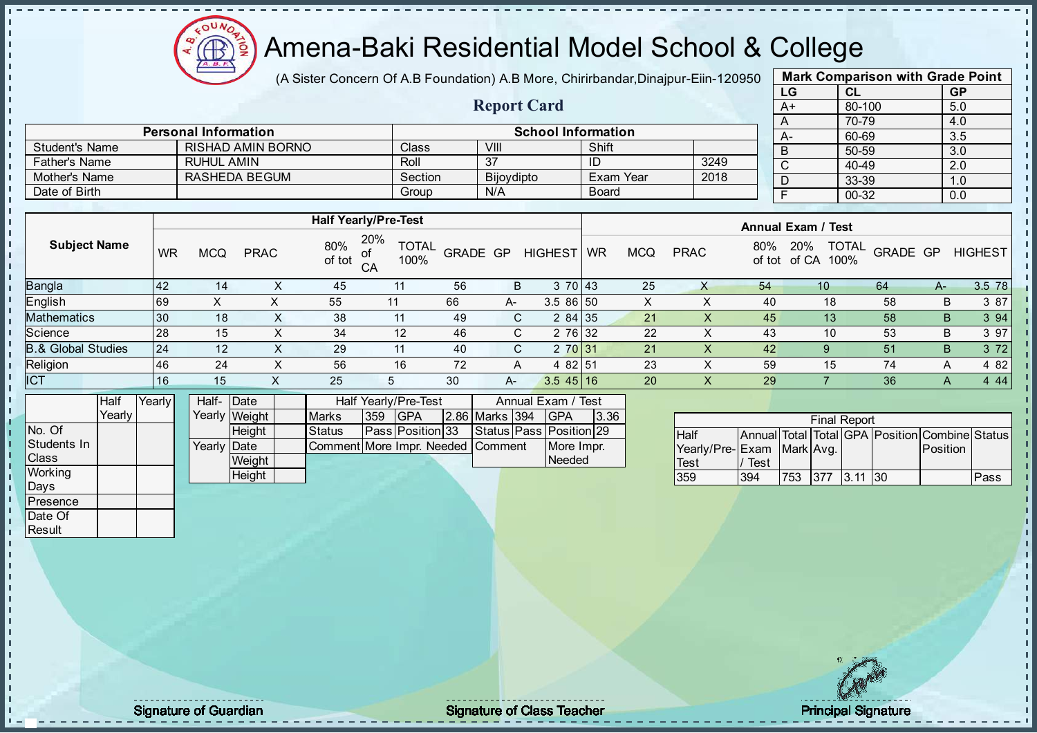

(A Sister Concern Of A.B Foundation) A.B More, Chirirbandar, Dinajpur-Eiin-120950

Report Card

| <b>Mark Comparison with Grade Point</b><br>LG |           |  |  |  |  |  |  |  |  |  |
|-----------------------------------------------|-----------|--|--|--|--|--|--|--|--|--|
| CL                                            | <b>GP</b> |  |  |  |  |  |  |  |  |  |
| 80-100                                        | 5.0       |  |  |  |  |  |  |  |  |  |
| 70-79                                         | 4.0       |  |  |  |  |  |  |  |  |  |
| 60-69                                         | 3.5       |  |  |  |  |  |  |  |  |  |
| 50-59                                         | 3.0       |  |  |  |  |  |  |  |  |  |
| 40-49                                         | 2.0       |  |  |  |  |  |  |  |  |  |
| 33-39                                         | 1.0       |  |  |  |  |  |  |  |  |  |
| $00 - 32$                                     | 0.0       |  |  |  |  |  |  |  |  |  |
|                                               |           |  |  |  |  |  |  |  |  |  |

|                       | <b>Personal Information</b> |         | <b>School Information</b> |                  |      | $A-$ |
|-----------------------|-----------------------------|---------|---------------------------|------------------|------|------|
| <b>Student's Name</b> | <b>RISHAD AMIN BORNO</b>    | Class   | VIII                      | Shift            |      |      |
| <b>Father's Name</b>  | RUHUL AMIN                  | Roll    | ລ                         | ΙD               | 3249 |      |
| Mother's Name         | RASHEDA BEGUM               | Section | Bijoydipto                | <b>Exam Year</b> | 2018 |      |
| Date of Birth         |                             | Group   | N/A                       | <b>Board</b>     |      |      |

|                               |           |            |             |               | <b>Half Yearly/Pre-Test</b>       |                 |      |                     | <b>Annual Exam / Test</b> |            |             |               |                                      |          |              |                |
|-------------------------------|-----------|------------|-------------|---------------|-----------------------------------|-----------------|------|---------------------|---------------------------|------------|-------------|---------------|--------------------------------------|----------|--------------|----------------|
| <b>Subject Name</b>           | <b>WR</b> | <b>MCQ</b> | <b>PRAC</b> | 80%<br>of tot | 20%<br><b>TOTAL</b><br>100%<br>CA | <b>GRADE GP</b> |      | <b>HIGHEST</b>      | <b>WR</b>                 | <b>MCQ</b> | <b>PRAC</b> | 80%<br>of tot | <b>TOTAL</b><br>20%<br>100%<br>of CA | GRADE GP |              | <b>HIGHEST</b> |
| Bangla                        | 42        | 14         | ∧           | 45            | 11                                | 56              | B    | 3 70 43             |                           | 25         | X           | 54            | 10                                   | 64       | A-           | 3.5 78         |
| English                       | 69        |            |             | 55            | 11                                | 66              | $A-$ | $3.586$ 50          |                           | X          | ∧           | 40            | 18                                   | 58       | B            | 3 87           |
| <b>Mathematics</b>            | 30        | 18         | X           | 38            | 11                                | 49              | C.   | 284 35              |                           | 21         |             | 45            | 13                                   | 58       | B            | 3 9 4          |
| Science                       | 28        | 15         | X           | 34            | 12                                | 46              | C.   | 2 76 32             |                           | 22         |             | 43            | 10                                   | 53       | B            | 3 97           |
| <b>B.&amp; Global Studies</b> | 24        | 12         | X           | 29            | 11                                | 40              | C.   | 2 70 31             |                           | 21         |             | 42            | 9                                    | 51       | B            | 3 7 2          |
| Religion                      | 46        | 24         | ⋏           | 56            | 16                                | 72              | Α    | 4 82 51             |                           | 23         |             | 59            | 15                                   | 74       | Α            | 4 8 2          |
| <b>ICT</b>                    | 16        | 15         |             | 25            |                                   | 30              | A-   | $3.5 \, 45 \,   16$ |                           | 20         | Y.          | 29            |                                      | 36       | $\mathsf{A}$ | 4 4 4          |

|                | Half     | Yearly | Half- Date           |               |                                   |      | <b>Half Yearly/Pre-Test</b> |                | Annual Exam / Test      |      |
|----------------|----------|--------|----------------------|---------------|-----------------------------------|------|-----------------------------|----------------|-------------------------|------|
|                | Yearlv I |        |                      | Yearly Weight | <b>Marks</b>                      | 1359 | <b>IGPA</b>                 | 2.86 Marks 394 | <b>IGPA</b>             | 3.36 |
| No. Of         |          |        |                      | <b>Height</b> | <b>Status</b>                     |      | <b>Pass Position 33</b>     |                | Status Pass Position 29 |      |
| Students In    |          |        | Yearlv <b>I</b> Date |               | Comment More Impr. Needed Comment |      |                             |                | More Impr.              |      |
| <b>Class</b>   |          |        |                      | Weight        |                                   |      |                             |                | Needed                  |      |
| <b>Working</b> |          |        |                      | Height        |                                   |      |                             |                |                         |      |

|                              |      |     | <b>Final Report</b> |                                                |      |
|------------------------------|------|-----|---------------------|------------------------------------------------|------|
| <b>Half</b>                  |      |     |                     | Annual Total Total GPA Position Combine Status |      |
| Yearly/Pre- Exam   Mark Avg. |      |     |                     | Position                                       |      |
| <b>Test</b>                  | Test |     |                     |                                                |      |
| 359                          | 394  | 753 | $ 377 $ $ 3.11 30$  |                                                | Pass |

Days **Presence** Date Of **Result** 

п h J. L.  $\frac{1}{1}$  $\mathbf{I}$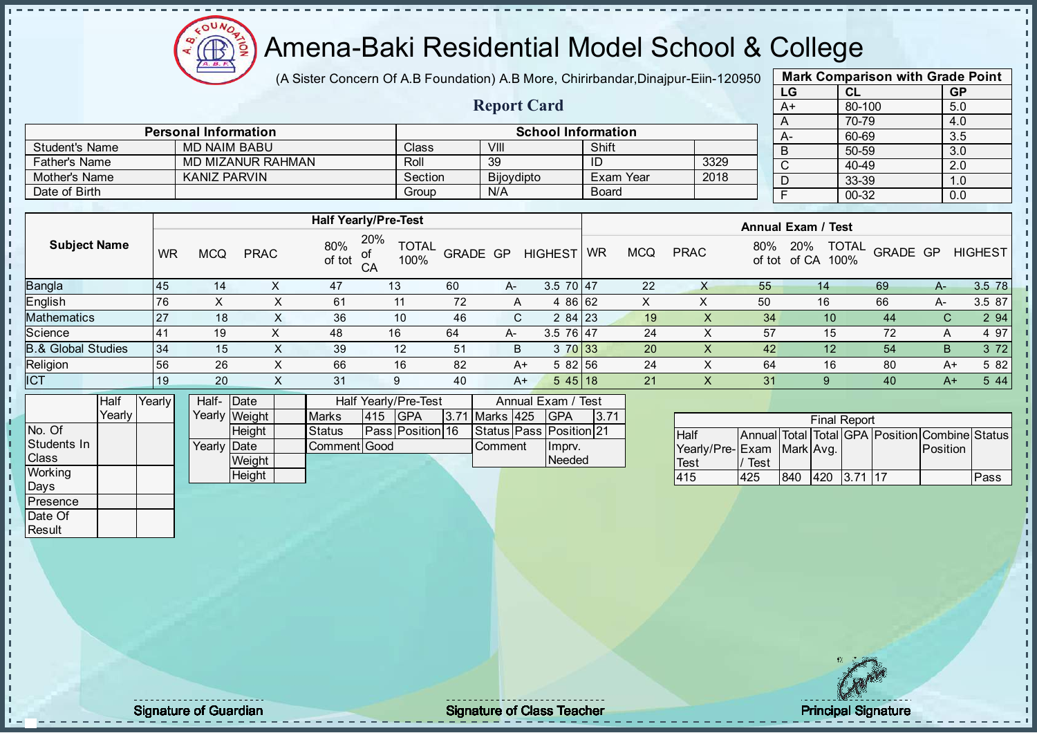

(A Sister Concern Of A.B Foundation) A.B More, Chirirbandar, Dinajpur-Eiin-120950

Report Card

| <b>Mark Comparison with Grade Point</b> |        |           |  |  |  |  |  |  |  |  |
|-----------------------------------------|--------|-----------|--|--|--|--|--|--|--|--|
| LG                                      | CL     | <b>GP</b> |  |  |  |  |  |  |  |  |
| $A+$                                    | 80-100 | 5.0       |  |  |  |  |  |  |  |  |
| A                                       | 70-79  | 4.0       |  |  |  |  |  |  |  |  |
| А-                                      | 60-69  | 3.5       |  |  |  |  |  |  |  |  |
| B                                       | 50-59  | 3.0       |  |  |  |  |  |  |  |  |
| $\mathsf{C}$                            | 40-49  | 2.0       |  |  |  |  |  |  |  |  |
| D                                       | 33-39  | 1.0       |  |  |  |  |  |  |  |  |
| F                                       | 00-32  | 0.0       |  |  |  |  |  |  |  |  |
|                                         |        |           |  |  |  |  |  |  |  |  |

|                       | <b>Personal Information</b> |         |                   | <b>School Information</b> |      |  |
|-----------------------|-----------------------------|---------|-------------------|---------------------------|------|--|
| <b>Student's Name</b> | <b>MD NAIM BABU</b>         | Class   | VIII              | Shift                     |      |  |
| <b>Father's Name</b>  | <b>MD MIZANUR RAHMAN</b>    | Roll    | 39                |                           | 3329 |  |
| Mother's Name         | KANIZ PARVIN                | Section | <b>Bijoydipto</b> | Exam Year                 | 2018 |  |
| Date of Birth         |                             | Group   | N/A               | <b>Board</b>              |      |  |

|                     |           |            |             |               | <b>Half Yearly/Pre-Test</b>       |                 |      |                | <b>Annual Exam / Test</b> |            |             |               |                                      |                 |      |                |
|---------------------|-----------|------------|-------------|---------------|-----------------------------------|-----------------|------|----------------|---------------------------|------------|-------------|---------------|--------------------------------------|-----------------|------|----------------|
| <b>Subject Name</b> | <b>WR</b> | <b>MCG</b> | <b>PRAC</b> | 80%<br>of tot | 20%<br><b>TOTAL</b><br>100%<br>CA | <b>GRADE GP</b> |      | <b>HIGHEST</b> | <b>WR</b>                 | <b>MCQ</b> | <b>PRAC</b> | 80%<br>of tot | <b>TOTAL</b><br>20%<br>100%<br>of CA | <b>GRADE GP</b> |      | <b>HIGHEST</b> |
| Bangla              | 145       | 14         |             | 47            | 13                                | 60              | A-   | $3.570$ 47     |                           | 22         |             | 55            | 14                                   | 69              | A-   | 3.5 78         |
| English             | 76        | X          | ∧           | 61            | 11                                | 72              | A    | 4 86 62        |                           | X          | ↗           | 50            | 16                                   | 66              | A-   | 3.5 87         |
| Mathematics         | 27        | 18         | $\sim$      | 36            | 10                                | 46              | C.   | $284$   23     |                           | 19         | $\lambda$   | 34            | 10                                   | 44              | С    | 2 94           |
| Science             | l 41      | 19         |             | 48            | 16                                | 64              | A-   | 3.5 76 47      |                           | 24         | ∧           | 57            | 15                                   | 72              | A    | 4 97           |
| 3.& Global Studies  | 34        | 15         | X           | 39            | 12                                | 51              | B    | 3 70 33        |                           | 20         | х           | 42            | 12                                   | 54              | B    | 3 7 2          |
| Religion            | 56        | 26         | X           | 66            | 16                                | 82              | $A+$ | 5 82 56        |                           | 24         | ∧           | 64            | 16                                   | 80              | $A+$ | 5 82           |
| <b>ICT</b>          | 19        | 20         |             | 31            | 9                                 | 40              | $A+$ | $545$ 18       |                           | 21         |             | 31            |                                      | 40              | $A+$ | 5 4 4          |
|                     |           |            |             |               |                                   |                 |      |                |                           |            |             |               |                                      |                 |      |                |

|                | Half   | YearlvT | Half-Date            |               |               |      | Half Yearly/Pre-Test    | Annual Exam / Test |  |                         |      |
|----------------|--------|---------|----------------------|---------------|---------------|------|-------------------------|--------------------|--|-------------------------|------|
|                | Yearly |         |                      | Yearly Weight | <b>Marks</b>  | 1415 | <b>IGPA</b>             | 3.71 Marks 425     |  | IGPA                    | 3.71 |
| INo. Of        |        |         |                      | <b>Height</b> | <b>Status</b> |      | <b>Pass Position 16</b> |                    |  | Status Pass Position 21 |      |
| Students In    |        |         | Yearlv <b>I</b> Date |               | Comment Good  |      |                         | <b>Comment</b>     |  | Imprv.                  |      |
| <b>Class</b>   |        |         |                      | Weight        |               |      |                         |                    |  | Needed                  |      |
| <b>Working</b> |        |         |                      | Height        |               |      |                         |                    |  |                         |      |

|                           |      |     | <b>Final Report</b> |                                                |      |
|---------------------------|------|-----|---------------------|------------------------------------------------|------|
| <b>Half</b>               |      |     |                     | Annual Total Total GPA Position Combine Status |      |
| Yearly/Pre-Exam Mark Avg. |      |     |                     | <b>IPosition</b>                               |      |
| <b>Test</b>               | Test |     |                     |                                                |      |
| 415                       | 425  | 840 | 420 3.71 17         |                                                | Pass |

Days Presence Date Of **Result** 

 $\mathbf{r}$ 

h J. D  $\frac{1}{1}$  $\mathbf{I}$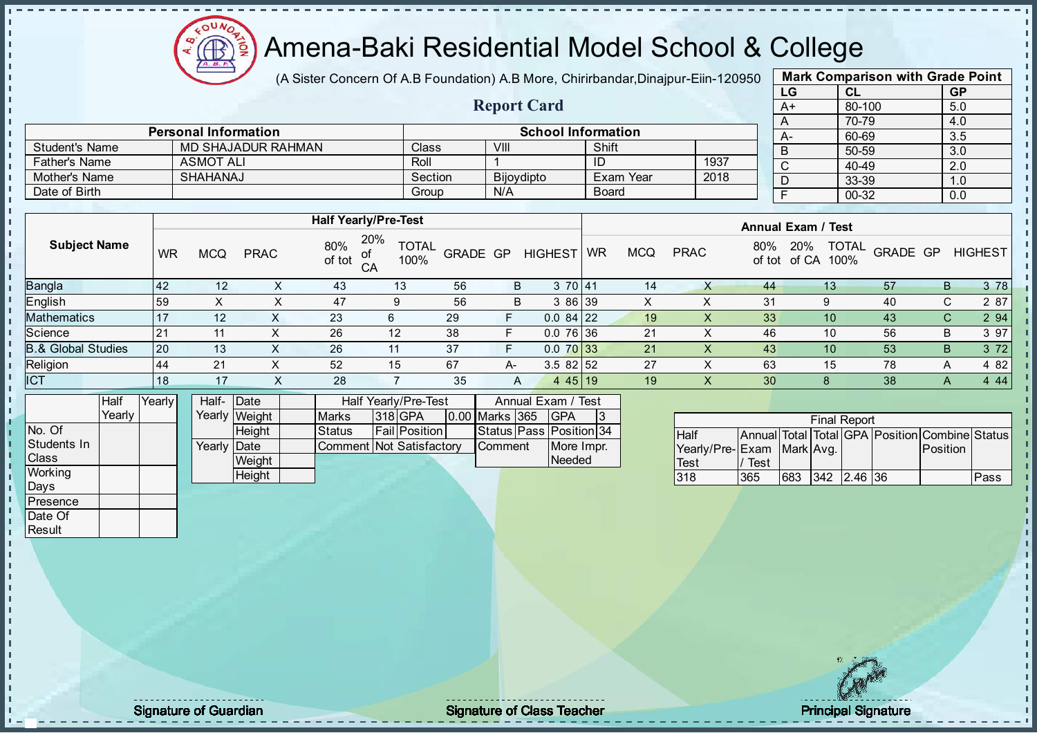

(A Sister Concern Of A.B Foundation) A.B More, Chirirbandar, Dinajpur-Eiin-120950

Report Card

| <b>Mark Comparison with Grade Point</b> |        |           |  |  |  |  |  |  |
|-----------------------------------------|--------|-----------|--|--|--|--|--|--|
| LG                                      | CL     | <b>GP</b> |  |  |  |  |  |  |
| $A+$                                    | 80-100 | 5.0       |  |  |  |  |  |  |
| A                                       | 70-79  | 4.0       |  |  |  |  |  |  |
| A-                                      | 60-69  | 3.5       |  |  |  |  |  |  |
| B                                       | 50-59  | 3.0       |  |  |  |  |  |  |
| C                                       | 40-49  | 2.0       |  |  |  |  |  |  |
| D                                       | 33-39  | 1.0       |  |  |  |  |  |  |
| F                                       | 00-32  | 0.0       |  |  |  |  |  |  |
|                                         |        |           |  |  |  |  |  |  |

|                      | <b>Personal Information</b> |         | <b>School Information</b> |            |      |            |  |  |  |  |
|----------------------|-----------------------------|---------|---------------------------|------------|------|------------|--|--|--|--|
| Student's Name       | MD SHAJADUR RAHMAN          | Class   | VIII                      | Shift      |      | $A -$<br>B |  |  |  |  |
| <b>Father's Name</b> | <b>ASMOT ALI</b>            | Roll    |                           | ID         | 1937 |            |  |  |  |  |
| Mother's Name        | SHAHANAJ                    | Section | <b>Bijoydipto</b>         | ੋExam Year | 2018 |            |  |  |  |  |
| Date of Birth        |                             | Group   | N/A                       | Board      |      |            |  |  |  |  |

| 20%<br>80%<br><b>Subject Name</b><br><b>TOTAL</b><br><b>TOTAL</b><br>20%<br>80%<br>GRADE GP<br><b>PRAC</b><br><b>WR</b><br><b>MCQ</b><br><b>GRADE GP</b><br><b>HIGHEST</b><br><b>PRAC</b><br><b>MCQ</b><br><b>WR</b><br>of tot<br>100%<br>100%<br>of tot of CA<br>CA<br><b>Bangla</b><br>3 70 41<br>43<br>57<br>B.<br>42<br>56<br>14<br>12<br>13<br>B<br>13<br>44<br>∧<br>English<br>47<br>56<br>3 86 39<br>31<br>40<br>C.<br>X<br>59<br>B<br>9<br>$\sim$<br><b>Mathematics</b><br>23<br>29<br>F.<br>$0.084$ 22<br>33<br>43<br>C.<br>17<br>12<br>19<br>10<br>6<br>∧<br>Science<br>38<br>$0.076$ 36<br>21<br>56<br>26<br>F<br>12<br>46<br>10<br>B<br>21<br>11<br>⌒<br><b>B.&amp; Global Studies</b><br>$0.070$ 33<br>20<br>26<br>37<br>F.<br>21<br>53<br>B<br>43<br>13<br>10<br>11<br>∧<br>Religion<br>3.582152<br>27<br>52<br>67<br>78<br>21<br>15<br>63<br>15<br>44<br>A-<br>A<br><b>ICT</b><br>38<br>28<br>35<br>445 19<br>18<br>17<br>19<br>30<br>X<br>8<br>A<br>A<br>$\sim$ |  | <b>Half Yearly/Pre-Test</b> |  |  |  |  |  |  |  |  | <b>Annual Exam / Test</b> |  |  |  |  |                |  |
|---------------------------------------------------------------------------------------------------------------------------------------------------------------------------------------------------------------------------------------------------------------------------------------------------------------------------------------------------------------------------------------------------------------------------------------------------------------------------------------------------------------------------------------------------------------------------------------------------------------------------------------------------------------------------------------------------------------------------------------------------------------------------------------------------------------------------------------------------------------------------------------------------------------------------------------------------------------------------------|--|-----------------------------|--|--|--|--|--|--|--|--|---------------------------|--|--|--|--|----------------|--|
|                                                                                                                                                                                                                                                                                                                                                                                                                                                                                                                                                                                                                                                                                                                                                                                                                                                                                                                                                                                 |  |                             |  |  |  |  |  |  |  |  |                           |  |  |  |  | <b>HIGHEST</b> |  |
|                                                                                                                                                                                                                                                                                                                                                                                                                                                                                                                                                                                                                                                                                                                                                                                                                                                                                                                                                                                 |  |                             |  |  |  |  |  |  |  |  |                           |  |  |  |  | 3 78           |  |
|                                                                                                                                                                                                                                                                                                                                                                                                                                                                                                                                                                                                                                                                                                                                                                                                                                                                                                                                                                                 |  |                             |  |  |  |  |  |  |  |  |                           |  |  |  |  | 2 87           |  |
|                                                                                                                                                                                                                                                                                                                                                                                                                                                                                                                                                                                                                                                                                                                                                                                                                                                                                                                                                                                 |  |                             |  |  |  |  |  |  |  |  |                           |  |  |  |  | 2 9 4          |  |
|                                                                                                                                                                                                                                                                                                                                                                                                                                                                                                                                                                                                                                                                                                                                                                                                                                                                                                                                                                                 |  |                             |  |  |  |  |  |  |  |  |                           |  |  |  |  | 3 97           |  |
|                                                                                                                                                                                                                                                                                                                                                                                                                                                                                                                                                                                                                                                                                                                                                                                                                                                                                                                                                                                 |  |                             |  |  |  |  |  |  |  |  |                           |  |  |  |  | 3 7 2          |  |
|                                                                                                                                                                                                                                                                                                                                                                                                                                                                                                                                                                                                                                                                                                                                                                                                                                                                                                                                                                                 |  |                             |  |  |  |  |  |  |  |  |                           |  |  |  |  | 4 8 2          |  |
|                                                                                                                                                                                                                                                                                                                                                                                                                                                                                                                                                                                                                                                                                                                                                                                                                                                                                                                                                                                 |  |                             |  |  |  |  |  |  |  |  |                           |  |  |  |  | 4 4 4          |  |

|              | Half   | Yearly | Half-                | Date          | Half Yearly/Pre-Test     |  |                      |  | Annual Exam / Test |                         |  |
|--------------|--------|--------|----------------------|---------------|--------------------------|--|----------------------|--|--------------------|-------------------------|--|
|              | Yearlv |        |                      | Yearly Weight | <b>Marks</b>             |  | <b>318 GPA</b>       |  | 0.00 Marks 365     | <b>IGPA</b>             |  |
| INo. Of      |        |        |                      | <b>Height</b> | <b>Status</b>            |  | <b>Fail Position</b> |  |                    | Status Pass Position 34 |  |
| Students In  |        |        | Yearlv <b>I</b> Date |               | Comment Not Satisfactory |  |                      |  | <b>I</b> Comment   | More Impr.              |  |
| <b>Class</b> |        |        |                      | Weight        |                          |  |                      |  |                    | Needed                  |  |
| Working      |        |        |                      | Height        |                          |  |                      |  |                    |                         |  |

| <b>Final Report</b>                            |      |     |  |                 |  |          |      |  |  |  |  |  |
|------------------------------------------------|------|-----|--|-----------------|--|----------|------|--|--|--|--|--|
| Annual Total Total GPA Position Combine Status |      |     |  |                 |  |          |      |  |  |  |  |  |
| <b>Half</b>                                    |      |     |  |                 |  |          |      |  |  |  |  |  |
| Yearly/Pre-Exam Mark Avg.                      |      |     |  |                 |  | Position |      |  |  |  |  |  |
| Test                                           | Test |     |  |                 |  |          |      |  |  |  |  |  |
| 318                                            | 365  | 683 |  | $ 342 $ 2.46 36 |  |          | Pass |  |  |  |  |  |

Days **Presence** Date Of **Result** 

п h J. D  $\frac{1}{1}$  $\mathbf{I}$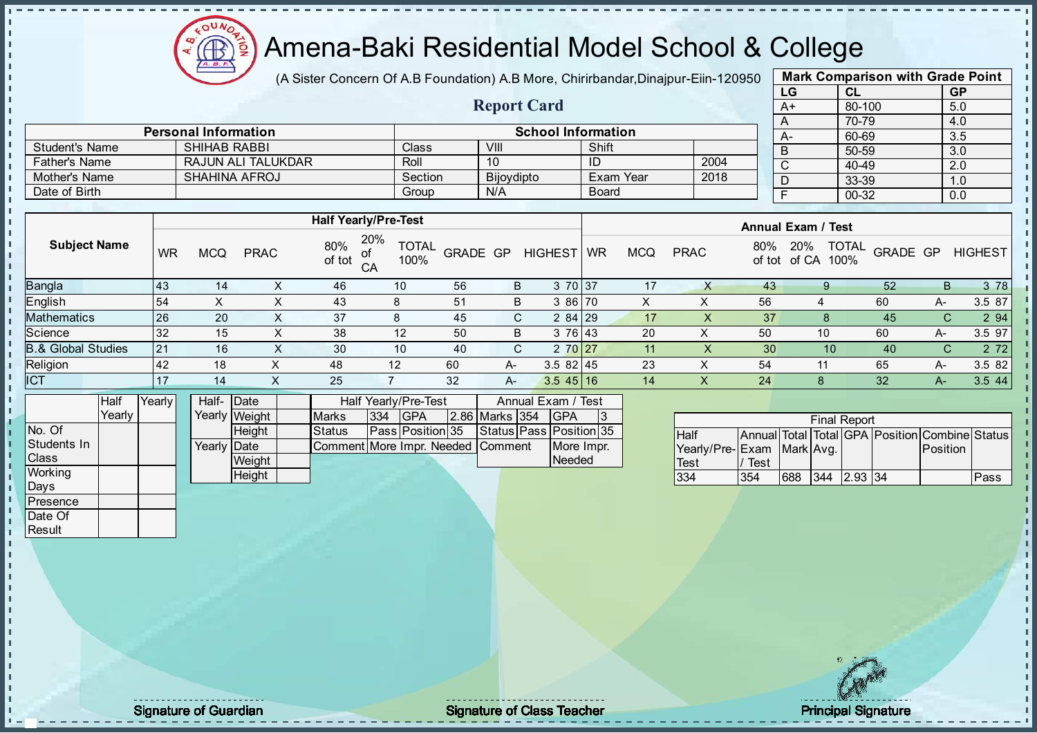

(A Sister Concern Of A.B Foundation) A.B More, Chirirbandar, Dinajpur-Eiin-120950

Report Card

| <b>Mark Comparison with Grade Point</b> |        |           |  |  |  |  |  |  |  |
|-----------------------------------------|--------|-----------|--|--|--|--|--|--|--|
| LG                                      | CL     | <b>GP</b> |  |  |  |  |  |  |  |
| $A+$                                    | 80-100 | 5.0       |  |  |  |  |  |  |  |
| A                                       | 70-79  | 4.0       |  |  |  |  |  |  |  |
| А-                                      | 60-69  | 3.5       |  |  |  |  |  |  |  |
| B                                       | 50-59  | 3.0       |  |  |  |  |  |  |  |
| C                                       | 40-49  | 2.0       |  |  |  |  |  |  |  |
| D                                       | 33-39  | 1.0       |  |  |  |  |  |  |  |
| F                                       | 00-32  | 0.0       |  |  |  |  |  |  |  |
|                                         |        |           |  |  |  |  |  |  |  |

|                      | <b>Personal Information</b> | <b>School Information</b> |                   |              |      |  |   |  |  |  |
|----------------------|-----------------------------|---------------------------|-------------------|--------------|------|--|---|--|--|--|
| Student's Name       | <b>SHIHAB RABBI</b>         | Class                     | VIII              | Shift        |      |  | B |  |  |  |
| <b>Father's Name</b> | RAJUN ALI TALUKDAR          | Roll                      | 10                |              | 2004 |  |   |  |  |  |
| Mother's Name        | <b>SHAHINA AFROJ</b>        | Section                   | <b>Bijoydipto</b> | Exam Year    | 2018 |  |   |  |  |  |
| Date of Birth        |                             | Group                     | N/A               | <b>Board</b> |      |  |   |  |  |  |

|                     |            |            |             |               | <b>Half Yearly/Pre-Test</b>             |                 |    |                        | <b>Annual Exam / Test</b> |            |             |               |                 |                                  |    |                |
|---------------------|------------|------------|-------------|---------------|-----------------------------------------|-----------------|----|------------------------|---------------------------|------------|-------------|---------------|-----------------|----------------------------------|----|----------------|
| <b>Subject Name</b> | <b>WR</b>  | <b>MCQ</b> | <b>PRAC</b> | 80%<br>of tot | 20%<br><b>TOTAL</b><br>0t<br>100%<br>CA | <b>GRADE GP</b> |    | <b>HIGHEST</b>         | <b>WR</b>                 | <b>MCQ</b> | <b>PRAC</b> | 80%<br>of tot | 20%<br>of CA    | <b>TOTAL</b><br>GRADE GP<br>100% |    | <b>HIGHEST</b> |
| Bangla              | <b>143</b> | 14         |             | 46            | 10                                      | 56              | B  | 3 70 37                |                           | 17         |             | 43            |                 | 52                               | В  | 3 78           |
| English             | 54         | Χ          | х           | 43            | 8                                       | 51              | B  | 3 86 70                |                           | X          |             | 56            |                 | 60                               | A- | 3.5 87         |
| Mathematics         | 26         | 20         | $\sim$      | 37            | 8                                       | 45              | C. | $284$   29             |                           | 17         | $\lambda$   | 37            |                 | 45                               | С  | 2 9 4          |
| Science             | 32         | 15         | х           | 38            | 12                                      | 50              | B  | 3 76 43                |                           | 20         |             | 50            | 10              | 60                               | A- | 3.5 97         |
| 3.& Global Studies  | 21         | 16         | X           | 30            | 10                                      | 40              | C. | 2 70 27                |                           | 11         | х           | 30            | 10 <sup>°</sup> | 40                               | С  | 2 7 2          |
| Religion            | 42         | 18         |             | 48            | 12                                      | 60              | A- | $3.582$   45           |                           | 23         |             | 54            | 11              | 65                               | A- | 3.5 82         |
| <b>ICT</b>          |            | 14         |             | 25            |                                         | 32              | A- | $3.5 \, 45 \,   \, 16$ |                           | 14         |             | 24            |                 | 32                               | A- | 3.5 44         |
|                     |            |            |             |               |                                         |                 |    |                        |                           |            |             |               |                 |                                  |    |                |

|                | <b>Half</b> | Yearlv l | Half- Date           |               |                                   |     | Half Yearly/Pre-Test    | Annual Exam / Test |                         |  |
|----------------|-------------|----------|----------------------|---------------|-----------------------------------|-----|-------------------------|--------------------|-------------------------|--|
|                | Yearlv I    |          |                      | Yearly Weight | <b>Marks</b>                      | 334 | <b>IGPA</b>             | 2.86 Marks 354     | IGPA                    |  |
| INo. Of        |             |          |                      | <b>Height</b> | <b>Status</b>                     |     | <b>Pass Position 35</b> |                    | Status Pass Position 35 |  |
| Students In    |             |          | Yearly <b>I</b> Date |               | Comment More Impr. Needed Comment |     |                         |                    | More Impr.              |  |
| <b>Class</b>   |             |          |                      | Weight        |                                   |     |                         |                    | <b>Needed</b>           |  |
| <b>Working</b> |             |          |                      | Height        |                                   |     |                         |                    |                         |  |

| <b>Final Report</b>       |      |     |     |                         |  |                                                |      |  |  |  |  |
|---------------------------|------|-----|-----|-------------------------|--|------------------------------------------------|------|--|--|--|--|
| <b>Half</b>               |      |     |     |                         |  | Annual Total Total GPA Position Combine Status |      |  |  |  |  |
| Yearly/Pre-Exam Mark Avg. |      |     |     |                         |  | Position                                       |      |  |  |  |  |
| <b>Test</b>               | Test |     |     |                         |  |                                                |      |  |  |  |  |
| 334                       | 354  | 688 | 344 | $\vert$ 2.93 $\vert$ 34 |  |                                                | Pass |  |  |  |  |

Days Presence Date Of **Result** 

h J. D  $\frac{1}{1}$  $\mathbf{I}$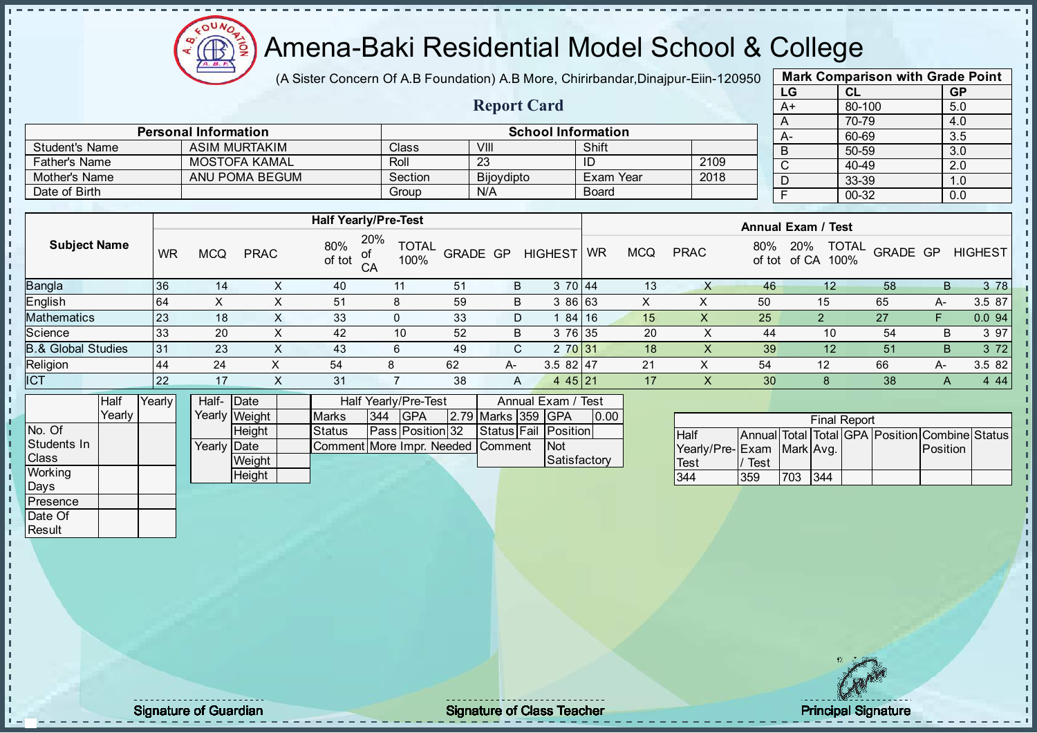

(A Sister Concern Of A.B Foundation) A.B More, Chirirbandar, Dinajpur-Eiin-120950

Report Card

| <b>Mark Comparison with Grade Point</b> |        |           |  |  |  |  |  |  |  |
|-----------------------------------------|--------|-----------|--|--|--|--|--|--|--|
| LG                                      | CL     | <b>GP</b> |  |  |  |  |  |  |  |
| $A+$                                    | 80-100 | 5.0       |  |  |  |  |  |  |  |
| A                                       | 70-79  | 4.0       |  |  |  |  |  |  |  |
| А-                                      | 60-69  | 3.5       |  |  |  |  |  |  |  |
| B                                       | 50-59  | 3.0       |  |  |  |  |  |  |  |
| C                                       | 40-49  | 2.0       |  |  |  |  |  |  |  |
| D                                       | 33-39  | 1.0       |  |  |  |  |  |  |  |
| F                                       | 00-32  | 0.0       |  |  |  |  |  |  |  |
|                                         |        |           |  |  |  |  |  |  |  |

|                       | <b>Personal Information</b> |              | <b>School Information</b> |           |      |  |  |  |  |  |  |
|-----------------------|-----------------------------|--------------|---------------------------|-----------|------|--|--|--|--|--|--|
| <b>Student's Name</b> | ASIM MURTAKIM               | <b>Class</b> | VIII                      | Shift     |      |  |  |  |  |  |  |
| <b>Father's Name</b>  | MOSTOFA KAMAL               | Roll         | 23                        | ID        | 2109 |  |  |  |  |  |  |
| Mother's Name         | ANU POMA BEGUM              | Section      | <b>Bijovdipto</b>         | Exam Year | 2018 |  |  |  |  |  |  |
| Date of Birth         |                             | Group        | N/A                       | Board     |      |  |  |  |  |  |  |

|                               |           |            |             |               | <b>Half Yearly/Pre-Test</b>       |          |      |                |           |            |             |               | <b>Annual Exam / Test</b>            |          |    |                |
|-------------------------------|-----------|------------|-------------|---------------|-----------------------------------|----------|------|----------------|-----------|------------|-------------|---------------|--------------------------------------|----------|----|----------------|
| <b>Subject Name</b>           | WR        | <b>MCQ</b> | <b>PRAC</b> | 80%<br>of tot | 20%<br><b>TOTAL</b><br>100%<br>CA | GRADE GP |      | <b>HIGHEST</b> | <b>WR</b> | <b>MCQ</b> | <b>PRAC</b> | 80%<br>of tot | <b>TOTAL</b><br>20%<br>of CA<br>100% | GRADE GP |    | <b>HIGHEST</b> |
| <b>Bangla</b>                 | 136       | 14         | ⋏           | 40            | 11                                | 51       | B    | 3 70 44        |           | 13         |             | 46            | 12                                   | 58       | B  | 3 78           |
| English                       | 64        |            |             | 51            | 8                                 | 59       | B    | 86 63          |           |            |             | 50            | 15                                   | 65       | A- | 3.5 87         |
| <b>Mathematics</b>            | 123       | 18         | X           | 33            | 0                                 | 33       | D    | 84 16          |           | 15         | х           | 25            |                                      | 27       |    | 0.0 94         |
| Science                       | 33        | 20         | X           | 42            | 10                                | 52       | B    | 3 76 35        |           | 20         |             | 44            | 10                                   | 54       | B  | 3 97           |
| <b>B.&amp; Global Studies</b> | l 31      | 23         | X           | 43            | 6                                 | 49       | C    | 2 70 31        |           | 18         | ∧           | 39            | 12                                   | 51       | B  | 3 7 2          |
| Religion                      | 44        | 24         |             | 54            |                                   | 62       | $A-$ | $3.582$   47   |           | 21         |             | 54            | 12                                   | 66       | A- | 3.5 82         |
| ICT                           | <b>22</b> | 17         | X           | 31            |                                   | 38       | A    | 4 4 5 21       |           | 17         | X           | 30            |                                      | 38       | A  | 4 4 4          |

|                | Half   | YearlvT | Half- Date  |               |                                   |     | Half Yearly/Pre-Test    |                    | Annual Exam / Test   |      |
|----------------|--------|---------|-------------|---------------|-----------------------------------|-----|-------------------------|--------------------|----------------------|------|
|                | Yearlv |         |             | Yearly Weight | <b>Marks</b>                      | 344 | IGPA                    | 2.79 Marks 359 GPA |                      | 0.00 |
| INo. Of        |        |         |             | <b>Height</b> | <b>Status</b>                     |     | <b>Pass Position 32</b> |                    | Status Fail Position |      |
| Students In    |        |         | Yearly Date |               | Comment More Impr. Needed Comment |     |                         |                    | <b>INot</b>          |      |
| <b>Class</b>   |        |         |             | Weight        |                                   |     |                         |                    | Satisfactory         |      |
| <b>Working</b> |        |         |             | Height        |                                   |     |                         |                    |                      |      |

|                           | <b>Final Report</b> |      |     |  |  |                                                |  |  |  |  |  |  |  |  |  |
|---------------------------|---------------------|------|-----|--|--|------------------------------------------------|--|--|--|--|--|--|--|--|--|
| <b>Half</b>               |                     |      |     |  |  | Annual Total Total GPA Position Combine Status |  |  |  |  |  |  |  |  |  |
| Yearly/Pre-Exam Mark Avg. |                     |      |     |  |  | <b>Position</b>                                |  |  |  |  |  |  |  |  |  |
| <b>Test</b>               | Test                |      |     |  |  |                                                |  |  |  |  |  |  |  |  |  |
| 344                       | 359                 | 1703 | 344 |  |  |                                                |  |  |  |  |  |  |  |  |  |

Days Presence Date Of **Result** 

J. D  $\frac{1}{1}$  $\mathbf{I}$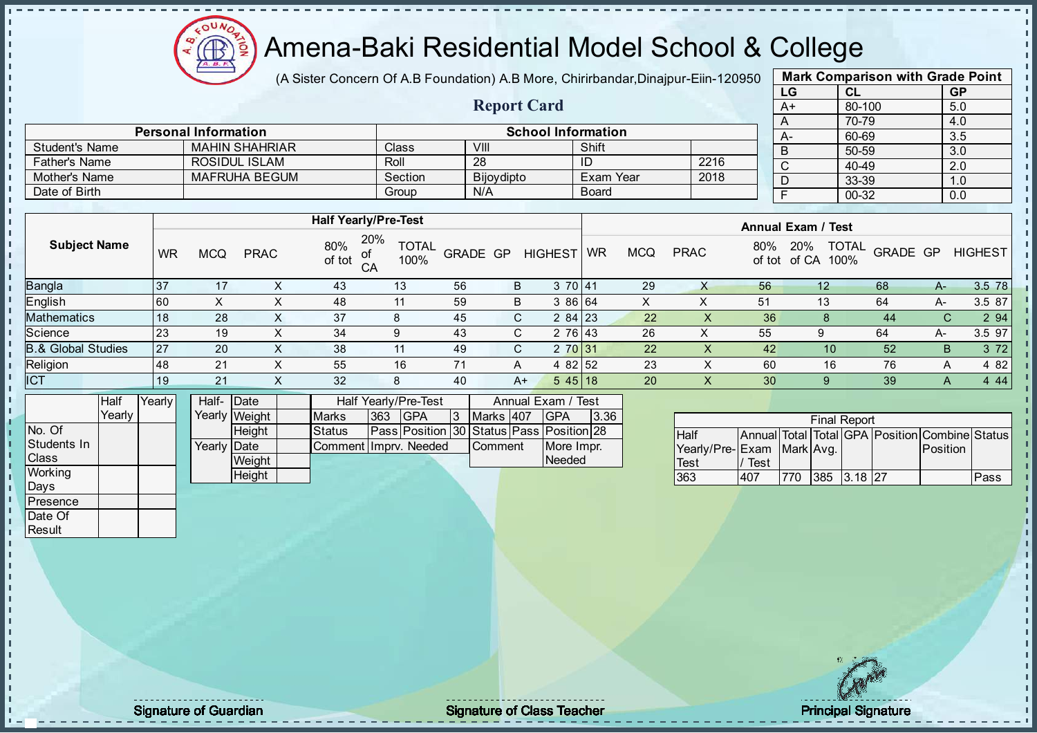

(A Sister Concern Of A.B Foundation) A.B More, Chirirbandar, Dinajpur-Eiin-120950

Report Card

| <b>Mark Comparison with Grade Point</b> |           |           |  |  |  |  |  |  |  |  |  |  |
|-----------------------------------------|-----------|-----------|--|--|--|--|--|--|--|--|--|--|
| LG                                      | <b>CL</b> | <b>GP</b> |  |  |  |  |  |  |  |  |  |  |
| $A+$                                    | 80-100    | 5.0       |  |  |  |  |  |  |  |  |  |  |
| A                                       | 70-79     | 4.0       |  |  |  |  |  |  |  |  |  |  |
|                                         | 60-69     | 3.5       |  |  |  |  |  |  |  |  |  |  |
| B                                       | 50-59     | 3.0       |  |  |  |  |  |  |  |  |  |  |
| C                                       | 40-49     | 2.0       |  |  |  |  |  |  |  |  |  |  |
|                                         | 33-39     | 1.0       |  |  |  |  |  |  |  |  |  |  |
|                                         | 00-32     | 0.0       |  |  |  |  |  |  |  |  |  |  |
|                                         |           |           |  |  |  |  |  |  |  |  |  |  |

|                      | <b>Personal Information</b> |         |                   | <b>School Information</b> |      | A- |
|----------------------|-----------------------------|---------|-------------------|---------------------------|------|----|
| Student's Name       | <b>MAHIN SHAHRIAR</b>       | Class   | VIII              | Shift                     |      |    |
| <b>Father's Name</b> | ROSIDUL ISLAM               | Roll    | 28                | ID                        | 2216 |    |
| Mother's Name        | <b>MAFRUHA BEGUM</b>        | Section | <b>Bijovdipto</b> | Exam Year                 | 2018 |    |
| Date of Birth        |                             | Group   | N/A               | <b>Board</b>              |      |    |

|                               |      |     |             | <b>Half Yearly/Pre-Test</b>      |                      |                 |                |                |           |            |             |               | <b>Annual Exam / Test</b>            |          |    |                |
|-------------------------------|------|-----|-------------|----------------------------------|----------------------|-----------------|----------------|----------------|-----------|------------|-------------|---------------|--------------------------------------|----------|----|----------------|
| <b>Subject Name</b>           | WR   | MCQ | <b>PRAC</b> | 20%<br>80%<br>of<br>of tot<br>CA | <b>TOTAL</b><br>100% | <b>GRADE GP</b> |                | <b>HIGHEST</b> | <b>WR</b> | <b>MCQ</b> | <b>PRAC</b> | 80%<br>of tot | <b>TOTAL</b><br>20%<br>of CA<br>100% | GRADE GP |    | <b>HIGHEST</b> |
| <b>Bangla</b>                 | l 37 | 17  | ∧           | 43                               | 13                   | 56              | B              | 370 41         |           | 29         |             | 56            | 12                                   | 68       | A- | 3.5 78         |
| English                       | 160  |     |             | 48                               | 11                   | 59              | B              | 3 86 64        |           | X.         |             | 51            | 13                                   | 64       | A- | 3.5 87         |
| <b>Mathematics</b>            | 18   | 28  | X.          | 37                               | 8                    | 45              | C              | $284$   23     |           | 22         |             | 36            |                                      | 44       |    | 2 9 4          |
| Science                       | 23   | 19  | ⋏           | 34                               | 9                    | 43              | <b>CV</b><br>U | 2 76 43        |           | 26         |             | 55            | 9                                    | 64       | A- | 3.5 97         |
| <b>B.&amp; Global Studies</b> | 27   | 20  | X.          | 38                               | 11                   | 49              | C.             | 2 70 31        |           | 22         | ∧           | 42            | 10                                   | 52       | B  | 3 7 2          |
| Religion                      | 148  | 21  | х           | 55                               | 16                   |                 | A              | 82 52<br>4     |           | 23         |             | 60            | 16                                   | 76       | A  | 4 8 2          |
| ICT                           | 19   | 21  | X           | 32                               | 8                    | 40              | A+             | $545$   18     |           | 20         | $\lambda$   | 30            |                                      | 39       | Α  | 4 4 4          |

|                    | <b>Half</b> | Yearly | Half- Date  |               |                         |     | Half Yearly/Pre-Test                     |                  | Annual Exam / Test |      |
|--------------------|-------------|--------|-------------|---------------|-------------------------|-----|------------------------------------------|------------------|--------------------|------|
|                    | Yearlv      |        |             | Yearly Weight | <b>Marks</b>            | 363 | <b>IGPA</b>                              | Marks 407        | <b>IGPA</b>        | 3.36 |
| No. Of             |             |        |             | Heiaht        | <b>Status</b>           |     | Pass Position 30 Status Pass Position 28 |                  |                    |      |
| <b>Students In</b> |             |        | Yearly Date |               | Comment I Impry, Needed |     |                                          | <b>I</b> Comment | More Impr.         |      |
| <b>Class</b>       |             |        |             | Weight        |                         |     |                                          |                  | Needed             |      |
| <b>Working</b>     |             |        |             | Height        |                         |     |                                          |                  |                    |      |

|                              |      |     | <b>Final Report</b> |                                                |      |
|------------------------------|------|-----|---------------------|------------------------------------------------|------|
| <b>Half</b>                  |      |     |                     | Annual Total Total GPA Position Combine Status |      |
| Yearly/Pre- Exam   Mark Avg. |      |     |                     | Position                                       |      |
| <b>Test</b>                  | Test |     |                     |                                                |      |
| 363                          | 407  | 770 | 385 3.18 27         |                                                | Pass |

Days **Presence** Date Of **Result** 

л п п T. J. D  $\frac{1}{1}$  $\mathbf{I}$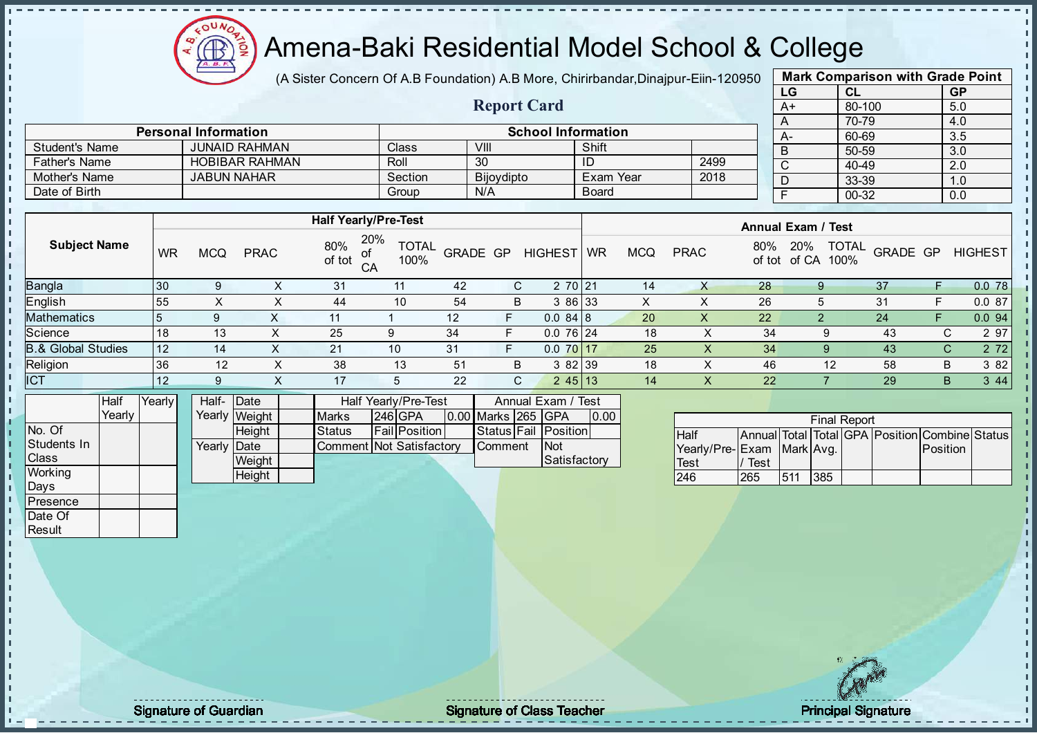

(A Sister Concern Of A.B Foundation) A.B More, Chirirbandar, Dinajpur-Eiin-120950

Report Card

| <b>Mark Comparison with Grade Point</b> |           |           |  |  |  |  |  |  |  |  |  |  |
|-----------------------------------------|-----------|-----------|--|--|--|--|--|--|--|--|--|--|
| LG                                      | CL        | <b>GP</b> |  |  |  |  |  |  |  |  |  |  |
| $A+$                                    | 80-100    | 5.0       |  |  |  |  |  |  |  |  |  |  |
| A                                       | 70-79     | 4.0       |  |  |  |  |  |  |  |  |  |  |
| А-                                      | 60-69     | 3.5       |  |  |  |  |  |  |  |  |  |  |
| B                                       | 50-59     | 3.0       |  |  |  |  |  |  |  |  |  |  |
| C                                       | 40-49     | 2.0       |  |  |  |  |  |  |  |  |  |  |
| D                                       | 33-39     | 1.0       |  |  |  |  |  |  |  |  |  |  |
| F                                       | $00 - 32$ | 0.0       |  |  |  |  |  |  |  |  |  |  |

|                      | <b>Personal Information</b> |         | <b>School Information</b> |              |      | А- |
|----------------------|-----------------------------|---------|---------------------------|--------------|------|----|
| Student's Name       | JUNAID RAHMAN               | Class   | VIII                      | Shift        |      |    |
| <b>Father's Name</b> | <b>HOBIBAR RAHMAN</b>       | Roll    | 30                        |              | 2499 |    |
| Mother's Name        | <b>JABUN NAHAR</b>          | Section | <b>Bijoydipto</b>         | Exam Year    | 2018 |    |
| Date of Birth        |                             | Group   | N/A                       | <b>Board</b> |      |    |

|                     |           |            |             |               | <b>Half Yearly/Pre-Test</b>       |                 |    |                |           |            |                  |               | <b>Annual Exam / Test</b> |                                  |   |                |
|---------------------|-----------|------------|-------------|---------------|-----------------------------------|-----------------|----|----------------|-----------|------------|------------------|---------------|---------------------------|----------------------------------|---|----------------|
| <b>Subject Name</b> | <b>WR</b> | <b>MCQ</b> | <b>PRAC</b> | 80%<br>of tot | 20%<br><b>TOTAL</b><br>100%<br>CA | <b>GRADE GP</b> |    | <b>HIGHEST</b> | <b>WR</b> | <b>MCQ</b> | <b>PRAC</b>      | 80%<br>of tot | 20%<br>of CA              | <b>TOTAL</b><br>GRADE GP<br>100% |   | <b>HIGHEST</b> |
| Bangla              | 130       | 9          | ∧           | 31            | 11                                | 42              | C. | 2 70 21        |           | 14         | Χ                | 28            |                           | 37                               |   | 0.078          |
| English             | 55        | X          | X           | 44            | 10                                | 54              | B  | 3 86 33        |           | X          | X                | 26            |                           | 31                               | F | 0.087          |
| Mathematics         |           |            | X           | 11            |                                   | 12              | F  | 0.084 8        |           | 20         | X                | 22            |                           | 24                               |   | 0.094          |
| Science             | 18        | 13         |             | 25            |                                   | 34              | F  | $0.076$ 24     |           | 18         | $\check{ }$<br>∧ | 34            | 9                         | 43                               |   | 2 97<br>C.     |
| 3.& Global Studies  | 12        | 14         |             | 21            | 10                                | 31              | F  | 0.07017        |           | 25         | X                | 34            | 9                         | 43                               |   | 2 7 2<br>C.    |
| Religion            | 36        | 12         | ∧           | 38            | 13                                | 51              | B  | 3 82 39        |           | 18         | X                | 46            | 12                        | 58                               | В | 3 8 2          |
| <b>ICT</b>          | $12$      | 9          | ∧           | 17            | 5                                 | 22              | C. | 245 13         |           | 14         | X                | 22            |                           | 29                               | B | 3 4 4          |
|                     |           |            |             |               |                                   |                 |    |                |           |            |                  |               |                           |                                  |   |                |

|                | <b>Half</b> | YearlvT | Half- Date  |               |                          | Half Yearly/Pre-Test |                    | Annual Exam / Test   |      |
|----------------|-------------|---------|-------------|---------------|--------------------------|----------------------|--------------------|----------------------|------|
|                | Yearlv      |         |             | Yearly Weight | <b>Marks</b>             | $246$ GPA            | 0.00 Marks 265 GPA |                      | 0.00 |
| No. Of         |             |         |             | <b>Height</b> | Status                   | <b>Fail Position</b> |                    | Status Fail Position |      |
| Students In    |             |         | Yearly Date |               | Comment Not Satisfactory |                      | <b>Comment</b>     | <b>Not</b>           |      |
| <b>Class</b>   |             |         |             | Weight        |                          |                      |                    | Satisfactory         |      |
| <b>Working</b> |             |         |             | Height        |                          |                      |                    |                      |      |

|                           | <b>Final Report</b> |     |     |  |  |                                                |  |  |  |  |  |
|---------------------------|---------------------|-----|-----|--|--|------------------------------------------------|--|--|--|--|--|
| <b>Half</b>               |                     |     |     |  |  | Annual Total Total GPA Position Combine Status |  |  |  |  |  |
| Yearly/Pre-Exam Mark Avg. |                     |     |     |  |  | <b>Position</b>                                |  |  |  |  |  |
| <b>Test</b>               | Test                |     |     |  |  |                                                |  |  |  |  |  |
| 246                       | 265                 | 511 | 385 |  |  |                                                |  |  |  |  |  |

Days Presence Date Of **Result** 

 $\blacksquare$ 

 $\mathbf{r}$ 

h J. D  $\frac{1}{1}$  $\mathbf{I}$ 

experiment to the state of Class Teacher and the Signature of Class Teacher and the Signature of Class Teacher Principal Signature of Class Teacher and the Principal Signature of Class Teacher and the Principal Signature o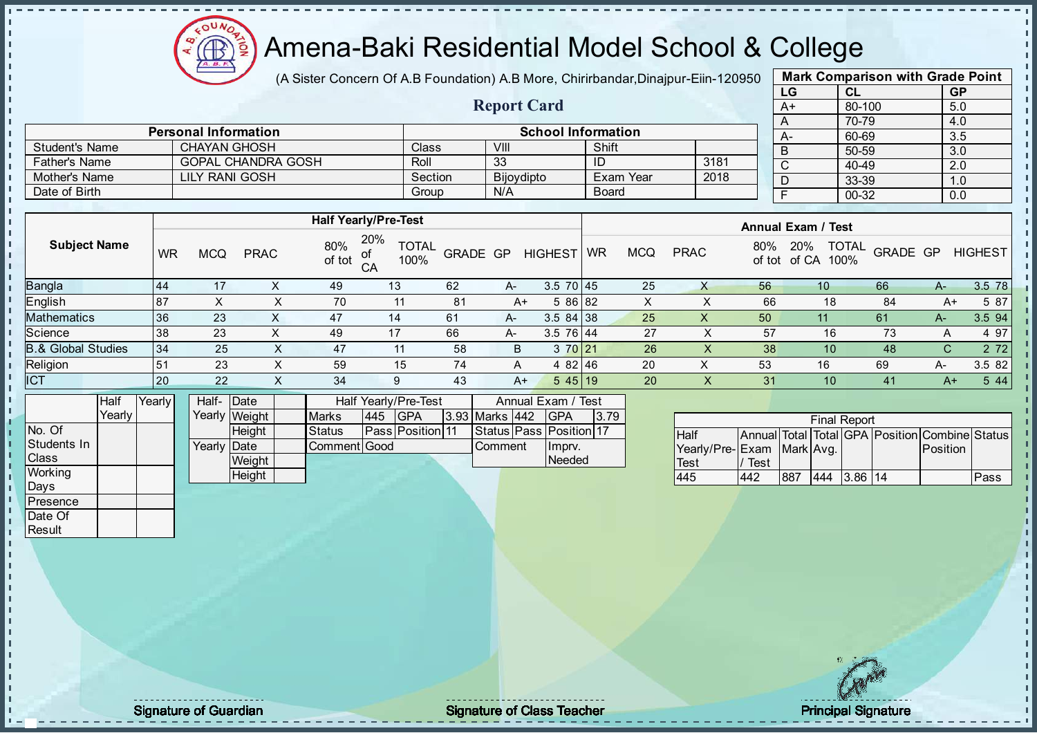

(A Sister Concern Of A.B Foundation) A.B More, Chirirbandar, Dinajpur-Eiin-120950

Report Card

| <b>Mark Comparison with Grade Point</b> |           |     |  |  |  |  |  |  |  |
|-----------------------------------------|-----------|-----|--|--|--|--|--|--|--|
| LG<br>CL<br><b>GP</b>                   |           |     |  |  |  |  |  |  |  |
| $A+$                                    | 80-100    | 5.0 |  |  |  |  |  |  |  |
| A                                       | 70-79     | 4.0 |  |  |  |  |  |  |  |
| А-                                      | 60-69     | 3.5 |  |  |  |  |  |  |  |
| B                                       | 50-59     | 3.0 |  |  |  |  |  |  |  |
| C                                       | $40 - 49$ | 2.0 |  |  |  |  |  |  |  |
| D                                       | 33-39     | 1.0 |  |  |  |  |  |  |  |
| F                                       | 0.0       |     |  |  |  |  |  |  |  |
|                                         |           |     |  |  |  |  |  |  |  |

|                       | <b>Personal Information</b> |         | <b>School Information</b> |              |      |  |   |  |  |  |
|-----------------------|-----------------------------|---------|---------------------------|--------------|------|--|---|--|--|--|
| <b>Student's Name</b> | CHAYAN GHOSH                | Class   | VIII                      | Shift        |      |  | B |  |  |  |
| <b>Father's Name</b>  | <b>GOPAL CHANDRA GOSH</b>   | Roll    | 33                        | ID           | 3181 |  |   |  |  |  |
| Mother's Name         | LILY RANI GOSH              | Section | Bijoydipto                | Exam Year    | 2018 |  |   |  |  |  |
| Date of Birth         |                             | Group   | N/A                       | <b>Board</b> |      |  |   |  |  |  |

|                               |           | <b>Half Yearly/Pre-Test</b> |             |               |                                   |                 |    |                 |           |            | <b>Annual Exam / Test</b> |               |                                      |          |      |                |  |
|-------------------------------|-----------|-----------------------------|-------------|---------------|-----------------------------------|-----------------|----|-----------------|-----------|------------|---------------------------|---------------|--------------------------------------|----------|------|----------------|--|
| <b>Subject Name</b>           | <b>WR</b> | <b>MCQ</b>                  | <b>PRAC</b> | 80%<br>of tot | 20%<br><b>TOTAL</b><br>100%<br>CA | <b>GRADE GP</b> |    | <b>HIGHEST</b>  | <b>WR</b> | <b>MCQ</b> | <b>PRAC</b>               | 80%<br>of tot | <b>TOTAL</b><br>20%<br>of CA<br>100% | GRADE GP |      | <b>HIGHEST</b> |  |
| <b>Bangla</b>                 | 44        | 17                          |             | 49            | 13                                | 62              | A- | $3.5 \ 70 \ 45$ |           | 25         |                           | 56            | 10 <sup>°</sup>                      | 66       | A-   | 3.5 78         |  |
| English                       | 87        |                             |             | 70            | 11                                | 81              | A+ | 5 86 82         |           | х          |                           | 66            | 18                                   | 84       | A+   | 5 87           |  |
| <b>Mathematics</b>            | 36        | 23                          | ∧           | 47            | 14                                | 61              | A- | $3.584$ 38      |           | 25         |                           | 50            | 11                                   | 61       | A-   | 3.5 94         |  |
| Science                       | 38        | 23                          | x           | 49            | 17                                | 66              | A- | $3.5 \ 76 \ 44$ |           | 27         |                           | 57            | 16                                   | 73       | A    | 4 97           |  |
| <b>B.&amp; Global Studies</b> | 34        | 25                          | X.          | 47            | 11                                | 58              | B  | 3 70 21         |           | 26         | X                         | 38            | 10 <sup>°</sup>                      | 48       | C.   | 2 7 2          |  |
| Religion                      | 51        | 23                          | X           | 59            | 15                                | 74              | A  | $482$ 46        |           | 20         | ⌒                         | 53            | 16                                   | 69       | $A-$ | 3.5 82         |  |
| <b>ICT</b>                    | 20        | 22                          | X           | 34            | 9                                 | 43              | A+ | $545$   19      |           | 20         | X.                        | 31            | 10 <sup>°</sup>                      | 41       | $A+$ | 5 4 4          |  |

|                | Half   | YearlvT | Half-Date            |               |               | Half Yearly/Pre-Test |                         |  |                | Annual Exam / Test |                         |      |  |
|----------------|--------|---------|----------------------|---------------|---------------|----------------------|-------------------------|--|----------------|--------------------|-------------------------|------|--|
|                | Yearly |         |                      | Yearly Weight | <b>Marks</b>  | 445                  | <b>IGPA</b>             |  | 3.93 Marks 442 |                    | IGPA                    | 3.79 |  |
| INo. Of        |        |         |                      | <b>Height</b> | <b>Status</b> |                      | <b>Pass Position 11</b> |  |                |                    | Status Pass Position 17 |      |  |
| Students In    |        |         | Yearlv <b>I</b> Date |               | Comment Good  |                      |                         |  | <b>Comment</b> |                    | Imprv.                  |      |  |
| <b>Class</b>   |        |         |                      | Weight        |               |                      |                         |  |                |                    | Needed                  |      |  |
| <b>Working</b> |        |         |                      | Height        |               |                      |                         |  |                |                    |                         |      |  |

|                           | <b>Final Report</b> |     |     |         |  |                                                |      |  |  |  |  |
|---------------------------|---------------------|-----|-----|---------|--|------------------------------------------------|------|--|--|--|--|
| <b>Half</b>               |                     |     |     |         |  | Annual Total Total GPA Position Combine Status |      |  |  |  |  |
| Yearly/Pre-Exam Mark Avg. |                     |     |     |         |  | <b>Position</b>                                |      |  |  |  |  |
| <b>Test</b>               | Test                |     |     |         |  |                                                |      |  |  |  |  |
| 445                       | AA Q                | 887 | 444 | 3.86 14 |  |                                                | Pass |  |  |  |  |

Days Presence Date Of **Result** 

h D  $\frac{1}{1}$  $\mathbf{I}$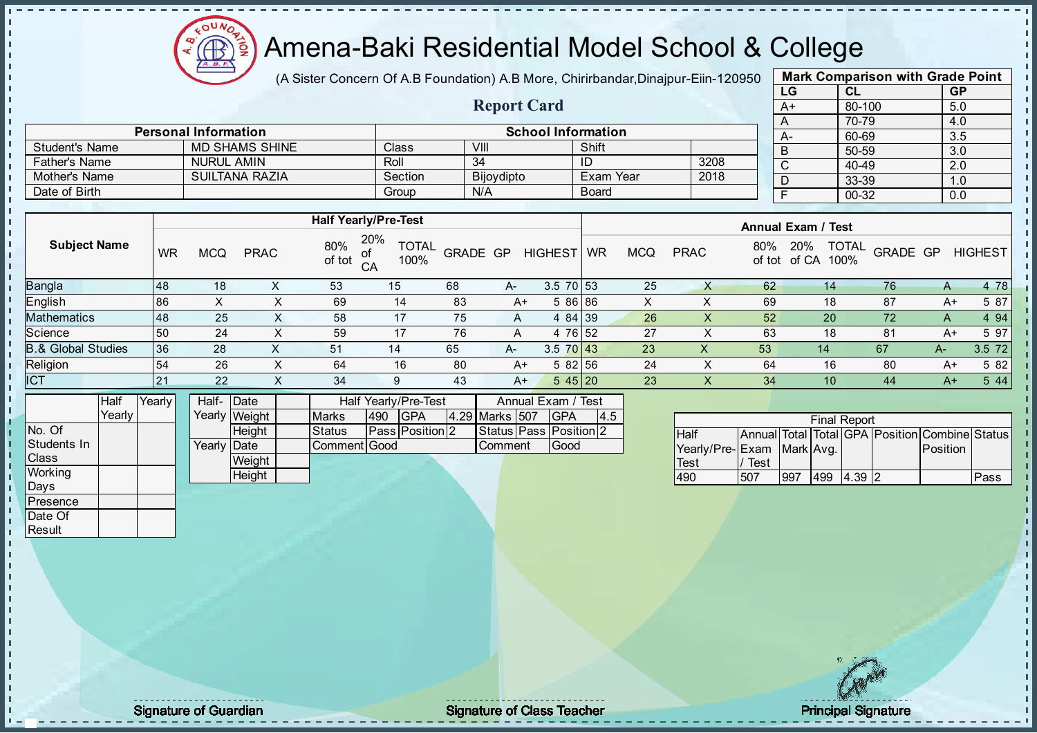

(A Sister Concern Of A.B Foundation) A.B More, Chirirbandar, Dinajpur-Eiin-120950

Report Card

| <b>Mark Comparison with Grade Point</b> |        |     |  |  |  |  |  |  |  |
|-----------------------------------------|--------|-----|--|--|--|--|--|--|--|
| LG<br><b>GP</b><br><b>CL</b>            |        |     |  |  |  |  |  |  |  |
| $A+$                                    | 80-100 | 5.0 |  |  |  |  |  |  |  |
| A                                       | 70-79  | 4.0 |  |  |  |  |  |  |  |
| A-                                      | 60-69  | 3.5 |  |  |  |  |  |  |  |
| B                                       | 50-59  | 3.0 |  |  |  |  |  |  |  |
| C                                       | 40-49  | 2.0 |  |  |  |  |  |  |  |
| D                                       | 33-39  | 1.0 |  |  |  |  |  |  |  |
| F                                       | 00-32  | 0.0 |  |  |  |  |  |  |  |
|                                         |        |     |  |  |  |  |  |  |  |

|                       | <b>Personal Information</b> |                |                   | $A-$      |      |   |
|-----------------------|-----------------------------|----------------|-------------------|-----------|------|---|
| <b>Student's Name</b> | <b>MD SHAMS SHINE</b>       | <b>Class</b>   | VIII              | Shift     |      | B |
| <b>Father's Name</b>  | <b>NURUL AMIN</b>           | Roll           | 34                | ID        | 3208 |   |
| Mother's Name         | SUILTANA RAZIA              | <b>Section</b> | <b>Bijoydipto</b> | Exam Year | 2018 |   |
| Date of Birth         |                             | Group          | N/A               | Board     |      |   |

|                               |    | <b>Half Yearly/Pre-Test</b> |             |               |                                   |          |      |                |           |            | <b>Annual Exam / Test</b> |               |              |                                  |      |                |  |
|-------------------------------|----|-----------------------------|-------------|---------------|-----------------------------------|----------|------|----------------|-----------|------------|---------------------------|---------------|--------------|----------------------------------|------|----------------|--|
| <b>Subject Name</b>           | WR | <b>MCQ</b>                  | <b>PRAC</b> | 80%<br>of tot | 20%<br><b>TOTAL</b><br>100%<br>CA | GRADE GP |      | <b>HIGHEST</b> | <b>WR</b> | <b>MCQ</b> | <b>PRAC</b>               | 80%<br>of tot | 20%<br>of CA | <b>TOTAL</b><br>GRADE GP<br>100% |      | <b>HIGHEST</b> |  |
| Bangla                        | 48 | 18                          |             | 53            | 15                                | 68       | $A-$ | $3.5$ 70 $53$  |           | 25         |                           | 62            | 14           | 76                               | A    | 4 78           |  |
| English                       | 86 |                             |             | 69            | 14                                | 83       | A+   | 86186          |           | х          |                           | 69            | 18           | 87                               | A+   | 5 87           |  |
| <b>Mathematics</b>            | 48 | 25                          | $\sim$      | 58            | 17                                | 75       | A    | 4 84 39        |           | 26         |                           | 52            | 20           | 72                               | A    | 4 9 4          |  |
| Science                       | 50 | 24                          |             | 59            | 17                                | 76       |      | 4 76 52        |           | 27         |                           | 63            | 18           | 81                               | A+   | 5 97           |  |
| <b>B.&amp; Global Studies</b> | 36 | 28                          | X           | 51            | 14                                | 65       | A-   | $3.5$ 70 43    |           | 23         | $\lambda$                 | 53            | 14           | 67                               | A-   | 3.5 72         |  |
| Religion                      | 54 | 26                          | $\sim$      | 64            | 16                                | 80       | A+   | 582 56         |           | 24         |                           | 64            | 16           | 80                               | A+   | 5 82           |  |
| <b>ICT</b>                    | 21 | 22                          | X           | 34            | 9                                 | 43       | A+   | 545 20         |           | 23         | X.                        | 34            | 10           | 44                               | $A+$ | 5 4 4          |  |

|              | Half     | Yearly | Half- Date  |               | Half Yearly/Pre-Test |     |                        |  | Annual Exam / Test |  |                        |     |
|--------------|----------|--------|-------------|---------------|----------------------|-----|------------------------|--|--------------------|--|------------------------|-----|
|              | Yearlv I |        |             | Yearly Weight | <b>Marks</b>         | 490 | <b>IGPA</b>            |  | 4.29 Marks 507     |  | <b>IGPA</b>            | 4.5 |
| No. Of       |          |        |             | <b>Height</b> | <b>Status</b>        |     | <b>Pass Position 2</b> |  |                    |  | Status Pass Position 2 |     |
| Students In  |          |        | Yearly Date |               | <b>Comment Good</b>  |     |                        |  | Comment            |  | <b>Good</b>            |     |
| <b>Class</b> |          |        |             | Weight        |                      |     |                        |  |                    |  |                        |     |
| Working      |          |        |             | Height        |                      |     |                        |  |                    |  |                        |     |
| Days         |          |        |             |               |                      |     |                        |  |                    |  |                        |     |

| <b>Final Report</b>       |      |     |     |        |  |                                                |      |  |  |  |
|---------------------------|------|-----|-----|--------|--|------------------------------------------------|------|--|--|--|
| <b>Half</b>               |      |     |     |        |  | Annual Total Total GPA Position Combine Status |      |  |  |  |
| Yearly/Pre-Exam Mark Avg. |      |     |     |        |  | <b>IPosition</b>                               |      |  |  |  |
| Test                      | Test |     |     |        |  |                                                |      |  |  |  |
| 490                       | 507  | 997 | 499 | 4.39 2 |  |                                                | Pass |  |  |  |

**Presence** Date Of **Result** 

J. T. J. İ  $\blacksquare$ 

experiment to the state of Class Teacher and the Signature of Class Teacher and the Signature of Class Teacher Principal Signature of Class Teacher and the Principal Signature of Class Teacher and the Principal Signature o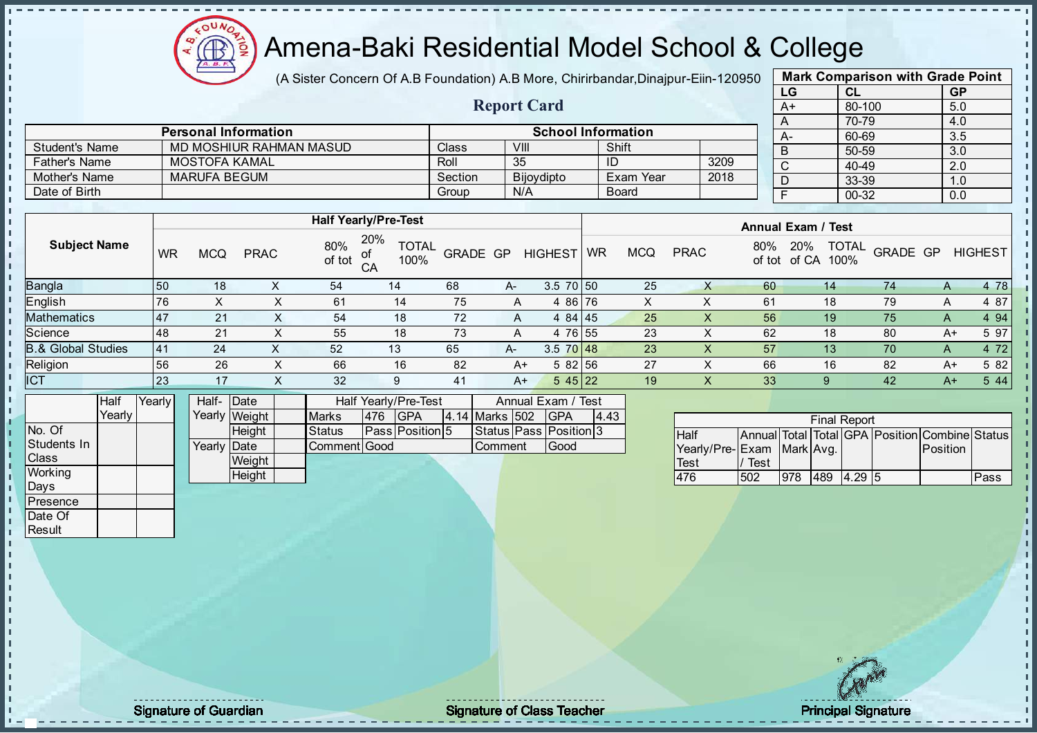Æ

## Amena-Baki Residential Model School & College

(A Sister Concern Of A.B Foundation) A.B More, Chirirbandar, Dinajpur-Eiin-120950

Report Card

| <b>Mark Comparison with Grade Point</b> |        |     |  |  |  |  |  |  |  |  |
|-----------------------------------------|--------|-----|--|--|--|--|--|--|--|--|
| LG<br><b>GP</b><br><b>CL</b>            |        |     |  |  |  |  |  |  |  |  |
| $A+$                                    | 80-100 | 5.0 |  |  |  |  |  |  |  |  |
| A                                       | 70-79  | 4.0 |  |  |  |  |  |  |  |  |
| A-                                      | 60-69  | 3.5 |  |  |  |  |  |  |  |  |
| B                                       | 50-59  | 3.0 |  |  |  |  |  |  |  |  |
| $\mathsf{C}$                            | 40-49  | 2.0 |  |  |  |  |  |  |  |  |
| D                                       | 33-39  | 1.0 |  |  |  |  |  |  |  |  |
| F                                       | 00-32  | 0.0 |  |  |  |  |  |  |  |  |
|                                         |        |     |  |  |  |  |  |  |  |  |

|                | <b>Personal Information</b> |         | <b>School Information</b> |              |      |
|----------------|-----------------------------|---------|---------------------------|--------------|------|
| Student's Name | MD MOSHIUR RAHMAN MASUD     | Class   | VIII                      | Shift        |      |
| Father's Name  | MOSTOFA KAMAL               | Roll    | 35                        |              | 3209 |
| Mother's Name  | MARUFA BEGUM                | Section | Bijoydipto                | Exam Year    | 2018 |
| Date of Birth  |                             | Group   | N/A                       | <b>Board</b> |      |

| 20%<br>80%<br><b>Subject Name</b><br><b>TOTAL</b><br><b>TOTAL</b><br>80%<br>20%<br>GRADE GP<br><b>HIGHEST</b><br><b>PRAC</b><br><b>WR</b><br>GRADE GP<br>MCQ<br><b>HIGHEST</b><br><b>PRAC</b><br>WR<br><b>MCQ</b><br>of tot<br>100%<br>of CA<br>100%<br>of tot<br>CA<br>4 78<br>3.5 70 50<br>54<br>25<br>68<br>60<br>74<br>150<br>18<br>14<br>14<br>A-<br>A<br>4 87<br>76<br>75<br>4 86 76<br>61<br>79<br>6 <sup>1</sup><br>14<br>18<br>A<br>⌒<br>Mathematics<br>4 94<br>18<br>72<br>25<br>56<br><b>47</b><br>21<br>54<br>4 84 45<br>75<br>19<br>A<br>A<br>⌒<br>5 97<br>4 76 55<br>23<br>21<br>55<br>18<br>73<br>62<br>80<br>48<br>18<br>A+<br>A<br>8.& Global Studies<br>4 7 2<br>23<br> 41<br>24<br>$3.5 \ 70 \ 48$<br>57<br>52<br>65<br>70<br>13<br>13 <sup>°</sup><br>A-<br>A<br>$\lambda$<br>5 82<br>27<br>66<br>56<br>26<br>82<br>5 82 56<br>82<br>66<br>16<br>16<br>$A+$<br>$A+$<br>5 4 4<br>17<br>545 22<br>23<br>19<br>32<br>33<br>42<br>X<br>$A+$<br>9<br>$A+$<br>41<br>9<br>$\lambda$ |            |  |  | <b>Half Yearly/Pre-Test</b> |  | <b>Annual Exam / Test</b> |  |  |  |  |  |  |  |
|--------------------------------------------------------------------------------------------------------------------------------------------------------------------------------------------------------------------------------------------------------------------------------------------------------------------------------------------------------------------------------------------------------------------------------------------------------------------------------------------------------------------------------------------------------------------------------------------------------------------------------------------------------------------------------------------------------------------------------------------------------------------------------------------------------------------------------------------------------------------------------------------------------------------------------------------------------------------------------------------------|------------|--|--|-----------------------------|--|---------------------------|--|--|--|--|--|--|--|
|                                                                                                                                                                                                                                                                                                                                                                                                                                                                                                                                                                                                                                                                                                                                                                                                                                                                                                                                                                                                  |            |  |  |                             |  |                           |  |  |  |  |  |  |  |
|                                                                                                                                                                                                                                                                                                                                                                                                                                                                                                                                                                                                                                                                                                                                                                                                                                                                                                                                                                                                  | Bangla     |  |  |                             |  |                           |  |  |  |  |  |  |  |
|                                                                                                                                                                                                                                                                                                                                                                                                                                                                                                                                                                                                                                                                                                                                                                                                                                                                                                                                                                                                  | English    |  |  |                             |  |                           |  |  |  |  |  |  |  |
|                                                                                                                                                                                                                                                                                                                                                                                                                                                                                                                                                                                                                                                                                                                                                                                                                                                                                                                                                                                                  |            |  |  |                             |  |                           |  |  |  |  |  |  |  |
|                                                                                                                                                                                                                                                                                                                                                                                                                                                                                                                                                                                                                                                                                                                                                                                                                                                                                                                                                                                                  | Science    |  |  |                             |  |                           |  |  |  |  |  |  |  |
|                                                                                                                                                                                                                                                                                                                                                                                                                                                                                                                                                                                                                                                                                                                                                                                                                                                                                                                                                                                                  |            |  |  |                             |  |                           |  |  |  |  |  |  |  |
|                                                                                                                                                                                                                                                                                                                                                                                                                                                                                                                                                                                                                                                                                                                                                                                                                                                                                                                                                                                                  | Religion   |  |  |                             |  |                           |  |  |  |  |  |  |  |
|                                                                                                                                                                                                                                                                                                                                                                                                                                                                                                                                                                                                                                                                                                                                                                                                                                                                                                                                                                                                  | <b>ICT</b> |  |  |                             |  |                           |  |  |  |  |  |  |  |

|              | Half   | Yearly | Half- Date  |               |               |     | Half Yearly/Pre-Test   |                | Annual Exam / Test           |      |
|--------------|--------|--------|-------------|---------------|---------------|-----|------------------------|----------------|------------------------------|------|
|              | Yearlv |        |             | Yearly Weight | <b>Marks</b>  | 476 | <b>IGPA</b>            | 4.14 Marks 502 | <b>IGPA</b>                  | 4.43 |
| No. Of       |        |        |             | Height        | <b>Status</b> |     | <b>Pass Position 5</b> |                | Status   Pass   Position   3 |      |
| Students In  |        |        | Yearly Date |               | Comment Good  |     |                        | lComment       | lGood                        |      |
| <b>Class</b> |        |        |             | Weight        |               |     |                        |                |                              |      |
| Working      |        |        |             | Height        |               |     |                        |                |                              |      |
| Days         |        |        |             |               |               |     |                        |                |                              |      |

|                           |      |     |     | <b>Final Report</b> |                                                |      |
|---------------------------|------|-----|-----|---------------------|------------------------------------------------|------|
| Half                      |      |     |     |                     | Annual Total Total GPA Position Combine Status |      |
| Yearly/Pre-Exam Mark Avg. |      |     |     |                     | Position                                       |      |
| Test                      | Test |     |     |                     |                                                |      |
| 476                       | 502  | 978 | 489 | 4.29                |                                                | Pass |

Presence Date Of **Result** 

J. J. J. h  $\mathbf{I}$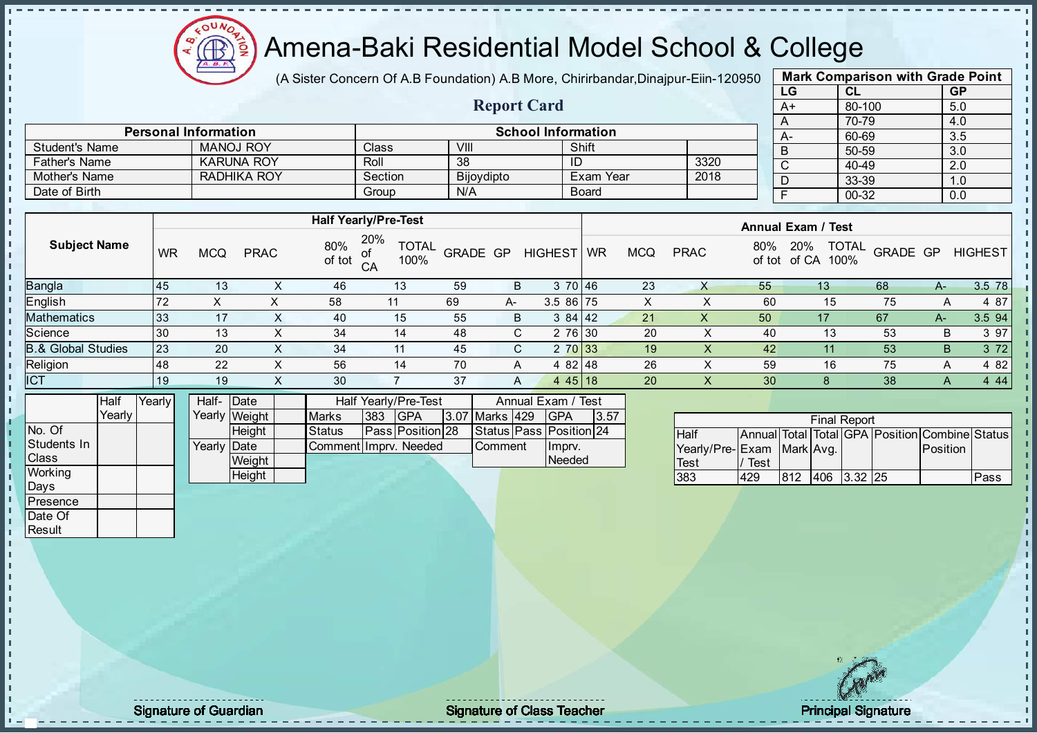

(A Sister Concern Of A.B Foundation) A.B More, Chirirbandar, Dinajpur-Eiin-120950

Report Card

|    | <b>Mark Comparison with Grade Point</b> |           |
|----|-----------------------------------------|-----------|
| LG | CL                                      | <b>GP</b> |
| A+ | 80-100                                  | 5.0       |
| A  | 70-79                                   | 4.0       |
| А- | 60-69                                   | 3.5       |
| B  | 50-59                                   | 3.0       |
| C  | 40-49                                   | 2.0       |
| D  | 33-39                                   | 1.0       |
| F  | $00 - 32$                               | 0.0       |
|    |                                         |           |

|                       |                             |                           |            |              |      |          | $70 - 7$ |
|-----------------------|-----------------------------|---------------------------|------------|--------------|------|----------|----------|
|                       | <b>Personal Information</b> | <b>School Information</b> |            |              | $A-$ | $60 - 6$ |          |
| <b>Student's Name</b> | <b>MANOJ ROY</b>            | Class                     | VIII       | Shift        |      |          | $50 - 5$ |
| <b>Father's Name</b>  | <b>KARUNA ROY</b>           | Roll                      | -38        | ıυ           | 3320 |          | $40 - 4$ |
| Mother's Name         | RADHIKA ROY                 | Section                   | Bijoydipto | Exam Year    | 2018 | ◡        | $33 - 3$ |
| Date of Birth         |                             | Group                     | N/A        | <b>Board</b> |      |          | $00 - 3$ |

| 20%<br>80%<br><b>Subject Name</b><br><b>TOTAL</b><br><b>TOTAL</b><br>20%<br>80%<br>GRADE GP<br><b>PRAC</b><br><b>WR</b><br><b>MCQ</b><br>GRADE GP<br><b>HIGHEST</b><br><b>PRAC</b><br>of<br><b>WR</b><br><b>MCQ</b><br>of tot<br>100%<br>100%<br>of tot of CA<br>CA<br><b>Bangla</b><br>3 70 46<br>23<br>59<br>B<br>55<br>45<br>46<br>13<br>68<br>13<br>13<br>$A-$<br>↗<br><b>English</b><br>3.5 86 75<br>75<br>72<br>58<br>69<br>60<br>15<br>11<br>$A-$<br>∧<br>384 42<br>B<br>21<br>17<br>40<br>67<br>$A-$ |             |    |  | <b>Half Yearly/Pre-Test</b> |    |  | <b>Annual Exam / Test</b> |  |  |    |  |  |  |                |
|--------------------------------------------------------------------------------------------------------------------------------------------------------------------------------------------------------------------------------------------------------------------------------------------------------------------------------------------------------------------------------------------------------------------------------------------------------------------------------------------------------------|-------------|----|--|-----------------------------|----|--|---------------------------|--|--|----|--|--|--|----------------|
|                                                                                                                                                                                                                                                                                                                                                                                                                                                                                                              |             |    |  |                             |    |  |                           |  |  |    |  |  |  | <b>HIGHEST</b> |
|                                                                                                                                                                                                                                                                                                                                                                                                                                                                                                              |             |    |  |                             |    |  |                           |  |  |    |  |  |  | 3.5 78         |
|                                                                                                                                                                                                                                                                                                                                                                                                                                                                                                              |             |    |  |                             |    |  |                           |  |  |    |  |  |  | 4 87           |
|                                                                                                                                                                                                                                                                                                                                                                                                                                                                                                              | Mathematics | 33 |  | 15                          | 55 |  |                           |  |  | 50 |  |  |  | 3.5 94         |
| Science<br>2 76 30<br>20<br>30<br>48<br>C.<br>53<br>34<br>40<br>В<br>13<br>13<br>14                                                                                                                                                                                                                                                                                                                                                                                                                          |             |    |  |                             |    |  |                           |  |  |    |  |  |  | 3 97           |
| <b>B.&amp; Global Studies</b><br>23<br>2 70 33<br>53<br>20<br>45<br>19<br>42<br>B<br>34<br>C.<br>X<br>11<br>$\sim$                                                                                                                                                                                                                                                                                                                                                                                           |             |    |  |                             |    |  |                           |  |  |    |  |  |  | 3 7 2          |
| Religion<br>26<br>22<br>59<br>75<br>48<br>56<br>70<br>4 82 48<br>16<br>14<br>A<br>A<br>⌒                                                                                                                                                                                                                                                                                                                                                                                                                     |             |    |  |                             |    |  |                           |  |  |    |  |  |  | 4 8 2          |
| <b>ICT</b><br>20<br>38<br>37<br>30<br>4 4 5 1 8<br>30<br>19<br>19<br>X<br>8<br>A<br>A<br>$\sim$                                                                                                                                                                                                                                                                                                                                                                                                              |             |    |  |                             |    |  |                           |  |  |    |  |  |  | 4 4 4          |

|                | Half     | Yearly | Half- Date  |               |                      |     | Half Yearly/Pre-Test    |                        | Annual Exam / Test      |      |
|----------------|----------|--------|-------------|---------------|----------------------|-----|-------------------------|------------------------|-------------------------|------|
|                | Yearlv I |        |             | Yearly Weight | <b>Marks</b>         | 383 | IGPA                    | <b>13.07 Marks 429</b> | <b>IGPA</b>             | 3.57 |
| INo. Of        |          |        |             | Height        | <b>Status</b>        |     | <b>Pass Position 28</b> |                        | Status Pass Position 24 |      |
| Students In    |          |        | Yearly Date |               | CommentHmpry, Needed |     |                         | <b>Comment</b>         | Ilmpry.                 |      |
| <b>Class</b>   |          |        |             | Weight        |                      |     |                         |                        | Needed                  |      |
| <b>Working</b> |          |        |             | Height        |                      |     |                         |                        |                         |      |

|                           |      |     | <b>Final Report</b> |                                                |      |
|---------------------------|------|-----|---------------------|------------------------------------------------|------|
| <b>Half</b>               |      |     |                     | Annual Total Total GPA Position Combine Status |      |
| Yearly/Pre-Exam Mark Avg. |      |     |                     | Position                                       |      |
| <b>Test</b>               | Test |     |                     |                                                |      |
| 383                       | 429  | 812 | 406 3.32 25         |                                                | Pass |

Days **Presence** Date Of **Result** 

h J.

 $\begin{bmatrix} 1 \\ 1 \\ 1 \\ 1 \end{bmatrix}$ 

 $\mathbf{I}$ 

experiment of Guardian and Signature of Class Teacher Principal Signature of Class Teacher Principal Signature<br>Signature of Class Teacher Principal Signature of Class Teacher Principal Signature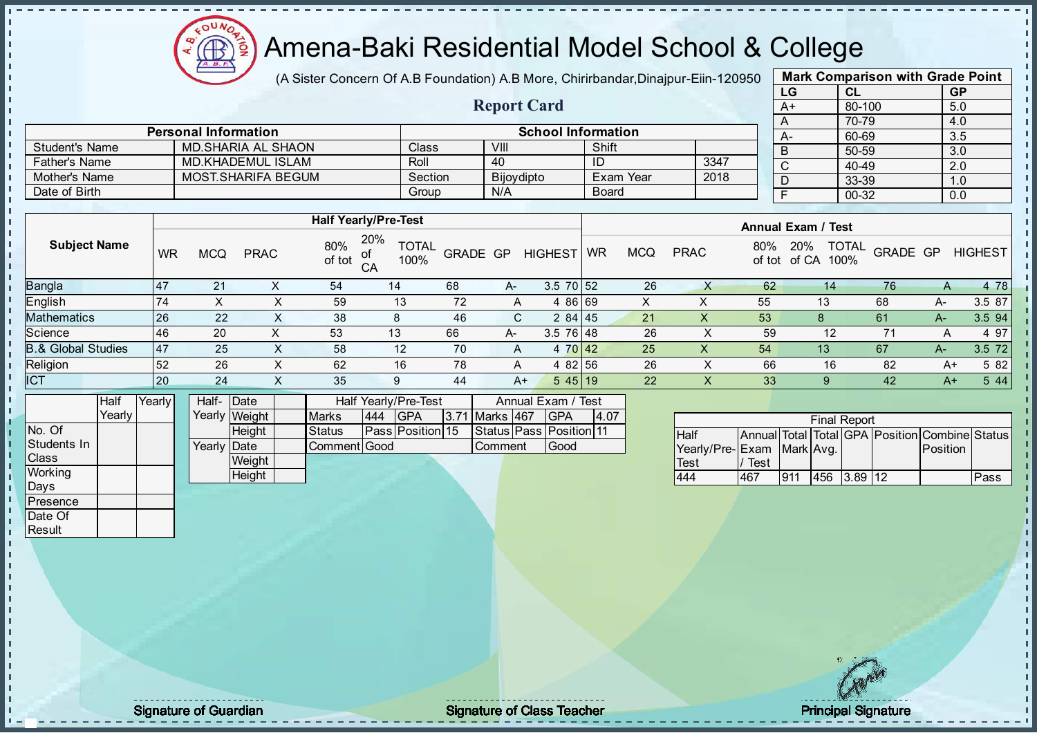

(A Sister Concern Of A.B Foundation) A.B More, Chirirbandar, Dinajpur-Eiin-120950

Report Card

|    | <b>Mark Comparison with Grade Point</b> |           |  |  |  |  |  |  |  |  |  |
|----|-----------------------------------------|-----------|--|--|--|--|--|--|--|--|--|
| LG | CL                                      | <b>GP</b> |  |  |  |  |  |  |  |  |  |
| A+ | 80-100                                  | 5.0       |  |  |  |  |  |  |  |  |  |
| A  | 70-79                                   | 4.0       |  |  |  |  |  |  |  |  |  |
| А- | 60-69                                   | 3.5       |  |  |  |  |  |  |  |  |  |
| B  | 50-59                                   | 3.0       |  |  |  |  |  |  |  |  |  |
| C  | 40-49                                   | 2.0       |  |  |  |  |  |  |  |  |  |
| D  | 33-39                                   | 1.0       |  |  |  |  |  |  |  |  |  |
| F  | 00-32                                   | 0.0       |  |  |  |  |  |  |  |  |  |
|    |                                         |           |  |  |  |  |  |  |  |  |  |

|                       | <b>Personal Information</b> |              | <b>School Information</b> |           |      | А-             |
|-----------------------|-----------------------------|--------------|---------------------------|-----------|------|----------------|
| <b>Student's Name</b> | MD SHARIA AL SHAON          | <b>Class</b> | VIII                      | Shift     |      | $\overline{B}$ |
| <b>Father's Name</b>  | MD.KHADEMUL ISLAM           | Roll         | 40                        | ID        | 3347 | C              |
| Mother's Name         | <b>MOST.SHARIFA BEGUM</b>   | Section      | Bijoydipto                | Exam Year | 2018 |                |
| Date of Birth         |                             | Group        | N/A                       | Board     |      |                |

|                               |     |     |             |               | <b>Half Yearly/Pre-Test</b> |          |      |                 | <b>Annual Exam / Test</b> |            |             |     |                                             |          |      |                |
|-------------------------------|-----|-----|-------------|---------------|-----------------------------|----------|------|-----------------|---------------------------|------------|-------------|-----|---------------------------------------------|----------|------|----------------|
| <b>Subject Name</b>           | WR  | MCQ | <b>PRAC</b> | 80%<br>of tot | 20%<br><b>TOTAL</b><br>100% | GRADE GP |      | <b>HIGHEST</b>  | <b>WR</b>                 | <b>MCQ</b> | <b>PRAC</b> | 80% | <b>TOTAL</b><br>20%<br>of tot of CA<br>100% | GRADE GP |      | <b>HIGHEST</b> |
| <b>Bangla</b>                 | 147 | 21  |             | 54            | 14                          | 68       | $A-$ | $3.5$ 70 $52$   |                           | 26         | $\sim$      | 62  | 14                                          | 76       | A    | 4 78           |
| English                       | 74  |     |             | 59            | 13                          | 72       | A    | 4 86 69         |                           | X          | ↗           | 55  | 13                                          | 68       | A-   | 3.5 87         |
| <b>Mathematics</b>            | 26  | 22  |             | 38            |                             | 46       | C.   | 2 84 45         |                           | 21         |             | 53  |                                             | 61       | A-   | 3.5 94         |
| Science                       | 46  | 20  | $\sim$      | 53            | 13                          | 66       | A-   | $3.5 \ 76 \ 48$ |                           | 26         |             | 59  | 12                                          |          | A    | 4 97           |
| <b>B.&amp; Global Studies</b> | 47  | 25  |             | 58            | 12                          | 70       | A    | 4 70 42         |                           | 25         |             | 54  | 13                                          | 67       | A-   | 3.5 72         |
| Religion                      | 52  | 26  | х           | 62            | 16                          | 78       | A    | 4 82 56         |                           | 26         | ⌒           | 66  | 16                                          | 82       | A+   | 5 82           |
| <b>ICT</b>                    | 20  | 24  |             | 35            |                             | 44       | $A+$ | 545 19          |                           | 22         |             | 33  |                                             | 42       | $A+$ | 5 4 4          |
|                               |     |     |             |               |                             |          |      |                 |                           |            |             |     |                                             |          |      |                |

|              | Half     | Yearly | Half-Date   |               |              | Half Yearly/Pre-Test | Annual Exam / Test      |                |  |                               |      |
|--------------|----------|--------|-------------|---------------|--------------|----------------------|-------------------------|----------------|--|-------------------------------|------|
|              | Yearlv l |        |             | Yearly Weight | <b>Marks</b> | 444                  | <b>IGPA</b>             | 3.71 Marks 467 |  | IGPA                          | 4.07 |
| No. Of       |          |        |             | <b>Height</b> | Status       |                      | <b>Pass Position 15</b> |                |  | Status   Pass   Position   11 |      |
| Students In  |          |        | Yearly Date |               | Comment Good |                      |                         | l Comment      |  | Good                          |      |
| <b>Class</b> |          |        |             | Weight        |              |                      |                         |                |  |                               |      |
| Working      |          |        |             | <b>Height</b> |              |                      |                         |                |  |                               |      |
| Days         |          |        |             |               |              |                      |                         |                |  |                               |      |

|                           |      |     | <b>Final Report</b> |                                                |      |
|---------------------------|------|-----|---------------------|------------------------------------------------|------|
| <b>Half</b>               |      |     |                     | Annual Total Total GPA Position Combine Status |      |
| Yearly/Pre-Exam Mark Avg. |      |     |                     | Position                                       |      |
| Test                      | Test |     |                     |                                                |      |
| 444                       | 467  | 911 | 456 3.89 12         |                                                | Pass |

**Presence** Date Of **Result** 

- n -f J. İ  $\blacksquare$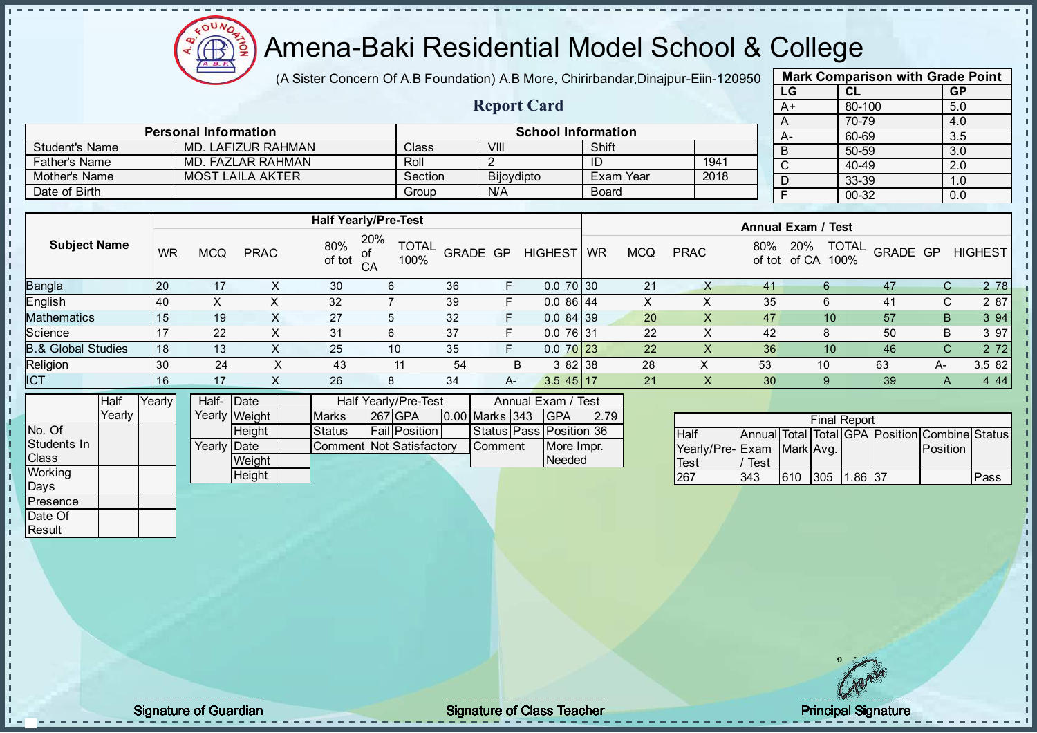

(A Sister Concern Of A.B Foundation) A.B More, Chirirbandar, Dinajpur-Eiin-120950

Report Card

| <b>Mark Comparison with Grade Point</b> |        |           |  |  |  |  |  |  |  |  |
|-----------------------------------------|--------|-----------|--|--|--|--|--|--|--|--|
| LG                                      | CL     | <b>GP</b> |  |  |  |  |  |  |  |  |
| $A+$                                    | 80-100 | 5.0       |  |  |  |  |  |  |  |  |
| A                                       | 70-79  | 4.0       |  |  |  |  |  |  |  |  |
| A-                                      | 60-69  | 3.5       |  |  |  |  |  |  |  |  |
| B                                       | 50-59  | 3.0       |  |  |  |  |  |  |  |  |
| C                                       | 40-49  | 2.0       |  |  |  |  |  |  |  |  |
| D                                       | 33-39  | 1.0       |  |  |  |  |  |  |  |  |
| F                                       | 00-32  | 0.0       |  |  |  |  |  |  |  |  |
|                                         |        |           |  |  |  |  |  |  |  |  |

|                       | <b>Personal Information</b> |              | <b>School Information</b> |              |      |  |
|-----------------------|-----------------------------|--------------|---------------------------|--------------|------|--|
| <b>Student's Name</b> | MD. LAFIZUR RAHMAN          | <b>Class</b> | VIII                      | Shift        |      |  |
| <b>Father's Name</b>  | MD. FAZLAR RAHMAN           | Roll         |                           | ID           | 1941 |  |
| Mother's Name         | <b>MOST LAILA AKTER</b>     | Section      | Bijoydipto                | Exam Year    | 2018 |  |
| Date of Birth         |                             | Group        | N/A                       | <b>Board</b> |      |  |

|                               |           |            |             |               | <b>Half Yearly/Pre-Test</b>       |                 |    |                |           | <b>Annual Exam / Test</b> |             |     |                             |                          |    |                |
|-------------------------------|-----------|------------|-------------|---------------|-----------------------------------|-----------------|----|----------------|-----------|---------------------------|-------------|-----|-----------------------------|--------------------------|----|----------------|
| <b>Subject Name</b>           | <b>WR</b> | <b>MCQ</b> | <b>PRAC</b> | 80%<br>of tot | 20%<br><b>TOTAL</b><br>100%<br>CA | <b>GRADE GP</b> |    | <b>HIGHEST</b> | <b>WR</b> | <b>MCQ</b>                | <b>PRAC</b> | 80% | 20%<br>of tot of CA<br>100% | <b>TOTAL</b><br>GRADE GP |    | <b>HIGHEST</b> |
| Bangla                        | 120       | 17         |             | 30            | 6                                 | 36              | F  | $0.070$ 30     |           | 21                        |             | 41  |                             | 47                       | C. | 2 78           |
| English                       | <b>40</b> | X          | X           | 32            |                                   | 39              |    | $0.086$ 44     |           | X                         |             | 35  | 6                           | 41                       | C. | 2 87           |
| <b>Mathematics</b>            | 115       | 19         |             | 27            |                                   | 32              | F  | $0.084$ 39     |           | 20                        |             | 47  | 10                          | 57                       | B  | 3 9 4          |
| Science                       | -17       | 22         |             | 31            | 6                                 | 37              | F  | $0.076$ 31     |           | 22                        |             | 42  |                             | 50                       | В  | 3 97           |
| <b>B.&amp; Global Studies</b> | 18        | 13         |             | 25            | 10                                | 35              | F  | $0.070$ 23     |           | 22                        | X           | 36  | 10                          | 46                       | C. | 2 7 2          |
| Religion                      | 30        | 24         |             | 43            | 11                                | 54              |    | 382 38<br>B    |           | 28                        | ∧           | 53  | 10                          | 63                       | А- | 3.5 82         |
| <b>ICT</b>                    | 16        | 17         |             | 26            | 8                                 | 34              | A- | $3.545$ 17     |           | 21                        | ⋏           | 30  |                             | 39                       |    | 4 4 4          |
|                               |           |            |             |               |                                   |                 |    |                |           |                           |             |     |                             |                          |    |                |

|                | Half   | Yearly | Half- Date  |               | Half Yearly/Pre-Test     |  |                      |  |                | Annual Exam / Test |                         |      |  |
|----------------|--------|--------|-------------|---------------|--------------------------|--|----------------------|--|----------------|--------------------|-------------------------|------|--|
|                | Yearlv |        |             | Yearly Weight | <b>Marks</b>             |  | 267 GPA              |  | 0.00 Marks 343 |                    | <b>IGPA</b>             | 2.79 |  |
| No. Of         |        |        |             | <b>Height</b> | <b>Status</b>            |  | <b>Fail Position</b> |  |                |                    | Status Pass Position 36 |      |  |
| Students In    |        |        | Yearly Date |               | Comment Not Satisfactory |  |                      |  | <b>Comment</b> |                    | More Impr.              |      |  |
| <b>Class</b>   |        |        |             | Weight        |                          |  |                      |  |                |                    | Needed                  |      |  |
| <b>Working</b> |        |        |             | Height        |                          |  |                      |  |                |                    |                         |      |  |
| <b>Days</b>    |        |        |             |               |                          |  |                      |  |                |                    |                         |      |  |

|                            |      |     | <b>Final Report</b> |                                                |      |
|----------------------------|------|-----|---------------------|------------------------------------------------|------|
| <b>Half</b>                |      |     |                     | Annual Total Total GPA Position Combine Status |      |
| Yearly/Pre- Exam Mark Avg. |      |     |                     | <b>Position</b>                                |      |
| <b>Test</b>                | Test |     |                     |                                                |      |
| 267                        | 343  | 610 | 305 1.86 37         |                                                | Pass |

**Presence** Date Of **Result** 

п T. J. D  $\frac{1}{1}$  $\mathbf{I}$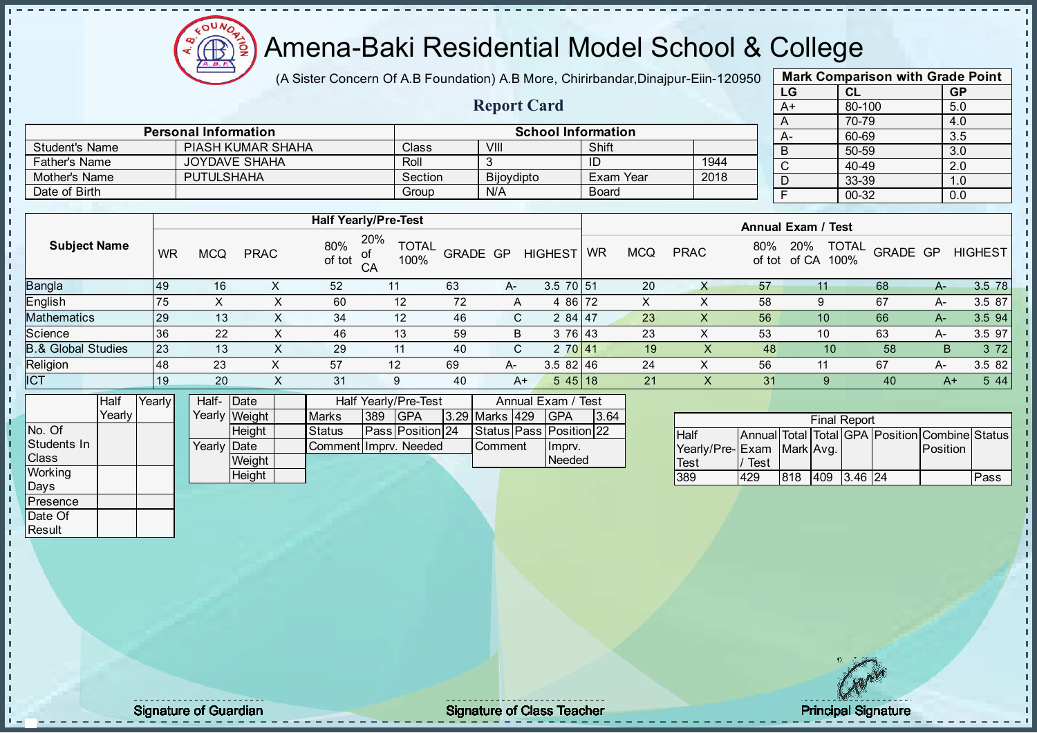

(A Sister Concern Of A.B Foundation) A.B More, Chirirbandar, Dinajpur-Eiin-120950

Report Card

| <b>Mark Comparison with Grade Point</b> |           |           |  |  |  |  |  |  |  |  |
|-----------------------------------------|-----------|-----------|--|--|--|--|--|--|--|--|
| LG                                      | <b>CL</b> | <b>GP</b> |  |  |  |  |  |  |  |  |
| $A+$                                    | 80-100    | 5.0       |  |  |  |  |  |  |  |  |
| A                                       | 70-79     | 4.0       |  |  |  |  |  |  |  |  |
|                                         | 60-69     | 3.5       |  |  |  |  |  |  |  |  |
| B                                       | 50-59     | 3.0       |  |  |  |  |  |  |  |  |
| C                                       | 40-49     | 2.0       |  |  |  |  |  |  |  |  |
|                                         | 33-39     | 1.0       |  |  |  |  |  |  |  |  |
|                                         | 00-32     | 0.0       |  |  |  |  |  |  |  |  |
|                                         |           |           |  |  |  |  |  |  |  |  |

|                | <b>Personal Information</b> |         | <b>School Information</b> |              |      |
|----------------|-----------------------------|---------|---------------------------|--------------|------|
| Student's Name | PIASH KUMAR SHAHA           | Class   | VIII                      | Shift        |      |
| Father's Name  | JOYDAVE SHAHA               | Roll    |                           | - ID         | 1944 |
| Mother's Name  | <b>PUTULSHAHA</b>           | Section | Bijoydipto                | Exam Year    | 2018 |
| Date of Birth  |                             | Group   | N/A                       | <b>Board</b> |      |

|                     |           |            |             | <b>Half Yearly/Pre-Test</b> |                             |          |              |                |           |            |             |     | <b>Annual Exam / Test</b>                   |          |    |                |  |  |
|---------------------|-----------|------------|-------------|-----------------------------|-----------------------------|----------|--------------|----------------|-----------|------------|-------------|-----|---------------------------------------------|----------|----|----------------|--|--|
| <b>Subject Name</b> | <b>WR</b> | <b>MCQ</b> | <b>PRAC</b> | 80%<br>of tot<br>CA         | 20%<br><b>TOTAL</b><br>100% | GRADE GP |              | <b>HIGHEST</b> | <b>WR</b> | <b>MCQ</b> | <b>PRAC</b> | 80% | <b>TOTAL</b><br>20%<br>of tot of CA<br>100% | GRADE GP |    | <b>HIGHEST</b> |  |  |
| Bangla              | 49        | 16         |             | 52                          |                             | 63       | A-           | $3.5$ 70 51    |           | 20         |             | 57  | 11                                          | 68       | A- | 3.5 78         |  |  |
| English             | 75        | X          | х           | 60                          | 12                          | 72       | $\mathsf{A}$ | 4 86 72        |           | X          | ᄉ           | 58  | 9                                           | 67       | А- | 3.5 87         |  |  |
| Mathematics         | <b>29</b> | 13         |             | 34                          | 12                          | 46       | C.           | $284$ 47       |           | 23         | X           | 56  | 10                                          | 66       | A- | 3.5 94         |  |  |
| Science             | 36        | 22         | х           | 46                          | 13                          | 59       | B            | 3 76 43        |           | 23         | ∧           | 53  | 10                                          | 63       | A- | 3.5 97         |  |  |
| 8.& Global Studies  | 23        | 13         | X           | 29                          | 11                          | 40       | C.           | 2 70 41        |           | 19         |             | 48  | 10                                          | 58       | B. | 3 7 2          |  |  |
| Religion            | <b>48</b> | 23         |             | 57                          | 12                          | 69       | A-           | $3.582$ 46     |           | 24         | ∧           | 56  | 11                                          | 67       | А- | 3.5 82         |  |  |
| <b>ICT</b>          | 19        | 20         | v<br>⌒      | 31                          | 9                           | 40       | $A+$         | $545$ 18       |           | 21         | $\sim$      | 31  | 9                                           | 40       | A+ | 5 4 4          |  |  |
|                     |           |            |             |                             |                             |          |              |                |           |            |             |     |                                             |          |    |                |  |  |

|                | <b>Half</b> | Yearly | Half- Date           |               |                       |     | Half Yearly/Pre-Test    | Annual Exam / Test |  |                         |      |
|----------------|-------------|--------|----------------------|---------------|-----------------------|-----|-------------------------|--------------------|--|-------------------------|------|
|                | Yearlv I    |        |                      | Yearly Weight | <b>Marks</b>          | 389 | <b>IGPA</b>             | 3.29 Marks 429     |  | IGPA                    | 3.64 |
| INo. Of        |             |        |                      | <b>Height</b> | <b>Status</b>         |     | <b>Pass Position 24</b> |                    |  | Status Pass Position 22 |      |
| Students In    |             |        | Yearlv <b>I</b> Date |               | Comment Impry, Needed |     |                         | <b>Comment</b>     |  | Imprv.                  |      |
| <b>Class</b>   |             |        |                      | Weight        |                       |     |                         |                    |  | Needed                  |      |
| <b>Working</b> |             |        |                      | Height        |                       |     |                         |                    |  |                         |      |

|                           |      |     | <b>Final Report</b> |                                                |      |
|---------------------------|------|-----|---------------------|------------------------------------------------|------|
| <b>Half</b>               |      |     |                     | Annual Total Total GPA Position Combine Status |      |
| Yearly/Pre-Exam Mark Avg. |      |     |                     | Position                                       |      |
| <b>Test</b>               | Test |     |                     |                                                |      |
| 389                       | 429  | 818 | 409 3.46 24         |                                                | Pass |

Days **Presence** Date Of **Result** 

J. D  $\frac{1}{1}$  $\mathbf{I}$ 

extending the Class Teacher Class Teacher Class Teacher Principal Signature of Guardian Class Teacher Principal Signature of Class Teacher Principal Signature of Class Teacher Principal Signature of Class Teacher Class Tea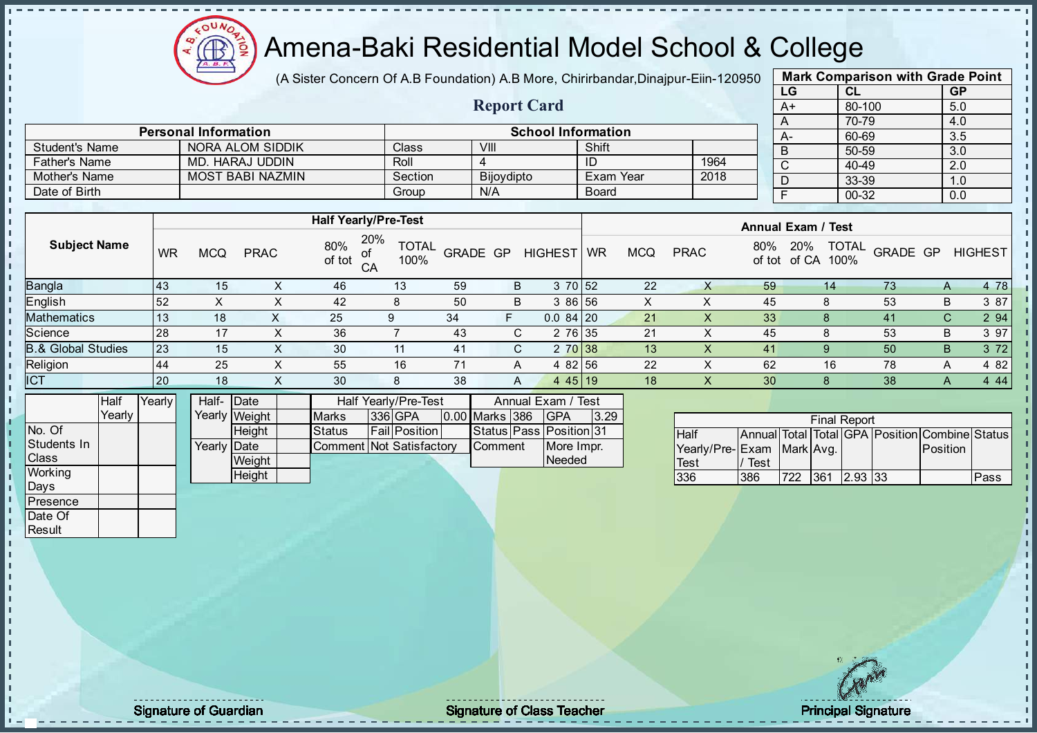

(A Sister Concern Of A.B Foundation) A.B More, Chirirbandar, Dinajpur-Eiin-120950

Report Card

| <b>Mark Comparison with Grade Point</b> |           |           |  |  |  |  |  |  |  |  |
|-----------------------------------------|-----------|-----------|--|--|--|--|--|--|--|--|
| LG                                      | <b>CL</b> | <b>GP</b> |  |  |  |  |  |  |  |  |
| $A+$                                    | 80-100    | 5.0       |  |  |  |  |  |  |  |  |
| A                                       | 70-79     | 4.0       |  |  |  |  |  |  |  |  |
|                                         | 60-69     | 3.5       |  |  |  |  |  |  |  |  |
| B                                       | 50-59     | 3.0       |  |  |  |  |  |  |  |  |
| С                                       | 40-49     | 2.0       |  |  |  |  |  |  |  |  |
|                                         | 33-39     | 1.0       |  |  |  |  |  |  |  |  |
|                                         | 00-32     | 0.0       |  |  |  |  |  |  |  |  |
|                                         |           |           |  |  |  |  |  |  |  |  |

|                | <b>Personal Information</b> |         | <b>School Information</b> |              |      |
|----------------|-----------------------------|---------|---------------------------|--------------|------|
| Student's Name | NORA ALOM SIDDIK            | Class   | VIII                      | Shift        |      |
| Father's Name  | MD. HARAJ UDDIN             | Roll    |                           |              | 1964 |
| Mother's Name  | MOST BABI NAZMIN            | Section | <b>Bijoydipto</b>         | Exam Year    | 2018 |
| Date of Birth  |                             | Group   | N/A                       | <b>Board</b> |      |

|                               |           |                         |             | <b>Half Yearly/Pre-Test</b> |                                                                                                                                                                                                                                                                                                                                                    |          |    |                |           |            |             |               | <b>Annual Exam / Test</b> |                      |          |    |                |
|-------------------------------|-----------|-------------------------|-------------|-----------------------------|----------------------------------------------------------------------------------------------------------------------------------------------------------------------------------------------------------------------------------------------------------------------------------------------------------------------------------------------------|----------|----|----------------|-----------|------------|-------------|---------------|---------------------------|----------------------|----------|----|----------------|
| <b>Subject Name</b>           | <b>WR</b> | <b>MCQ</b>              | <b>PRAC</b> | 80%<br>0f<br>of tot<br>CA   | 20%<br><b>TOTAL</b><br>100%                                                                                                                                                                                                                                                                                                                        | GRADE GP |    | <b>HIGHEST</b> | <b>WR</b> | <b>MCQ</b> | <b>PRAC</b> | 80%<br>of tot | 20%<br>of CA              | <b>TOTAL</b><br>100% | GRADE GP |    | <b>HIGHEST</b> |
| <b>Bangla</b>                 | 43        | 15                      |             | 46                          | 13                                                                                                                                                                                                                                                                                                                                                 | 59       | B  | 3 70 52        |           | 22         |             | 59            | 14                        |                      | 73       |    | 4 78           |
| <b>English</b>                | 52        |                         |             | 42                          | 8                                                                                                                                                                                                                                                                                                                                                  | 50       | В  | 3 86 56        |           |            |             | 45            |                           |                      | 53       | B  | 3 87           |
| Mathematics                   | 13        | 18                      |             | 25                          | ġ                                                                                                                                                                                                                                                                                                                                                  | 34       | F  | $0.084$ 20     |           | 21         |             | 33            | <u>ະ</u>                  |                      | 41       | C. | 2 94           |
| Science                       | 28        | 17                      |             | 36                          |                                                                                                                                                                                                                                                                                                                                                    | 43       | C. | 2 76 35        |           | 21         |             | 45            | 8                         |                      | 53       | B  | 3 97           |
| <b>B.&amp; Global Studies</b> | 23        | 15                      |             | 30                          | 11                                                                                                                                                                                                                                                                                                                                                 | 41       | C. | 2 70 38        |           | 13         |             | 41            | -9                        |                      | 50       | B  | 3 7 2          |
| Religion                      | 44        | 25                      |             | 55                          | 16                                                                                                                                                                                                                                                                                                                                                 |          | A  | 4 82 56        |           | 22         |             | 62            | 16                        |                      | 78       |    | 4 8 2          |
| <b>ICT</b>                    | <b>20</b> | 18                      | X           | 30                          | 8                                                                                                                                                                                                                                                                                                                                                  | 38       | A  | 4 4 5 1 9      |           | 18         | ∧           | 30            |                           |                      | 38       | A  | 4 4 4          |
| lu un                         | <b>K</b>  | $\mathbf{r}$ is the set |             |                             | $\mathbf{1}$ $\mathbf{1}$ $\mathbf{1}$ $\mathbf{1}$ $\mathbf{1}$ $\mathbf{1}$ $\mathbf{1}$ $\mathbf{1}$ $\mathbf{1}$ $\mathbf{1}$ $\mathbf{1}$ $\mathbf{1}$ $\mathbf{1}$ $\mathbf{1}$ $\mathbf{1}$ $\mathbf{1}$ $\mathbf{1}$ $\mathbf{1}$ $\mathbf{1}$ $\mathbf{1}$ $\mathbf{1}$ $\mathbf{1}$ $\mathbf{1}$ $\mathbf{1}$ $\mathbf{$<br>$\mathbf{r}$ |          |    |                |           |            |             |               |                           |                      |          |    |                |

|                | <b>Half</b> | Yearly | Half- Date          |               |                          | Half Yearly/Pre-Test |                  | Annual Exam / Test      |      |
|----------------|-------------|--------|---------------------|---------------|--------------------------|----------------------|------------------|-------------------------|------|
|                | Yearlv      |        |                     | Yearly Weight | <b>Marks</b>             | 336 GPA              | 0.00 Marks 386   | <b>IGPA</b>             | 3.29 |
| No. Of         |             |        |                     | <b>Height</b> | <b>Status</b>            | <b>Fail Position</b> |                  | Status Pass Position 31 |      |
| Students In    |             |        | Yearly <b>IDate</b> |               | Comment Not Satisfactory |                      | <b>I</b> Comment | More Impr.              |      |
| <b>Class</b>   |             |        |                     | Weight        |                          |                      |                  | Needed                  |      |
| <b>Working</b> |             |        |                     | <b>Height</b> |                          |                      |                  |                         |      |

|                           | <b>Final Report</b><br>Annual Total Total GPA Position Combine Status |     |     |         |  |          |      |  |  |  |  |  |
|---------------------------|-----------------------------------------------------------------------|-----|-----|---------|--|----------|------|--|--|--|--|--|
| <b>Half</b>               |                                                                       |     |     |         |  |          |      |  |  |  |  |  |
| Yearly/Pre-Exam Mark Avg. |                                                                       |     |     |         |  | Position |      |  |  |  |  |  |
| Test                      | Test                                                                  |     |     |         |  |          |      |  |  |  |  |  |
| 336                       | 386                                                                   | 722 | 361 | 2.93 33 |  |          | Pass |  |  |  |  |  |

Days **Presence** Date Of **Result** 

п h J. п  $\frac{1}{1}$  $\mathbf{I}$ 

extending the Class Teacher Class Teacher Class Teacher Principal Signature of Guardian Class Teacher Principal Signature of Class Teacher Principal Signature of Class Teacher Principal Signature of Class Teacher Class Tea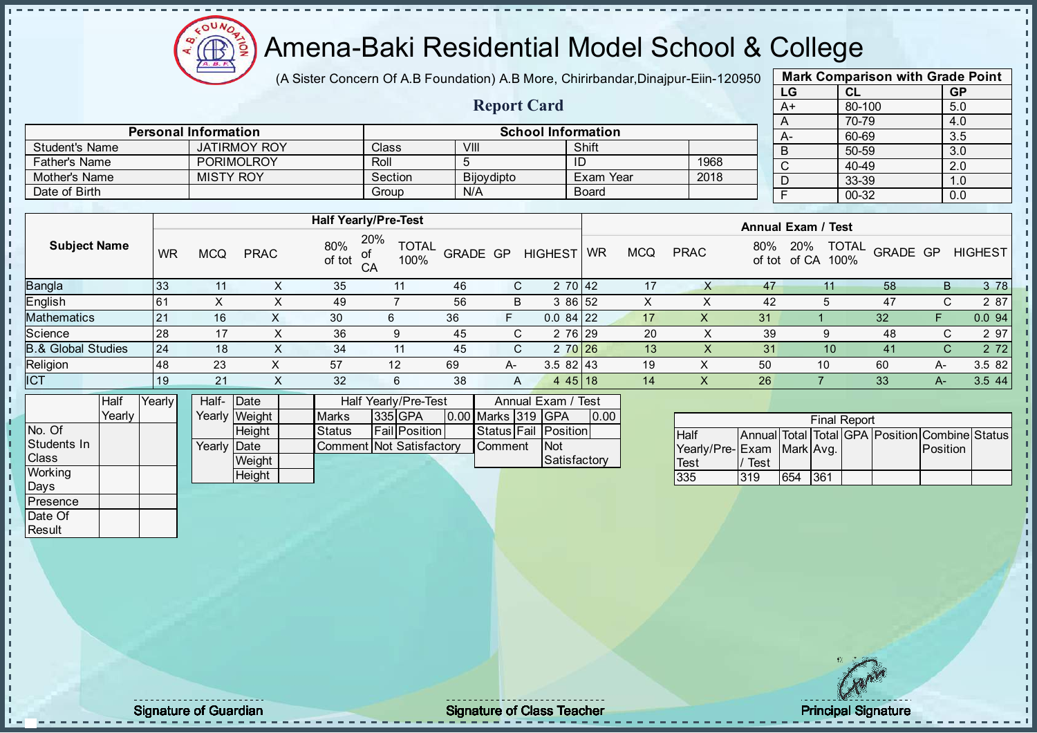

(A Sister Concern Of A.B Foundation) A.B More, Chirirbandar, Dinajpur-Eiin-120950

Report Card

| <b>Mark Comparison with Grade Point</b> |           |           |  |  |  |  |  |  |  |  |
|-----------------------------------------|-----------|-----------|--|--|--|--|--|--|--|--|
| LG                                      | <b>CL</b> | <b>GP</b> |  |  |  |  |  |  |  |  |
| $A+$                                    | 80-100    | 5.0       |  |  |  |  |  |  |  |  |
| A                                       | 70-79     | 4.0       |  |  |  |  |  |  |  |  |
| А-                                      | 60-69     | 3.5       |  |  |  |  |  |  |  |  |
| B                                       | 50-59     | 3.0       |  |  |  |  |  |  |  |  |
| C                                       | 40-49     | 2.0       |  |  |  |  |  |  |  |  |
|                                         | 33-39     | 1.0       |  |  |  |  |  |  |  |  |
|                                         | $00 - 32$ | 0.0       |  |  |  |  |  |  |  |  |
|                                         |           |           |  |  |  |  |  |  |  |  |

|                       |    |                  |                     |                             |                    |                            |                 | ____________________ |                 |            |      |     | - A-                      | פס-טס                    |                | .ა.ა           |
|-----------------------|----|------------------|---------------------|-----------------------------|--------------------|----------------------------|-----------------|----------------------|-----------------|------------|------|-----|---------------------------|--------------------------|----------------|----------------|
| <b>Student's Name</b> |    |                  | <b>JATIRMOY ROY</b> |                             | Class <sup>1</sup> |                            | VIII            |                      | Shift           |            |      |     | B                         | 50-59                    |                | 3.0            |
| Father's Name         |    |                  | <b>PORIMOLROY</b>   |                             | Roll               |                            |                 |                      | ID              |            | 1968 |     |                           | 40-49                    |                | 2.0            |
| Mother's Name         |    | <b>MISTY ROY</b> |                     |                             |                    | Section                    | Bijoydipto      |                      | Exam Year       |            | 2018 |     |                           | 33-39                    |                | 1.0            |
| Date of Birth         |    |                  |                     |                             | Group              |                            | N/A             |                      | Board           |            |      |     |                           | 00-32                    |                | 0.0            |
|                       |    |                  |                     |                             |                    |                            |                 |                      |                 |            |      |     |                           |                          |                |                |
|                       |    |                  |                     | <b>Half Yearly/Pre-Test</b> |                    |                            |                 |                      |                 |            |      |     | <b>Annual Exam / Test</b> |                          |                |                |
| <b>Subject Name</b>   | WR | <b>MCQ</b>       | <b>PRAC</b>         | 80%<br>$-111$               | 20%                | <b>TOTAL</b><br>$\sqrt{2}$ | <b>GRADE GP</b> | <b>HIGHEST</b>       | WR <sup>1</sup> | <b>MCQ</b> | PRAC | 80% | 20%                       | $-11 - 1$ $-101$ $-1001$ | TOTAL GRADE GP | <b>HIGHEST</b> |

Personal Information School Information

| $\sim$ $\sim$ $\sim$ $\sim$ $\sim$ $\sim$ $\sim$ | WR             | <b>MCQ</b> | <b>PRAC</b> | <u> 70 v</u><br>of tot | ∟רו שו<br>100%<br>CΑ | <b>GRADE GP</b> |    | <b>HIGHEST</b> | WR | MCQ | <b>PRAC</b> | 0070<br>of tot | 20 / U<br>of CA<br>100% | $\sim$<br>GRADE GP |      | HIGHEST    |
|--------------------------------------------------|----------------|------------|-------------|------------------------|----------------------|-----------------|----|----------------|----|-----|-------------|----------------|-------------------------|--------------------|------|------------|
| Bangla                                           | 33             |            |             | 35                     |                      | 46              |    | 2 70 42        |    |     |             | 47             |                         | 58                 |      | 3 7 8<br>B |
| English                                          | 6 <sup>′</sup> |            |             | 49                     |                      | 56              | В  | 3 86 52        |    |     |             | 42             |                         | 47                 |      | 2 87       |
| <b>Mathematics</b>                               | 21             | 16         |             | 30                     |                      | 36              |    | $0.084$ 22     |    |     |             | 31             |                         | -32                |      | 0.094      |
| Science                                          | 28             |            |             | 36                     | 9                    | 45              |    | 2 76 29        |    | 20  |             | 39             |                         | 48                 |      | 2 97       |
| <b>B.&amp; Global Studies</b>                    | 24             | 18         |             | 34                     | 11                   | 45              |    | 2 70 26        |    | 13  |             | 31             | 10                      | 41                 |      | 2 7 2      |
| Religion                                         | 48             | 23         |             | 57                     | 12                   | 69              | A- | $3.582$   43   |    | 19  |             | 50             | 10                      | 60                 | A-   | 3.5 82     |
| <b>ICT</b>                                       | 19             | 21         |             | 32                     | 6                    | 38              | A  | 4 4 5 1 1 8    |    | 14  | ∧           | 26             |                         | 33                 | $A-$ | 3.544      |

|                | <b>Half</b> | Yearly | Half- Date  |               |                          | <b>Half Yearly/Pre-Test</b> |                    | Annual Exam / Test   |      |
|----------------|-------------|--------|-------------|---------------|--------------------------|-----------------------------|--------------------|----------------------|------|
|                | Yearly      |        |             | Yearly Weight | <b>Marks</b>             | 335 GPA                     | 0.00 Marks 319 GPA |                      | 0.00 |
| No. Of         |             |        |             | <b>Height</b> | <b>Status</b>            | <b>Fail Position</b>        |                    | Status Fail Position |      |
| Students In    |             |        | Yearly Date |               | Comment Not Satisfactory |                             | <b>Comment</b>     | <b>INot</b>          |      |
| <b>I</b> Class |             |        |             | Weight        |                          |                             |                    | Satisfactory         |      |
| Working        |             |        |             | Height        |                          |                             |                    |                      |      |

| <b>Final Report</b><br>Annual Total Total GPA Position Combine Status |      |     |     |  |  |                 |  |  |  |  |  |
|-----------------------------------------------------------------------|------|-----|-----|--|--|-----------------|--|--|--|--|--|
| <b>Half</b>                                                           |      |     |     |  |  |                 |  |  |  |  |  |
| Yearly/Pre- Exam Mark Avg.                                            |      |     |     |  |  | <b>Position</b> |  |  |  |  |  |
| <b>Test</b>                                                           | Test |     |     |  |  |                 |  |  |  |  |  |
| 335                                                                   | 319  | 654 | 361 |  |  |                 |  |  |  |  |  |

Days Presence Date Of Result

J. D h İ

Signature of Guardian Signature Signature of Class Teacher Number of Class Teacher Principal Signature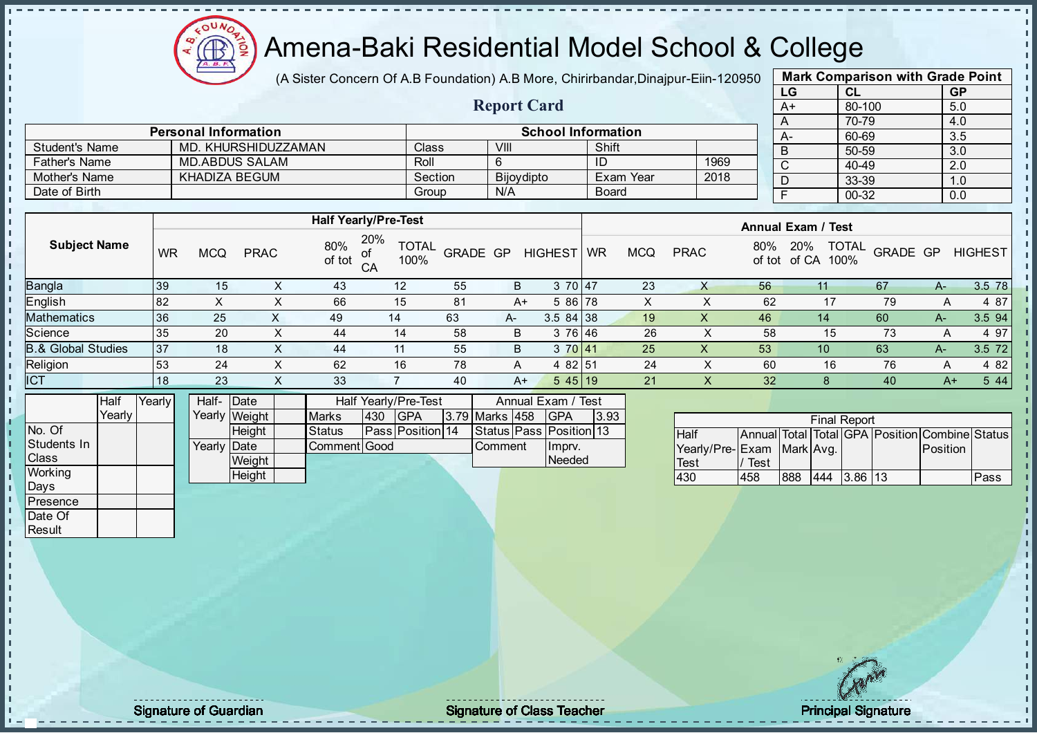Æ

## Amena-Baki Residential Model School & College

(A Sister Concern Of A.B Foundation) A.B More, Chirirbandar, Dinajpur-Eiin-120950

Report Card

| <b>Mark Comparison with Grade Point</b> |        |           |  |  |  |  |  |  |  |  |
|-----------------------------------------|--------|-----------|--|--|--|--|--|--|--|--|
| LG                                      | CL     | <b>GP</b> |  |  |  |  |  |  |  |  |
| A+                                      | 80-100 | 5.0       |  |  |  |  |  |  |  |  |
| A                                       | 70-79  | 4.0       |  |  |  |  |  |  |  |  |
| А-                                      | 60-69  | 3.5       |  |  |  |  |  |  |  |  |
| B                                       | 50-59  | 3.0       |  |  |  |  |  |  |  |  |
| C                                       | 40-49  | 2.0       |  |  |  |  |  |  |  |  |
| D                                       | 33-39  | 1.0       |  |  |  |  |  |  |  |  |
| F                                       | 00-32  | 0.0       |  |  |  |  |  |  |  |  |
|                                         |        |           |  |  |  |  |  |  |  |  |

|                | <b>Personal Information</b> |              | <b>School Information</b> |              |      |
|----------------|-----------------------------|--------------|---------------------------|--------------|------|
| Student's Name | MD. KHURSHIDUZZAMAN         | <b>Class</b> | VIII                      | Shift        |      |
| Father's Name  | MD.ABDUS SALAM              | Roll         |                           | ID           | 1969 |
| Mother's Name  | KHADIZA BEGUM               | Section      | Bijoydipto                | Exam Year    | 2018 |
| Date of Birth  |                             | Group        | N/A                       | <b>Board</b> |      |

|                               |           |     |                   |               | <b>Half Yearly/Pre-Test</b>       |          |      |                | <b>Annual Exam / Test</b> |            |             |               |                      |                          |    |                |
|-------------------------------|-----------|-----|-------------------|---------------|-----------------------------------|----------|------|----------------|---------------------------|------------|-------------|---------------|----------------------|--------------------------|----|----------------|
| <b>Subject Name</b>           | <b>WR</b> | MCQ | <b>PRAC</b>       | 80%<br>of tot | 20%<br><b>TOTAL</b><br>0ľ<br>100% | GRADE GP |      | <b>HIGHEST</b> | <b>WR</b>                 | <b>MCQ</b> | <b>PRAC</b> | 80%<br>of tot | 20%<br>100%<br>of CA | <b>TOTAL</b><br>GRADE GP |    | <b>HIGHEST</b> |
| <b>Bangla</b>                 | 39        | 15  |                   | 43            | 12                                | 55       | B    | 3 70 47        |                           | 23         |             | 56            |                      | 67                       | A- | 3.5 78         |
| English                       | 82        |     |                   | 66            | 15                                | 81       | $A+$ | 5 86 78        |                           | Ā          |             | 62            |                      | 79                       | A  | 4 87           |
| <b>Mathematics</b>            | 36        | 25  |                   | 49            | 14                                | 63       | A-   | $3.584$ 38     |                           | 19         | ∧           | 46            | 14                   | 60                       | A- | 3.5 94         |
| Science                       | 35        | 20  | $\sim$            | 44            | 14                                | 58       | B    | 3 76 46        |                           | 26         |             | 58            | 15                   | 73                       | A  | 4 97           |
| <b>B.&amp; Global Studies</b> | 37        | 18  | $\sim$            | 44            | 11                                | 55       | B    | 3 70 41        |                           | 25         | ∧           | 53            | 10                   | 63                       | A- | 3.5 72         |
| Religion                      | 53        | 24  | $\checkmark$<br>∧ | 62            | 16                                | 78       | A    | 4 82 51        |                           | 24         |             | 60            | 16                   | 76                       | Α  | 4 8 2          |
| <b>ICT</b>                    | 18        | 23  | $\lambda$         | 33            |                                   | 40       | A+   | 545 19         |                           | 21         | $\lambda$   | 32            |                      | 40                       | A+ | 5 4 4          |
|                               |           |     |                   |               |                                   |          |      |                |                           |            |             |               |                      |                          |    |                |

|                | Half   | Yearlv l | Half-                | <b>IDate</b>  |               |      | Half Yearly/Pre-Test    |                | Annual Exam / Test      |      |
|----------------|--------|----------|----------------------|---------------|---------------|------|-------------------------|----------------|-------------------------|------|
|                | Yearlv |          |                      | Yearly Weight | <b>Marks</b>  | 1430 | IGPA                    | 3.79 Marks 458 | <b>IGPA</b>             | 3.93 |
| INo. Of        |        |          |                      | <b>Height</b> | <b>Status</b> |      | <b>Pass Position 14</b> |                | Status Pass Position 13 |      |
| Students In    |        |          | Yearly <b>I</b> Date |               | Comment Good  |      |                         | <b>Comment</b> | Imprv.                  |      |
| <b>Class</b>   |        |          |                      | Weight        |               |      |                         |                | Needed                  |      |
| <b>Working</b> |        |          |                      | Height        |               |      |                         |                |                         |      |

|                           |      |     | <b>Final Report</b> |         |                                                |      |
|---------------------------|------|-----|---------------------|---------|------------------------------------------------|------|
| <b>Half</b>               |      |     |                     |         | Annual Total Total GPA Position Combine Status |      |
| Yearly/Pre-Exam Mark Avg. |      |     |                     |         | Position                                       |      |
| Test                      | Test |     |                     |         |                                                |      |
| 430                       | 458  | 888 | 444                 | 3.86 13 |                                                | Pass |

Days Presence Date Of **Result** 

h. J. D  $\frac{1}{1}$  $\mathbf{I}$ 

Signature of Guardian **Signature Signature of Class Teacher Principal Signature Principal Signature**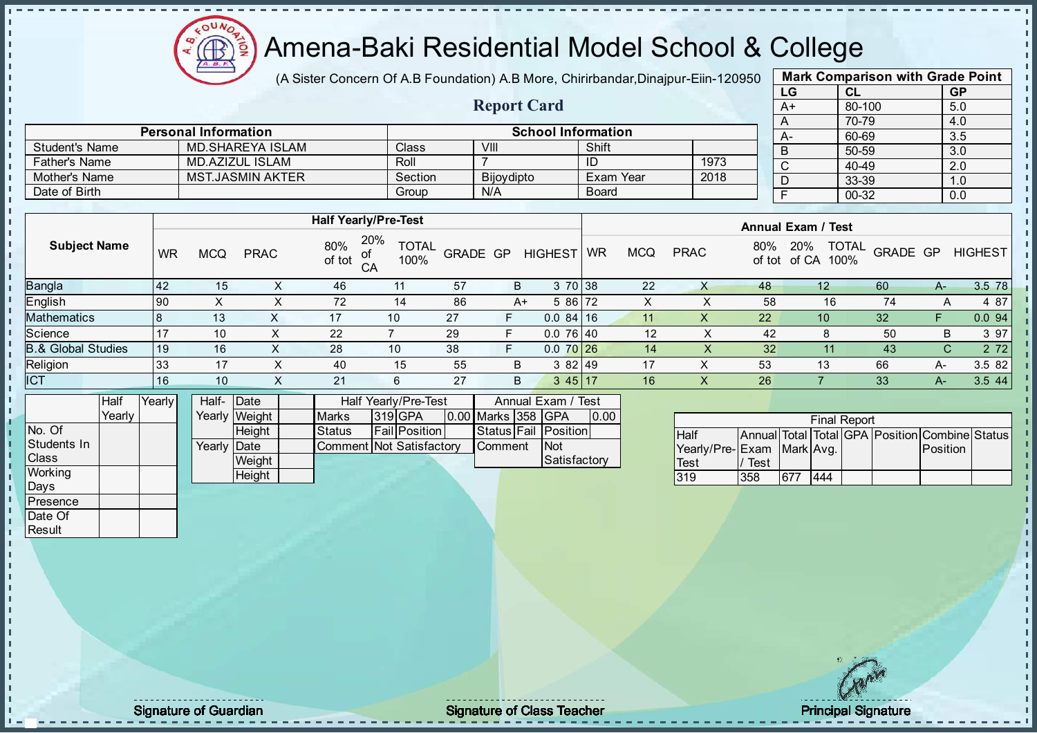

(A Sister Concern Of A.B Foundation) A.B More, Chirirbandar, Dinajpur-Eiin-120950

Report Card

| <b>Mark Comparison with Grade Point</b> |        |           |  |  |  |  |  |  |  |  |
|-----------------------------------------|--------|-----------|--|--|--|--|--|--|--|--|
| LG                                      | CL     | <b>GP</b> |  |  |  |  |  |  |  |  |
| A+                                      | 80-100 | 5.0       |  |  |  |  |  |  |  |  |
| A                                       | 70-79  | 4.0       |  |  |  |  |  |  |  |  |
| A-                                      | 60-69  | 3.5       |  |  |  |  |  |  |  |  |
| B                                       | 50-59  | 3.0       |  |  |  |  |  |  |  |  |
| C                                       | 40-49  | 2.0       |  |  |  |  |  |  |  |  |
| D                                       | 33-39  | 1.0       |  |  |  |  |  |  |  |  |
| F                                       | 00-32  | 0.0       |  |  |  |  |  |  |  |  |
|                                         |        |           |  |  |  |  |  |  |  |  |

|                      |           |     |                         |                             |                      |          |            |                |              |            |              |     | ◡                           | ∪−∪ບ                         |  |
|----------------------|-----------|-----|-------------------------|-----------------------------|----------------------|----------|------------|----------------|--------------|------------|--------------|-----|-----------------------------|------------------------------|--|
| <b>Father's Name</b> |           |     | MD.AZIZUL ISLAM         |                             | Roll                 |          |            |                | ID           |            | 1973         |     | $\sim$                      | 40-49                        |  |
| Mother's Name        |           |     | <b>MST.JASMIN AKTER</b> |                             | Section              |          | Bijoydipto |                |              | Exam Year  | 2018         |     |                             | 33-39                        |  |
| Date of Birth        |           |     |                         |                             | Group                |          | N/A        |                | <b>Board</b> |            |              |     |                             | 00-32                        |  |
|                      |           |     |                         |                             |                      |          |            |                |              |            |              |     |                             |                              |  |
|                      |           |     |                         | <b>Half Yearly/Pre-Test</b> |                      |          |            |                |              |            |              |     | <b>Annual Exam / Test</b>   |                              |  |
| <b>Subject Name</b>  | <b>WR</b> | MCQ | <b>PRAC</b>             | 20%<br>80%<br>of tot<br>CA  | <b>TOTAL</b><br>100% | GRADE GP |            | <b>HIGHEST</b> | <b>WR</b>    | <b>MCQ</b> | <b>PRAC</b>  | 80% | 20%<br>of tot of CA<br>100% | <b>TOTAL</b><br><b>GRADE</b> |  |
| Bangla               | 42        | 15  | X                       | 46                          | 11                   | 57       | B          | 3 70 38        |              | 22         | X            | 48  | 12                          | 60                           |  |
| English              | <b>90</b> |     | X                       | 72                          | 14                   | 86       | A+         | 5 86 72        |              | X          | $\mathbf{v}$ | 58  | 16                          | 74                           |  |
| Mathematics          | 18        | 13  | X                       | 17                          | 10                   | 27       |            | 0.084116       |              | 11         |              | 22  | 10                          | 32                           |  |

Comment Not Satisfactory

Personal Information and School Information

Student's Name MD.SHAREYA ISLAM Class VIII Shift

|                     |           |            |               |               |                      |                                         |                    |                      |      | AIIIUAI LAAIII / IGJL |             |               |                                                |                 |      |                |
|---------------------|-----------|------------|---------------|---------------|----------------------|-----------------------------------------|--------------------|----------------------|------|-----------------------|-------------|---------------|------------------------------------------------|-----------------|------|----------------|
| <b>Subject Name</b> | <b>WR</b> | <b>MCQ</b> | <b>PRAC</b>   | 80%<br>of tot | 20%<br>οl<br>CA      | <b>TOTAL</b><br><b>GRADE GP</b><br>100% |                    | HIGHEST   WR         |      | <b>MCQ</b>            | <b>PRAC</b> | 80%<br>of tot | <b>TOTAL</b><br>20%<br>of CA<br>100%           | <b>GRADE GP</b> |      | <b>HIGHEST</b> |
| Bangla              | 42        | 15         |               | 46            | 11                   | 57                                      | B                  | 3 70 38              |      | 22                    |             | 48            | 12 <sup>°</sup>                                | 60              | A-   | 3.5 78         |
| English             | <b>90</b> | X          |               | 72            | 14                   | 86                                      | A+                 | 5 86 72              |      |                       | ⋏           | 58            | 16                                             | 74              | A    | 4 87           |
| Mathematics         |           | 13         | X             | 17            | 10                   | 27                                      | F.                 | 0.084116             |      | 11                    |             | 22            | 10                                             | 32              |      | 0.094          |
| Science             |           | 10         | ⋏             | 22            |                      | 29                                      |                    | 0.076140             |      | 12                    | х           | 42            | 8                                              | 50              | B    | 3 97           |
| 8.& Global Studies  | 19        | 16         |               | 28            | 10                   | 38                                      | F.                 | $0.070$ 26           |      | 14                    | X           | 32            | 11                                             | 43              | C.   | 2 7 2          |
| Religion            | 33        | 17         |               | 40            | 15                   | 55                                      | B                  | 3 82 49              |      | 17                    |             | 53            | 13                                             | 66              | A-   | 3.582          |
| <b>ICT</b>          | 16        | 10         |               | 21            | 6                    | 27                                      | B                  | 345117               |      | 16                    |             | 26            |                                                | 33              | $A-$ | 3.544          |
| Half                | Yearly    | Half-Date  |               |               | Half Yearly/Pre-Test |                                         |                    | Annual Exam / Test   |      |                       |             |               |                                                |                 |      |                |
| Yearly              |           |            | Yearly Weight | <b>Marks</b>  | 319 GPA              |                                         | 0.00 Marks 358 GPA |                      | 0.00 |                       |             |               | <b>Final Report</b>                            |                 |      |                |
| No. Of              |           |            | Height        | <b>Status</b> | <b>Fail Position</b> |                                         |                    | Status Fail Position |      |                       | <b>Half</b> |               | Annual Total Total GPA Position Combine Status |                 |      |                |

Comment Not

| IGPA         | 10.00 |                           |      |      |     | <b>Final Report</b> |                                                |  |
|--------------|-------|---------------------------|------|------|-----|---------------------|------------------------------------------------|--|
| Position     |       | <b>Half</b>               |      |      |     |                     | Annual Total Total GPA Position Combine Status |  |
| <b>Not</b>   |       | Yearly/Pre-Exam Mark Avg. |      |      |     |                     | <b>Position</b>                                |  |
| Satisfactory |       | Test                      | Test |      |     |                     |                                                |  |
|              |       | 319                       | 358  | 1677 | 444 |                     |                                                |  |
|              |       |                           |      |      |     |                     |                                                |  |

Yearly Date

**Weight Height** 

Students In Class **Working** Days Presence Date Of **Result** 

 $\mathbf{I}$ J. - II

J. - II J.  $\mathbf{I}$  $\mathbf{I}$  $\blacksquare$ - II  $\mathbf{r}$  $\mathbf{I}$  $\mathbf{I}$  $\mathbf{I}$  $\mathbf{I}$  $\mathbf{I}$  $\mathbf{I}$  $\mathbf{I}$ J.

 $\blacksquare$ 

J.  $\mathbf{I}$ þ. Ŀ h l  $\mathbf{I}$ j,  $\mathbf{I}$  $\mathbf{I}$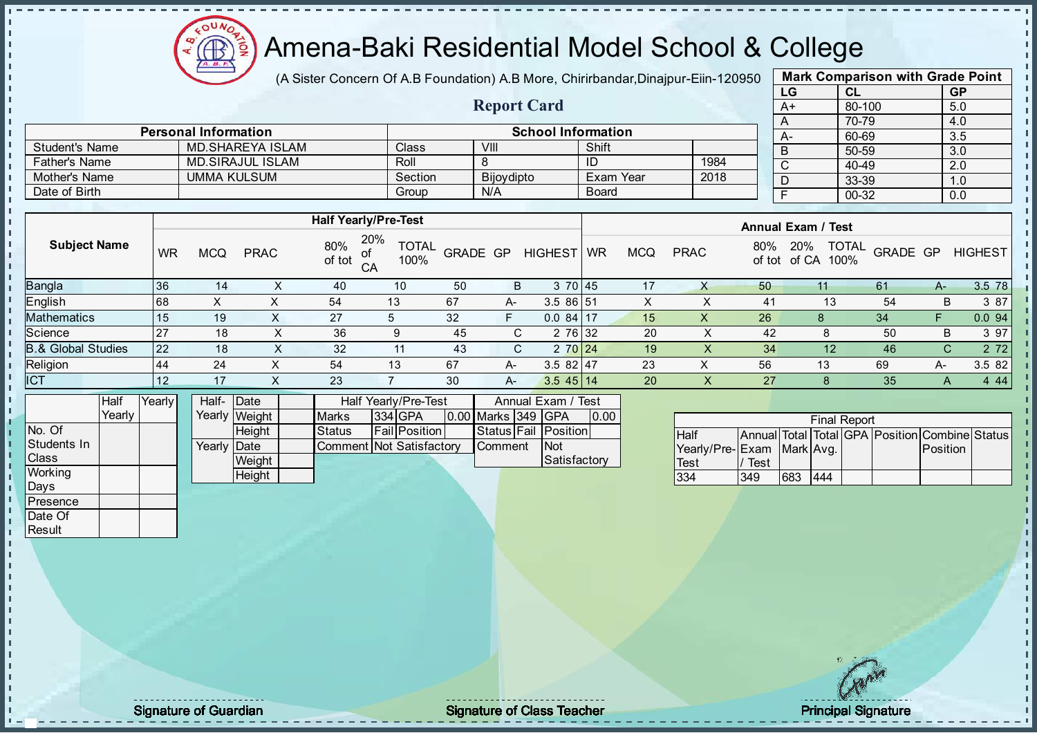

(A Sister Concern Of A.B Foundation) A.B More, Chirirbandar, Dinajpur-Eiin-120950

Report Card

| <b>Mark Comparison with Grade Point</b> |           |           |  |  |  |  |  |  |  |  |
|-----------------------------------------|-----------|-----------|--|--|--|--|--|--|--|--|
| LG                                      | CL        | <b>GP</b> |  |  |  |  |  |  |  |  |
| $A+$                                    | 80-100    | 5.0       |  |  |  |  |  |  |  |  |
| A                                       | 70-79     | 4.0       |  |  |  |  |  |  |  |  |
| А-                                      | 60-69     | 3.5       |  |  |  |  |  |  |  |  |
| B                                       | 50-59     | 3.0       |  |  |  |  |  |  |  |  |
| C                                       | $40 - 49$ | 2.0       |  |  |  |  |  |  |  |  |
| D                                       | 33-39     | 1.0       |  |  |  |  |  |  |  |  |
| F                                       | $00 - 32$ | 0.0       |  |  |  |  |  |  |  |  |
|                                         |           |           |  |  |  |  |  |  |  |  |

|                       | <b>Personal Information</b> |         |            | <b>School Information</b> |      |  | $A-$ |
|-----------------------|-----------------------------|---------|------------|---------------------------|------|--|------|
| <b>Student's Name</b> | <b>MD.SHAREYA ISLAM</b>     | Classi  | VIII       | Shift                     |      |  | -B   |
| <b>Father's Name</b>  | <b>MD.SIRAJUL ISLAM</b>     | Roll    |            | ID                        | 1984 |  |      |
| Mother's Name         | <b>UMMA KULSUM</b>          | Section | Bijoydipto | Exam Year                 | 2018 |  |      |
| Date of Birth         |                             | Group   | N/A        | Board                     |      |  |      |

|                               |           |            |             |               | <b>Half Yearly/Pre-Test</b>              |          |    |                | <b>Annual Exam / Test</b> |            |             |     |                                             |          |    |                |
|-------------------------------|-----------|------------|-------------|---------------|------------------------------------------|----------|----|----------------|---------------------------|------------|-------------|-----|---------------------------------------------|----------|----|----------------|
| <b>Subject Name</b>           | <b>WR</b> | <b>MCQ</b> | <b>PRAC</b> | 80%<br>of tot | 20%<br><b>TOTAL</b><br>100%<br>$C\Delta$ | GRADE GP |    | <b>HIGHEST</b> | <b>WR</b>                 | <b>MCQ</b> | <b>PRAC</b> | 80% | <b>TOTAL</b><br>20%<br>100%<br>of tot of CA | GRADE GP |    | <b>HIGHEST</b> |
| Bangla                        | 36        | 14         |             | 40            | 10                                       | 50       | B  | 3 70 45        |                           | 17         | х           | 50  |                                             | 61       | A- | 3.5 78         |
| English                       | 68        | X          | X           | 54            | 13                                       | 67       | A- | 3.5 86 51      |                           | X          |             | 41  | 13                                          | 54       | В  | 3 87           |
| Mathematics                   | 15        | 19         |             | 27            |                                          | 32       | F  | $0.084$ 17     |                           | 15         | х           | 26  |                                             | 34       |    | 0.094          |
| Science                       | 27        | 18         |             | 36            | 9                                        | 45       | C. | 2 76 32        |                           | 20         | X           | 42  | 8                                           | 50       | В  | 3 97           |
| <b>B.&amp; Global Studies</b> | 22        | 18         | ∧           | 32            | 11                                       | 43       | C. | 2 70 24        |                           | 19         | X           | 34  | 12 <sup>°</sup>                             | 46       | C. | 2 7 2          |
| Religion                      | 44        | 24         |             | 54            | 13                                       | 67       | A- | $3.582$   47   |                           | 23         | х           | 56  | 13                                          | 69       | A- | 3.5 82         |
| <b>ICT</b>                    | 12        | 17         |             | 23            |                                          | 30       | A- | $3.545$ 14     |                           | 20         | X           | 27  |                                             | 35       | A  | 4 4 4          |
|                               |           |            |             |               |                                          |          |    |                |                           |            |             |     |                                             |          |    |                |

|                | <b>Half</b> | Yearly | Half- Date  |               |                          | Half Yearly/Pre-Test |                      |  |                    | Annual Exam / Test |                      |      |
|----------------|-------------|--------|-------------|---------------|--------------------------|----------------------|----------------------|--|--------------------|--------------------|----------------------|------|
|                | Yearlv      |        |             | Yearly Weight | <b>Marks</b>             |                      | 334 GPA              |  | 0.00 Marks 349 GPA |                    |                      | 0.00 |
| No. Of         |             |        |             | <b>Height</b> | <b>Status</b>            |                      | <b>Fail Position</b> |  |                    |                    | Status Fail Position |      |
| Students In    |             |        | Yearly Date |               | Comment Not Satisfactory |                      |                      |  | <b>Comment</b>     |                    | <b>INot</b>          |      |
| <b>Class</b>   |             |        |             | Weight        |                          |                      |                      |  |                    |                    | Satisfactory         |      |
| <b>Working</b> |             |        |             | Height        |                          |                      |                      |  |                    |                    |                      |      |

|                           |      |     | <b>Final Report</b> |  |                                                |  |
|---------------------------|------|-----|---------------------|--|------------------------------------------------|--|
| <b>Half</b>               |      |     |                     |  | Annual Total Total GPA Position Combine Status |  |
| Yearly/Pre-Exam Mark Avg. |      |     |                     |  | <b>Position</b>                                |  |
| <b>Test</b>               | Test |     |                     |  |                                                |  |
| 334                       | 349  | 683 | 444                 |  |                                                |  |

Days **Presence** Date Of **Result** 

h J.

 $\begin{bmatrix} 1 \\ 1 \\ 1 \end{bmatrix}$ 

 $\mathbf{I}$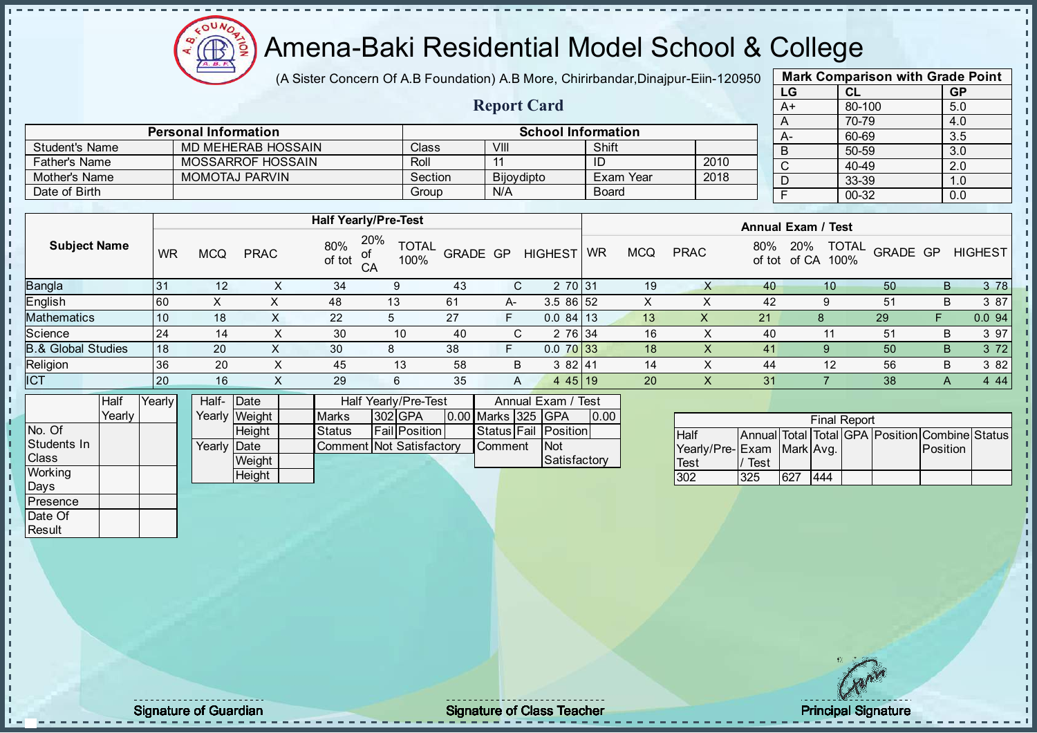

(A Sister Concern Of A.B Foundation) A.B More, Chirirbandar, Dinajpur-Eiin-120950

| <b>Mark Comparison with Grade Point</b> |           |           |  |  |  |  |  |  |
|-----------------------------------------|-----------|-----------|--|--|--|--|--|--|
| LG                                      | CL        | <b>GP</b> |  |  |  |  |  |  |
| A+                                      | 80-100    | 5.0       |  |  |  |  |  |  |
| A                                       | 70-79     | 4.0       |  |  |  |  |  |  |
| A-                                      | 60-69     | 3.5       |  |  |  |  |  |  |
| B                                       | 50-59     | 3.0       |  |  |  |  |  |  |
| C                                       | $40 - 49$ | 2.0       |  |  |  |  |  |  |
| D                                       | 33-39     | 1.0       |  |  |  |  |  |  |
| F                                       | $00 - 32$ | 0.0       |  |  |  |  |  |  |
|                                         |           |           |  |  |  |  |  |  |

|                       |                             |         | <b>Report Card</b> |                           |      | A+   |
|-----------------------|-----------------------------|---------|--------------------|---------------------------|------|------|
|                       |                             |         |                    |                           |      |      |
|                       | <b>Personal Information</b> |         |                    | <b>School Information</b> |      | $A-$ |
| <b>Student's Name</b> | MD MEHERAB HOSSAIN          | Class   | VIII               | Shift                     |      | D    |
| <b>Father's Name</b>  | MOSSARROF HOSSAIN           | Roll    |                    | ID                        | 2010 |      |
| Mother's Name         | <b>MOMOTAJ PARVIN</b>       | Section | Bijoydipto         | Exam Year                 | 2018 |      |
| Date of Birth         |                             | Group   | N/A                | <b>Board</b>              |      |      |

|                               |           | <b>Half Yearly/Pre-Test</b> |             |               |                                   |          |    |                |           |            | <b>Annual Exam / Test</b> |     |                                             |          |   |                |  |  |
|-------------------------------|-----------|-----------------------------|-------------|---------------|-----------------------------------|----------|----|----------------|-----------|------------|---------------------------|-----|---------------------------------------------|----------|---|----------------|--|--|
| <b>Subject Name</b>           | <b>WR</b> | <b>MCQ</b>                  | <b>PRAC</b> | 80%<br>of tot | 20%<br><b>TOTAL</b><br>100%<br>CA | GRADE GP |    | <b>HIGHEST</b> | <b>WR</b> | <b>MCQ</b> | <b>PRAC</b>               | 80% | <b>TOTAL</b><br>20%<br>100%<br>of tot of CA | GRADE GP |   | <b>HIGHEST</b> |  |  |
| <b>Bangla</b>                 | 31        | 12                          |             | 34            |                                   | 43       | C. | 2 70 31        |           | 19         |                           | 40  | 10                                          | 50       | B | 3 78           |  |  |
| <b>English</b>                | 60        |                             |             | 48            | 13                                | 61       | A- | 3.5 86 52      |           | $\sim$     |                           | 42  | 9                                           | 51       | В | 3 87           |  |  |
| Mathematics                   | 10        | 18                          |             | 22            |                                   | 27       | F  | $0.084$ 13     |           | 13         | ↗                         | 21  |                                             | 29       |   | 0.094          |  |  |
| Science                       | 24        | 14                          |             | 30            | 10                                | 40       | C. | 2 76 34        |           | 16         |                           | 40  |                                             | 51       | В | 3 97           |  |  |
| <b>B.&amp; Global Studies</b> | 18        | 20                          |             | 30            | 8                                 | 38       | F  | $0.070$ 33     |           | 18         | X                         | 41  | 9                                           | 50       | B | 3 7 2          |  |  |
| Religion                      | 36        | 20                          |             | 45            | 13                                | 58       | B  | 382 41         |           | 14         | х                         | 44  | 12                                          | 56       | В | 3 8 2          |  |  |
| <b>ICT</b>                    | 20        | 16                          | $\sim$      | 29            | 6                                 | 35       | A  | 445 19         |           | 20         | X                         | 31  |                                             | 38       | A | 4 4 4          |  |  |
|                               |           |                             |             |               |                                   |          |    |                |           |            |                           |     |                                             |          |   |                |  |  |

|              | Half   | Yearly <mark>I</mark> | Half- Date  |               |                          | Half Yearly/Pre-Test | Annual Exam / Test   |  |                    |  |                      |      |
|--------------|--------|-----------------------|-------------|---------------|--------------------------|----------------------|----------------------|--|--------------------|--|----------------------|------|
|              | Yearlv |                       |             | Yearly Weight | <b>Marks</b>             |                      | 302 GPA              |  | 0.00 Marks 325 GPA |  |                      | 0.00 |
| INo. Of      |        |                       |             | <b>Height</b> | <b>Status</b>            |                      | <b>Fail Position</b> |  |                    |  | Status Fail Position |      |
| Students In  |        |                       | Yearly Date |               | Comment Not Satisfactory |                      |                      |  | <b>Comment</b>     |  | <b>INot</b>          |      |
| <b>Class</b> |        |                       |             | Weight        |                          |                      |                      |  |                    |  | Satisfactory         |      |
| Working      |        |                       |             | Height        |                          |                      |                      |  |                    |  |                      |      |

| <b>Final Report</b>       |      |     |     |  |  |                                                |  |  |  |  |  |  |
|---------------------------|------|-----|-----|--|--|------------------------------------------------|--|--|--|--|--|--|
| <b>Half</b>               |      |     |     |  |  | Annual Total Total GPA Position Combine Status |  |  |  |  |  |  |
| Yearly/Pre-Exam Mark Avg. |      |     |     |  |  | Position                                       |  |  |  |  |  |  |
| <b>Test</b>               | Test |     |     |  |  |                                                |  |  |  |  |  |  |
| 302                       | 325  | 627 | 444 |  |  |                                                |  |  |  |  |  |  |

Days Presence Date Of **Result** 

J. D h i, J.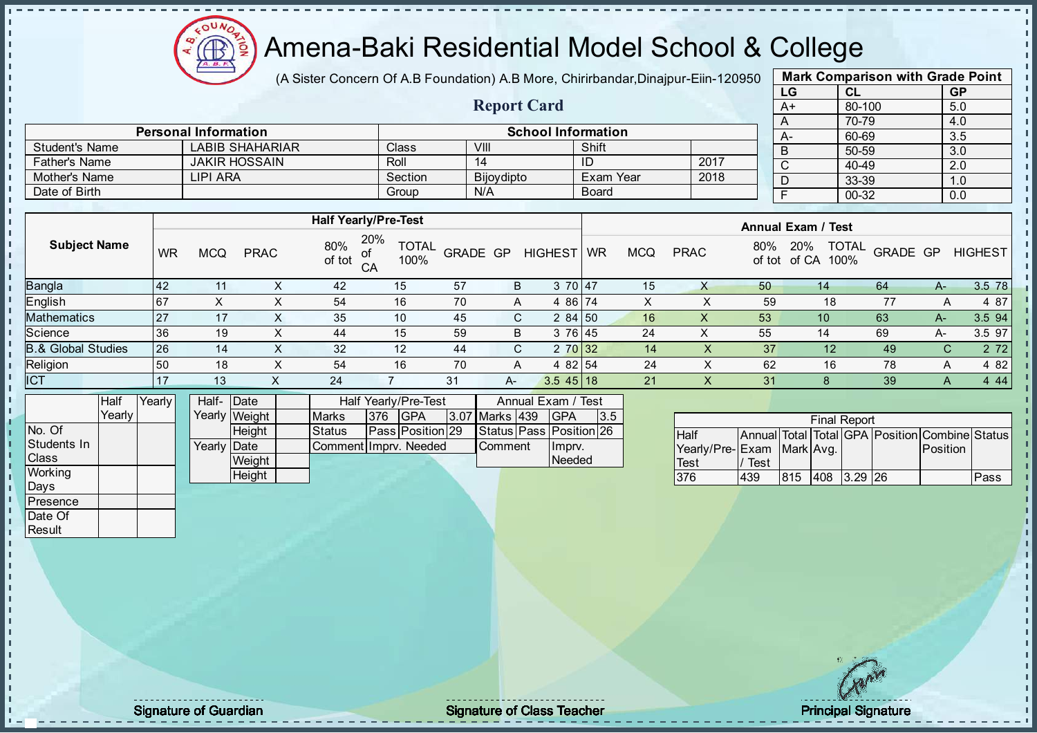

(A Sister Concern Of A.B Foundation) A.B More, Chirirbandar, Dinajpur-Eiin-120950

| <b>Mark Comparison with Grade Point</b> |           |           |  |  |  |  |  |  |  |
|-----------------------------------------|-----------|-----------|--|--|--|--|--|--|--|
| LG                                      | CL        | <b>GP</b> |  |  |  |  |  |  |  |
| $A+$                                    | 80-100    | 5.0       |  |  |  |  |  |  |  |
| A                                       | 70-79     | 4.0       |  |  |  |  |  |  |  |
| A-                                      | 60-69     | 3.5       |  |  |  |  |  |  |  |
| B                                       | 50-59     | 3.0       |  |  |  |  |  |  |  |
| C                                       | 40-49     | 2.0       |  |  |  |  |  |  |  |
| D                                       | 33-39     | 1.0       |  |  |  |  |  |  |  |
| F                                       | $00 - 32$ | 0.0       |  |  |  |  |  |  |  |

|                      |                             |         | <b>Report Card</b>        |              |      | --<br>A+ |  |  |  |  |
|----------------------|-----------------------------|---------|---------------------------|--------------|------|----------|--|--|--|--|
|                      | <b>Personal Information</b> |         | <b>School Information</b> |              |      |          |  |  |  |  |
| Student's Name       | <b>LABIB SHAHARIAR</b>      | Class   | VIII                      | Shift        |      | $A-$     |  |  |  |  |
| <b>Father's Name</b> | <b>JAKIR HOSSAIN</b>        | Roll    |                           | ID           | 2017 |          |  |  |  |  |
| Mother's Name        | LIPI ARA                    | Section | Bijoydipto                | Exam Year    | 2018 |          |  |  |  |  |
| Date of Birth        |                             | Group   | N/A                       | <b>Board</b> |      |          |  |  |  |  |

|                     |           |            |             | <b>Half Yearly/Pre-Test</b> |                             |                 |    |                | <b>Annual Exam / Test</b> |            |             |               |                                      |          |    |                |
|---------------------|-----------|------------|-------------|-----------------------------|-----------------------------|-----------------|----|----------------|---------------------------|------------|-------------|---------------|--------------------------------------|----------|----|----------------|
| <b>Subject Name</b> | WR        | <b>MCQ</b> | <b>PRAC</b> | 80%<br>οf<br>of tot<br>CA   | 20%<br><b>TOTAL</b><br>100% | <b>GRADE GP</b> |    | <b>HIGHEST</b> | <b>WR</b>                 | <b>MCQ</b> | <b>PRAC</b> | 80%<br>of tot | <b>TOTAL</b><br>20%<br>of CA<br>100% | GRADE GP |    | <b>HIGHEST</b> |
| Bangla              | <b>42</b> | 11         |             | 42                          | 15                          | 57              | B  | 3 70 47        |                           | 15         | X           | 50            | 14                                   | 64       | A- | 3.5 78         |
| English             | 67        | Χ          | ∧           | 54                          | 16                          | 70              | A  | 4 86 74        |                           | x          |             | 59            | 18                                   | 77       |    | 4 87           |
| Mathematics         | 27        | 17         | $\sim$      | 35                          | 10                          | 45              | C. | 284 50         |                           | 16         | X           | 53            | 10                                   | 63       | A- | 3.5 94         |
| Science             | 36        | 19         | X           | 44                          | 15                          | 59              | B  | 3 76 45        |                           | 24         | X           | 55            | 14                                   | 69       | A- | 3.5 97         |
| 3.& Global Studies  | 26        | 14         | v<br>$\sim$ | 32                          | 12                          | 44              | C. | 2 70 32        |                           | 14         | X           | 37            | 12                                   | 49       | С  | 2 7 2          |
| Religion            | 50        | 18         | X           | 54                          | 16                          | 70              | A  | 4 82 54        |                           | 24         | ㅅ           | 62            | 16                                   | 78       | A  | 4 8 2          |
| <b>ICT</b>          | 17        | 13         |             | 24                          |                             | 31              | A- | $3.545$ 18     |                           | 21         | $\lambda$   | 31            | 8                                    | 39       | A  | 4 4 4          |
|                     |           |            |             |                             |                             |                 |    |                |                           |            |             |               |                                      |          |    |                |

|              | Half     | Yearlv | Half- Date  |               |                       | Half Yearly/Pre-Test | Annual Exam / Test      |                       |  |                         |     |
|--------------|----------|--------|-------------|---------------|-----------------------|----------------------|-------------------------|-----------------------|--|-------------------------|-----|
|              | Yearlv I |        |             | Yearly Weight | <b>Marks</b>          | 376                  | <b>IGPA</b>             | <b>3.07 Marks 439</b> |  | <b>IGPA</b>             | 3.5 |
| No. Of       |          |        |             | <b>Height</b> | <b>Status</b>         |                      | <b>Pass Position 29</b> |                       |  | Status Pass Position 26 |     |
| Students In  |          |        | Yearly Date |               | Comment Impry, Needed |                      |                         | <b>Comment</b>        |  | Ilmpry.                 |     |
| <b>Class</b> |          |        |             | Weight        |                       |                      |                         |                       |  | Needed                  |     |
| Working      |          |        |             | Height        |                       |                      |                         |                       |  |                         |     |

| <b>Final Report</b>       |      |      |  |             |  |                                                |      |  |  |  |  |
|---------------------------|------|------|--|-------------|--|------------------------------------------------|------|--|--|--|--|
| <b>Half</b>               |      |      |  |             |  | Annual Total Total GPA Position Combine Status |      |  |  |  |  |
| Yearly/Pre-Exam Mark Avg. |      |      |  |             |  | Position                                       |      |  |  |  |  |
| <b>Test</b>               | Test |      |  |             |  |                                                |      |  |  |  |  |
| 376                       | 439  | 1815 |  | 408 3.29 26 |  |                                                | Pass |  |  |  |  |

Days **Presence** Date Of **Result** 

 $\mathbf{I}$ 

п h J.

 $\begin{bmatrix} 1 \\ 1 \\ 1 \end{bmatrix}$ 

 $\mathbf{I}$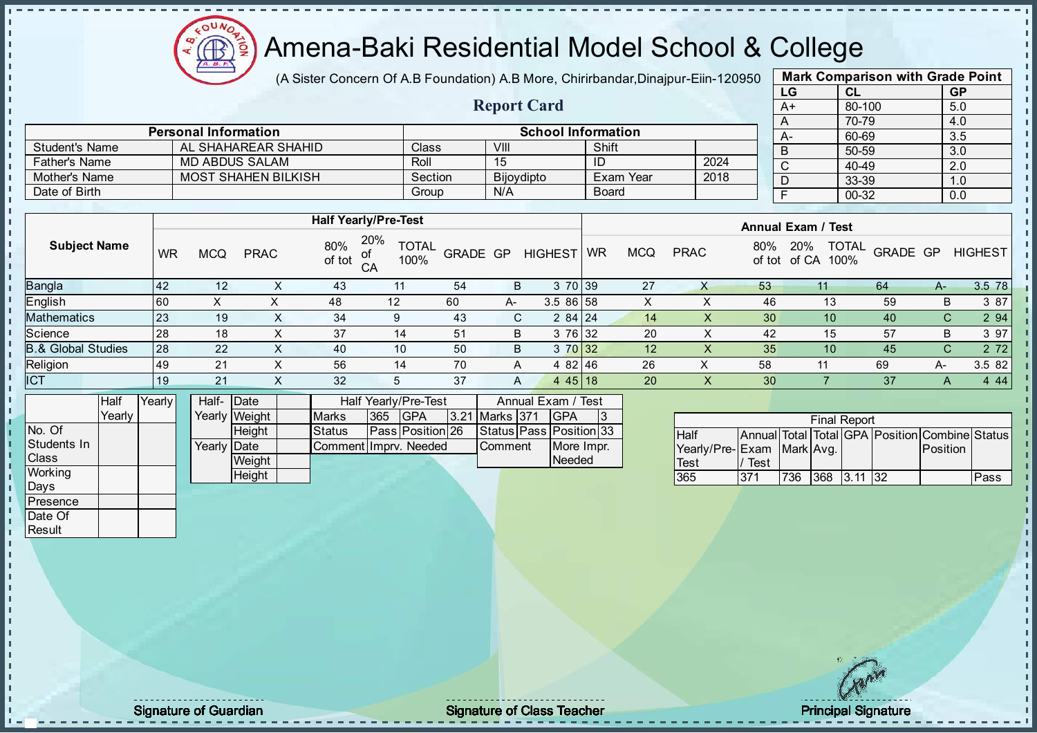

(A Sister Concern Of A.B Foundation) A.B More, Chirirbandar, Dinajpur-Eiin-120950

Report Card

| <b>Mark Comparison with Grade Point</b> |        |           |  |  |  |  |  |  |
|-----------------------------------------|--------|-----------|--|--|--|--|--|--|
| LG                                      | CL     | <b>GP</b> |  |  |  |  |  |  |
| A+                                      | 80-100 | 5.0       |  |  |  |  |  |  |
| A                                       | 70-79  | 4.0       |  |  |  |  |  |  |
| A-                                      | 60-69  | 3.5       |  |  |  |  |  |  |
| B                                       | 50-59  | 3.0       |  |  |  |  |  |  |
| C                                       | 40-49  | 2.0       |  |  |  |  |  |  |
| D                                       | 33-39  | 1.0       |  |  |  |  |  |  |
| F                                       | 00-32  | 0.0       |  |  |  |  |  |  |

|                      | <b>Personal Information</b> | <b>School Information</b> |                   |              |      |  |  |  |  |
|----------------------|-----------------------------|---------------------------|-------------------|--------------|------|--|--|--|--|
| Student's Name       | AL SHAHAREAR SHAHID         | <b>Class</b>              | VIII              | Shift        |      |  |  |  |  |
| <b>Father's Name</b> | MD ABDUS SALAM              | Roll                      | 15                |              | 2024 |  |  |  |  |
| Mother's Name        | <b>MOST SHAHEN BILKISH</b>  | Section                   | <b>Bijoydipto</b> | Exam Year    | 2018 |  |  |  |  |
| Date of Birth        |                             | Group                     | N/A               | <b>Board</b> |      |  |  |  |  |

|                               |           |            |             |               | <b>Half Yearly/Pre-Test</b>             |          |    |                | <b>Annual Exam / Test</b> |            |             |     |                     |                                  |    |                |  |
|-------------------------------|-----------|------------|-------------|---------------|-----------------------------------------|----------|----|----------------|---------------------------|------------|-------------|-----|---------------------|----------------------------------|----|----------------|--|
| <b>Subject Name</b>           | <b>WR</b> | <b>MCQ</b> | <b>PRAC</b> | 80%<br>of tot | 20%<br><b>TOTAL</b><br>of<br>100%<br>CA | GRADE GP |    | <b>HIGHEST</b> | <b>WR</b>                 | <b>MCQ</b> | <b>PRAC</b> | 80% | 20%<br>of tot of CA | <b>TOTAL</b><br>GRADE GP<br>100% |    | <b>HIGHEST</b> |  |
| <b>Bangla</b>                 | <b>42</b> | 12         |             | 43            | 11                                      | 54       | B  | 3 70 39        |                           | 27         | х           | 53  | 11                  | 64                               | A- | 3.5 78         |  |
| <b>English</b>                | 60        | $\sim$     |             | 48            | 12                                      | 60       | A- | 3.5 86 58      |                           | X          |             | 46  | 13                  | 59                               | B  | 3 87           |  |
| Mathematics                   | 23        | 19         | $\lambda$   | 34            |                                         | 43       | C. | 284 24         |                           | 14         | х           | 30  | 10                  | 40                               | С  | 2 94           |  |
| Science                       | 28        | 18         |             | 37            | 14                                      | 51       | B  | 3 76 32        |                           | 20         |             | 42  | 15                  | 57                               | B  | 3 97           |  |
| <b>B.&amp; Global Studies</b> | 28        | 22         |             | 40            | 10                                      | 50       | B  | 3 70 32        |                           | 12         | X           | 35  | 10                  | 45                               | C  | 2 7 2          |  |
| Religion                      | 49        | 21         |             | 56            | 14                                      | 70       | A  | 4 82 46        |                           | 26         | ∧           | 58  |                     | 69                               | A- | 3.5 82         |  |
| <b>ICT</b>                    | 19        | 21         | $\sim$      | 32            | 5                                       | 37       | A  | 4 4 5 1 8      |                           | 20         | X           | 30  |                     | 37                               | A  | 4 4 4          |  |
|                               |           |            |             |               |                                         |          |    |                |                           |            |             |     |                     |                                  |    |                |  |

|                | Half   | YearlvT | Half-       | <b>Date</b>   |                       |     | Half Yearly/Pre-Test |                | Annual Exam / Test            |  |
|----------------|--------|---------|-------------|---------------|-----------------------|-----|----------------------|----------------|-------------------------------|--|
|                | Yearly |         |             | Yearly Weight | <b>Marks</b>          | 365 | <b>IGPA</b>          | 3.21 Marks 371 | <b>IGPA</b>                   |  |
| INo. Of        |        |         |             | <b>Height</b> | Status                |     | Pass Position 26     |                | Status   Pass   Position   33 |  |
| Students In    |        |         | Yearly Date |               | CommentIImprv. Needed |     |                      | <b>Comment</b> | More Impr.                    |  |
| <b>Class</b>   |        |         |             | Weight        |                       |     |                      |                | Needed                        |  |
| <b>Working</b> |        |         |             | Height        |                       |     |                      |                |                               |  |

|                            |      |     | <b>Final Report</b> |                                                |      |
|----------------------------|------|-----|---------------------|------------------------------------------------|------|
| <b>Half</b>                |      |     |                     | Annual Total Total GPA Position Combine Status |      |
| Yearly/Pre- Exam Mark Avg. |      |     |                     | <b>Position</b>                                |      |
| <b>Test</b>                | Test |     |                     |                                                |      |
| 365                        | 371  | 736 | 368 3.11 32         |                                                | Pass |

Days **Presence** Date Of **Result** 

h D  $\frac{1}{1}$  $\mathbf{I}$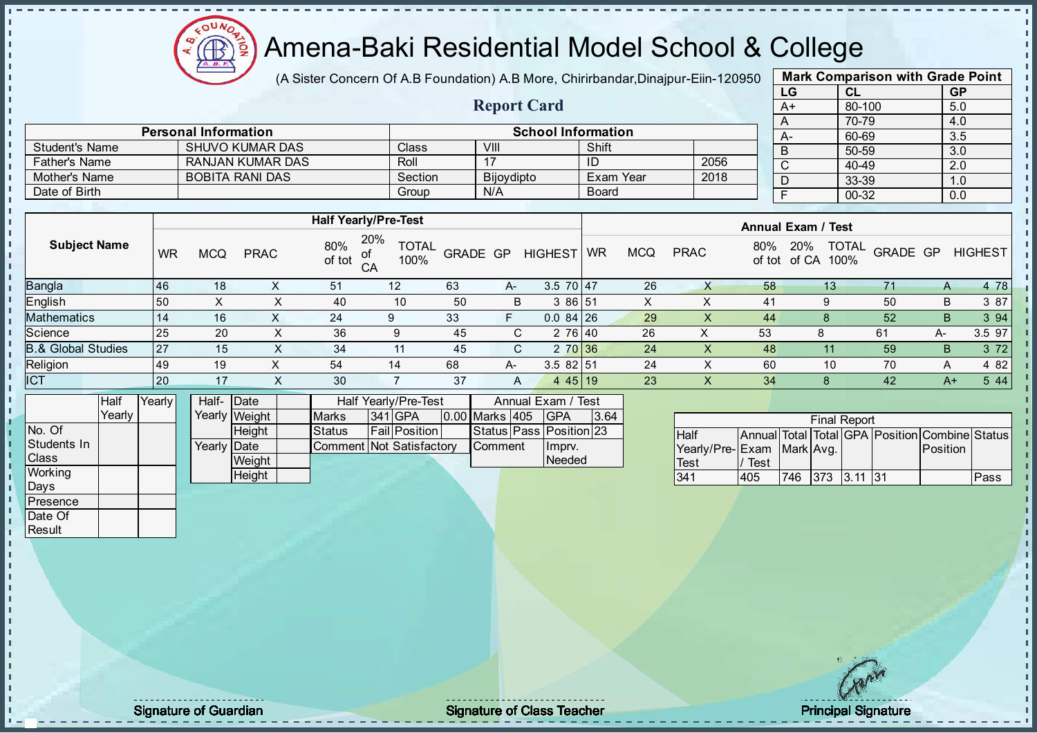

(A Sister Concern Of A.B Foundation) A.B More, Chirirbandar, Dinajpur-Eiin-120950

Report Card

| <b>Mark Comparison with Grade Point</b> |           |           |  |  |  |  |  |  |  |  |  |  |
|-----------------------------------------|-----------|-----------|--|--|--|--|--|--|--|--|--|--|
| LG                                      | <b>CL</b> | <b>GP</b> |  |  |  |  |  |  |  |  |  |  |
| $A+$                                    | 80-100    | 5.0       |  |  |  |  |  |  |  |  |  |  |
| A                                       | 70-79     | 4.0       |  |  |  |  |  |  |  |  |  |  |
| А-                                      | 60-69     | 3.5       |  |  |  |  |  |  |  |  |  |  |
| B                                       | 50-59     | 3.0       |  |  |  |  |  |  |  |  |  |  |
| $\mathsf{C}$                            | 40-49     | 2.0       |  |  |  |  |  |  |  |  |  |  |
| D                                       | 33-39     | 1.0       |  |  |  |  |  |  |  |  |  |  |
| F                                       | 00-32     | 0.0       |  |  |  |  |  |  |  |  |  |  |
|                                         |           |           |  |  |  |  |  |  |  |  |  |  |

|                      | <b>Personal Information</b> |         |            | <b>School Information</b> |      |   |
|----------------------|-----------------------------|---------|------------|---------------------------|------|---|
| Student's Name       | SHUVO KUMAR DAS             | Class   | VIII       | Shift                     |      | B |
| <b>Father's Name</b> | RANJAN KUMAR DAS            | Roll    |            |                           | 2056 |   |
| Mother's Name        | <b>BOBITA RANI DAS</b>      | Section | Bijoydipto | Exam Year                 | 2018 |   |
| Date of Birth        |                             | Group   | N/A        | <b>Board</b>              |      |   |

|                               |              |            |             |               | <b>Half Yearly/Pre-Test</b>       |          |    |                |           |            |             |               | <b>Annual Exam / Test</b> |                          |      |                |
|-------------------------------|--------------|------------|-------------|---------------|-----------------------------------|----------|----|----------------|-----------|------------|-------------|---------------|---------------------------|--------------------------|------|----------------|
| <b>Subject Name</b>           | WR           | <b>MCQ</b> | <b>PRAC</b> | 80%<br>of tot | 20%<br><b>TOTAL</b><br>100%<br>CA | GRADE GP |    | <b>HIGHEST</b> | <b>WR</b> | <b>MCQ</b> | <b>PRAC</b> | 80%<br>of tot | 20%<br>of CA<br>100%      | <b>TOTAL</b><br>GRADE GP |      | <b>HIGHEST</b> |
| Bangla                        | 46           | 18         |             | 51            | 12                                | 63       | A- | $3.5$ 70 47    |           | 26         |             | 58            | 13                        | 71                       | A    | 4 78           |
| English                       | 150          | X          | х           | 40            | 10                                | 50       | B  | 3 86 51        |           | X          |             | 41            | 9                         | 50                       | B    | 3 87           |
| Mathematics                   | 14           | 16         |             | 24            | 9                                 | 33       | F  | $0.084$ 26     |           | 29         | X           | 44            |                           | 52                       | B.   | 3 94           |
| Science                       | <b>25</b>    | 20         | X           | 36            | 9                                 | 45       | C. | 2 76 40        |           | 26         | х           | 53            |                           | 61                       | A-   | 3.5 97         |
| <b>B.&amp; Global Studies</b> | 27           | 15         | х           | 34            | 11                                | 45       | C. | 2 70 36        |           | 24         | x           | 48            |                           | 59                       | B.   | 3 7 2          |
| Religion                      | 49           | 19         | X           | 54            | 14                                | 68       | A- | 3.582 51       |           | 24         | ∧           | 60            | 10                        | 70                       | A    | 4 8 2          |
| ICT                           | $ 20\rangle$ | 17         |             | 30            |                                   | 37       | A  | $445$   19     |           | 23         | $\lambda$   | 34            | 8                         | 42                       | $A+$ | 5 4 4          |
|                               |              |            |             |               |                                   |          |    |                |           |            |             |               |                           |                          |      |                |

|              | Half   | Yearlvl | Half- Date  |               |                          | Half Yearly/Pre-Test |                       | Annual Exam / Test      |      |
|--------------|--------|---------|-------------|---------------|--------------------------|----------------------|-----------------------|-------------------------|------|
|              | Yearlv |         |             | Yearly Weight | <b>Marks</b>             | 341 GPA              | <b>0.00 Marks 405</b> | IGPA                    | 3.64 |
| No. Of       |        |         |             | <b>Height</b> | <b>Status</b>            | <b>Fail</b> Position |                       | Status Pass Position 23 |      |
| Students In  |        |         | Yearly Date |               | Comment Not Satisfactory |                      | <b>Comment</b>        | Imprv.                  |      |
| <b>Class</b> |        |         |             | Weight        |                          |                      |                       | Needed                  |      |
| Working      |        |         |             | Height        |                          |                      |                       |                         |      |

|                           |      |                 | <b>Final Report</b> |                                                |      |
|---------------------------|------|-----------------|---------------------|------------------------------------------------|------|
| <b>Half</b>               |      |                 |                     | Annual Total Total GPA Position Combine Status |      |
| Yearly/Pre-Exam Mark Avg. |      |                 |                     | Position                                       |      |
| Test                      | Test |                 |                     |                                                |      |
| 341                       | 405  | 746 373 3.11 31 |                     |                                                | Pass |

Days **Presence** Date Of **Result** 

п h J. D  $\frac{1}{1}$  $\mathbf{I}$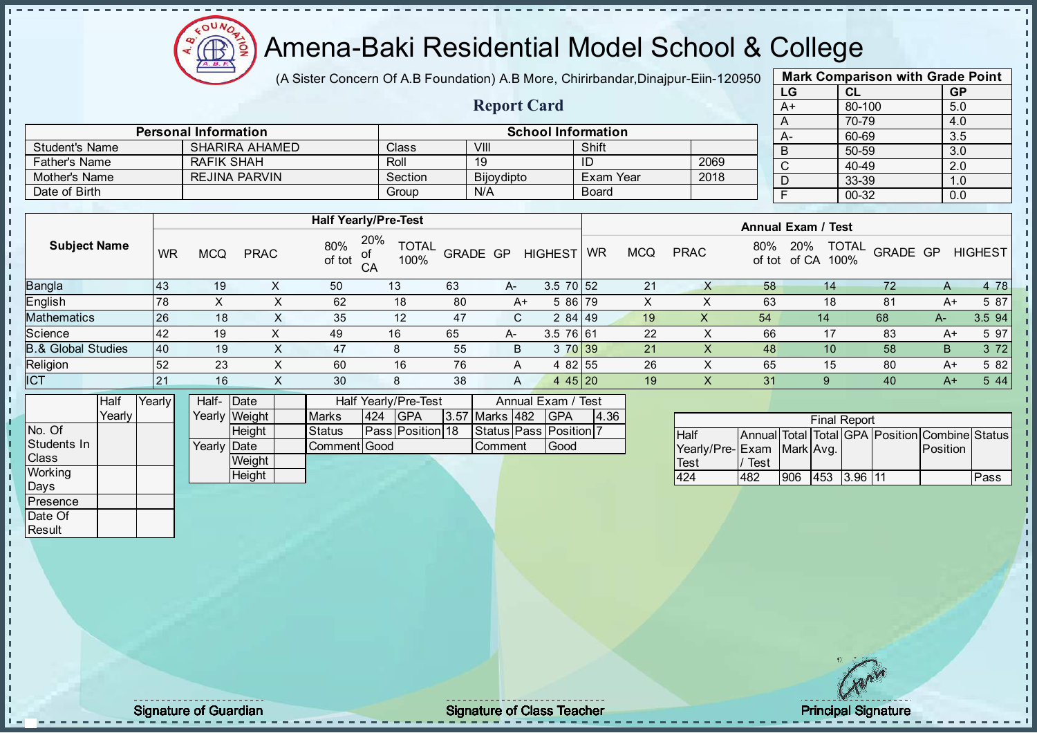

(A Sister Concern Of A.B Foundation) A.B More, Chirirbandar, Dinajpur-Eiin-120950

| <b>Mark Comparison with Grade Point</b> |        |           |  |  |  |  |  |  |  |  |  |  |
|-----------------------------------------|--------|-----------|--|--|--|--|--|--|--|--|--|--|
| LG                                      | CL     | <b>GP</b> |  |  |  |  |  |  |  |  |  |  |
| $A+$                                    | 80-100 | 5.0       |  |  |  |  |  |  |  |  |  |  |
| A                                       | 70-79  | 4.0       |  |  |  |  |  |  |  |  |  |  |
| A-                                      | 60-69  | 3.5       |  |  |  |  |  |  |  |  |  |  |
| B                                       | 50-59  | 3.0       |  |  |  |  |  |  |  |  |  |  |
| $\overline{\text{c}}$                   | 40-49  | 2.0       |  |  |  |  |  |  |  |  |  |  |
| D                                       | 33-39  | 1.0       |  |  |  |  |  |  |  |  |  |  |
| F                                       | 00-32  | 0.0       |  |  |  |  |  |  |  |  |  |  |
|                                         |        |           |  |  |  |  |  |  |  |  |  |  |

|                       |                             |         | <b>Report Card</b> |                           |      | --<br>$A+$ |
|-----------------------|-----------------------------|---------|--------------------|---------------------------|------|------------|
|                       |                             |         |                    |                           |      |            |
|                       | <b>Personal Information</b> |         |                    | <b>School Information</b> |      | $A-$       |
| <b>Student's Name</b> | <b>SHARIRA AHAMED</b>       | Class   | VIII               | Shift                     |      |            |
| <b>Father's Name</b>  | RAFIK SHAH                  | Roll    | 19                 | ID                        | 2069 |            |
| Mother's Name         | <b>REJINA PARVIN</b>        | Section | Bijoydipto         | Exam Year                 | 2018 |            |
| Date of Birth         |                             | Group   | N/A                | Board                     |      |            |

|                               |           |            |             |               | <b>Half Yearly/Pre-Test</b>       |                 |      |                 |           |            |             |               | <b>Annual Exam / Test</b>            |          |      |                |
|-------------------------------|-----------|------------|-------------|---------------|-----------------------------------|-----------------|------|-----------------|-----------|------------|-------------|---------------|--------------------------------------|----------|------|----------------|
| <b>Subject Name</b>           | WR        | <b>MCQ</b> | <b>PRAC</b> | 80%<br>of tot | 20%<br><b>TOTAL</b><br>100%<br>CA | <b>GRADE GP</b> |      | <b>HIGHEST</b>  | <b>WR</b> | <b>MCQ</b> | <b>PRAC</b> | 80%<br>of tot | <b>TOTAL</b><br>20%<br>of CA<br>100% | GRADE GP |      | <b>HIGHEST</b> |
| Bangla                        | 143       | 19         |             | 50            | 13                                | 63              | $A-$ | $3.5 \ 70 \ 52$ |           | 21         |             | 58            | 14                                   | 72       | A    | 4 78           |
| English                       | 78        | х          |             | 62            | 18                                | 80              | $A+$ | 5 86 79         |           | ∧          |             | 63            | 18                                   | 81       | A+   | 5 87           |
| Mathematics                   | 26        | 18         |             | 35            | 12                                | 47              | C.   | 284 49          |           | 19         | х           | 54            | 14                                   | 68       | A-   | 3.5 94         |
| Science                       | <b>42</b> | 19         |             | 49            | 16                                | 65              | A-   | 3.5 76 61       |           | 22         | ∧           | 66            | 17                                   | 83       | $A+$ | 5 97           |
| <b>B.&amp; Global Studies</b> | <b>40</b> | 19         | X           | 47            | 8                                 | 55              | B    | 3 70 39         |           | 21         | x           | 48            | 10                                   | 58       | B    | 3 7 2          |
| Religion                      | 52        | 23         | $\sim$      | 60            | 16                                | 76              | A    | 4 82 55         |           | 26         | ∧           | 65            | 15                                   | 80       | A+   | 5 82           |
| <b>ICT</b>                    | 21        | 16         | v<br>$\sim$ | 30            | 8                                 | 38              | A    | $445$   20      |           | 19         | $\lambda$   | 31            | 9                                    | 40       | $A+$ | 5 4 4          |
|                               |           |            |             |               |                                   |                 |      |                 |           |            |             |               |                                      |          |      |                |

|                | Half     | Yearly | Half- Date           |               |              |     | Half Yearly/Pre-Test    |                | Annual Exam / Test           |      |
|----------------|----------|--------|----------------------|---------------|--------------|-----|-------------------------|----------------|------------------------------|------|
|                | Yearlv I |        |                      | Yearly Weight | <b>Marks</b> | 424 | <b>IGPA</b>             | 3.57 Marks 482 | <b>IGPA</b>                  | 4.36 |
| No. Of         |          |        |                      | <b>Height</b> | Status       |     | <b>Pass Position 18</b> |                | Status   Pass   Position   7 |      |
| Students In    |          |        | Yearlv <b>I</b> Date |               | Comment Good |     |                         | <b>Comment</b> | lGood                        |      |
| <b>Class</b>   |          |        |                      | Weight        |              |     |                         |                |                              |      |
| <b>Working</b> |          |        |                      | Height        |              |     |                         |                |                              |      |
| Days           |          |        |                      |               |              |     |                         |                |                              |      |

|                           | <b>Final Report</b> |     |  |             |  |                                                |      |  |  |  |  |
|---------------------------|---------------------|-----|--|-------------|--|------------------------------------------------|------|--|--|--|--|
| Half                      |                     |     |  |             |  | Annual Total Total GPA Position Combine Status |      |  |  |  |  |
| Yearly/Pre-Exam Mark Avg. |                     |     |  |             |  | <b>IPosition</b>                               |      |  |  |  |  |
| Test                      | Test                |     |  |             |  |                                                |      |  |  |  |  |
| 424                       | 482                 | 906 |  | 453 3.96 11 |  |                                                | Pass |  |  |  |  |

**Presence** Date Of **Result** 

 $\blacksquare$ 

 $\mathbf{I}$ 

J. T. J. li.  $\mathbf{r}$ J.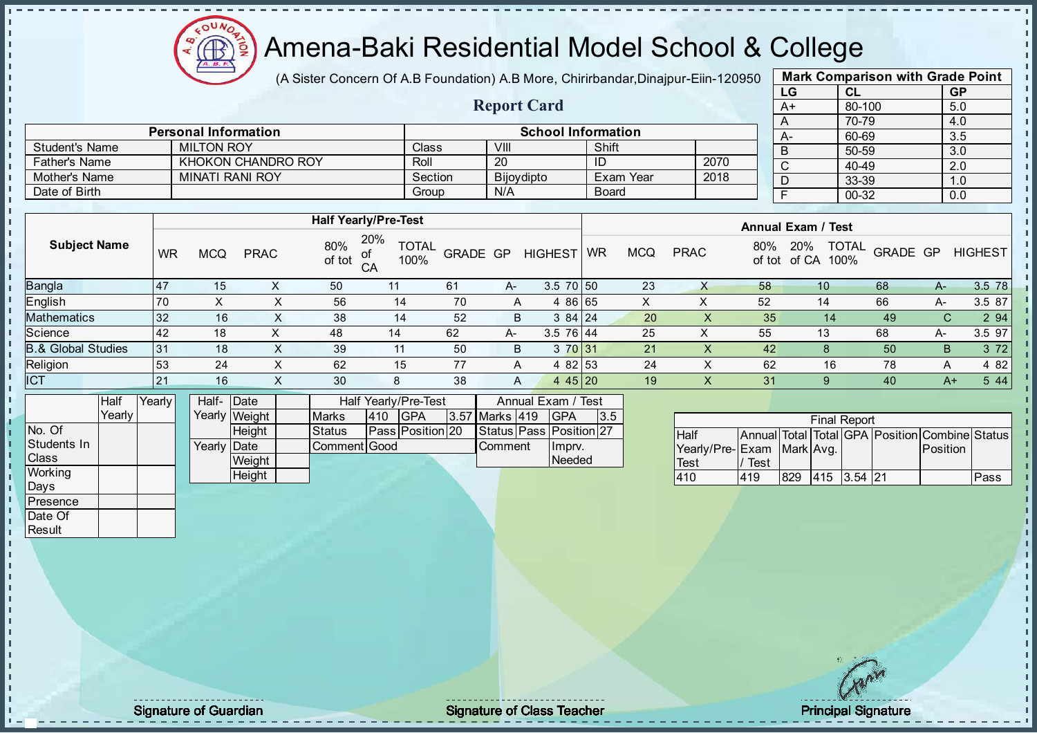Æ

## Amena-Baki Residential Model School & College

(A Sister Concern Of A.B Foundation) A.B More, Chirirbandar, Dinajpur-Eiin-120950

Report Card

| <b>Mark Comparison with Grade Point</b> |           |           |  |  |  |  |  |  |  |
|-----------------------------------------|-----------|-----------|--|--|--|--|--|--|--|
| LG                                      | <b>CL</b> | <b>GP</b> |  |  |  |  |  |  |  |
| $A+$                                    | 80-100    | 5.0       |  |  |  |  |  |  |  |
| A                                       | 70-79     | 4.0       |  |  |  |  |  |  |  |
|                                         | 60-69     | 3.5       |  |  |  |  |  |  |  |
| B                                       | 50-59     | 3.0       |  |  |  |  |  |  |  |
| C                                       | 40-49     | 2.0       |  |  |  |  |  |  |  |
|                                         | 33-39     | 1.0       |  |  |  |  |  |  |  |
|                                         | 00-32     | 0.0       |  |  |  |  |  |  |  |
|                                         |           |           |  |  |  |  |  |  |  |

|                | <b>Personal Information</b> |         | <b>School Information</b> |              |      |  |  |  |
|----------------|-----------------------------|---------|---------------------------|--------------|------|--|--|--|
| Student's Name | <b>MILTON ROY</b>           | Class   | VIII                      | Shift        |      |  |  |  |
| Father's Name  | KHOKON CHANDRO ROY          | Roll    | 20                        |              | 2070 |  |  |  |
| Mother's Name  | MINATI RANI ROY             | Section | Bijoydipto                | Exam Year    | 2018 |  |  |  |
| Date of Birth  |                             | Group   | N/A                       | <b>Board</b> |      |  |  |  |

|                               |                  | <b>Half Yearly/Pre-Test</b> |             |               |                                   |                 |    |                |           |            | <b>Annual Exam / Test</b> |               |                                      |          |      |                |
|-------------------------------|------------------|-----------------------------|-------------|---------------|-----------------------------------|-----------------|----|----------------|-----------|------------|---------------------------|---------------|--------------------------------------|----------|------|----------------|
| <b>Subject Name</b>           | WR               | <b>MCQ</b>                  | <b>PRAC</b> | 80%<br>of tot | 20%<br><b>TOTAL</b><br>100%<br>CA | <b>GRADE GP</b> |    | <b>HIGHEST</b> | <b>WR</b> | <b>MCQ</b> | <b>PRAC</b>               | 80%<br>of tot | <b>TOTAL</b><br>20%<br>of CA<br>100% | GRADE GP |      | <b>HIGHEST</b> |
| <b>Bangla</b>                 | $\overline{147}$ | 15                          |             | 50            |                                   | 61              | A- | $3.5$ 70 50    |           | 23         | х                         | 58            | 10                                   | 68       | A-   | 3.5 78         |
| <b>English</b>                | 70               |                             |             | 56            | 14                                | 70              | A  | 4 86 65        |           | x          |                           | 52            | 14                                   | 66       | A-   | 3.5 87         |
| <b>Mathematics</b>            | 32               | 16                          | ∧           | 38            | 14                                | 52              | B  | 384124         |           | 20         |                           | 35            | 14                                   | 49       | С    | 2 9 4          |
| Science                       | <b>42</b>        | 18                          |             | 48            | 14                                | 62              | A- | $3.5$ 76 44    |           | 25         | X                         | 55            | 13                                   | 68       | A-   | 3.5 97         |
| <b>B.&amp; Global Studies</b> | 31               | 18                          | ∧           | 39            | 11                                | 50              | B. | 3 70 31        |           | 21         | ∧                         | 42            |                                      | 50       | B    | 3 7 2          |
| Religion                      | 53               | 24                          | ⋏           | 62            | 15                                | 77              | A  | 4 82 53        |           | 24         |                           | 62            | 16                                   | 78       | A    | 4 8 2          |
| <b>ICT</b>                    | 21               | 16                          |             | 30            | 8                                 | 38              | A  | 4 4 5 2 0      |           | 19         |                           | 31            |                                      | 40       | $A+$ | 5 4 4          |
|                               |                  |                             |             |               |                                   |                 |    |                |           |            |                           |               |                                      |          |      |                |

|              | Half     | YearlvT | Half- Date  |               |               |     | Half Yearly/Pre-Test |                | Annual Exam / Test            |      |
|--------------|----------|---------|-------------|---------------|---------------|-----|----------------------|----------------|-------------------------------|------|
|              | Yearlv I |         |             | Yearly Weight | <b>Marks</b>  | 410 | IGPA                 | 3.57 Marks 419 | <b>IGPA</b>                   | 13.5 |
| INo. Of      |          |         |             | <b>Height</b> | <b>Status</b> |     | Pass Position 20     |                | Status   Pass   Position   27 |      |
| Students In  |          |         | Yearly Date |               | Comment Good  |     |                      | <b>Comment</b> | Ilmpry.                       |      |
| <b>Class</b> |          |         |             | Weight        |               |     |                      |                | <b>Needed</b>                 |      |
| Working      |          |         |             | Height        |               |     |                      |                |                               |      |

| <b>Final Report</b>       |      |     |                 |  |  |                                                |      |  |  |
|---------------------------|------|-----|-----------------|--|--|------------------------------------------------|------|--|--|
| <b>Half</b>               |      |     |                 |  |  | Annual Total Total GPA Position Combine Status |      |  |  |
| Yearly/Pre-Exam Mark Avg. |      |     |                 |  |  | <b>Position</b>                                |      |  |  |
| <b>Test</b>               | Test |     |                 |  |  |                                                |      |  |  |
| 410                       | 419  | 829 | $ 415 $ 3.54 21 |  |  |                                                | Pass |  |  |

Days **Presence** Date Of **Result** 

J. D  $\frac{1}{1}$  $\mathbf{I}$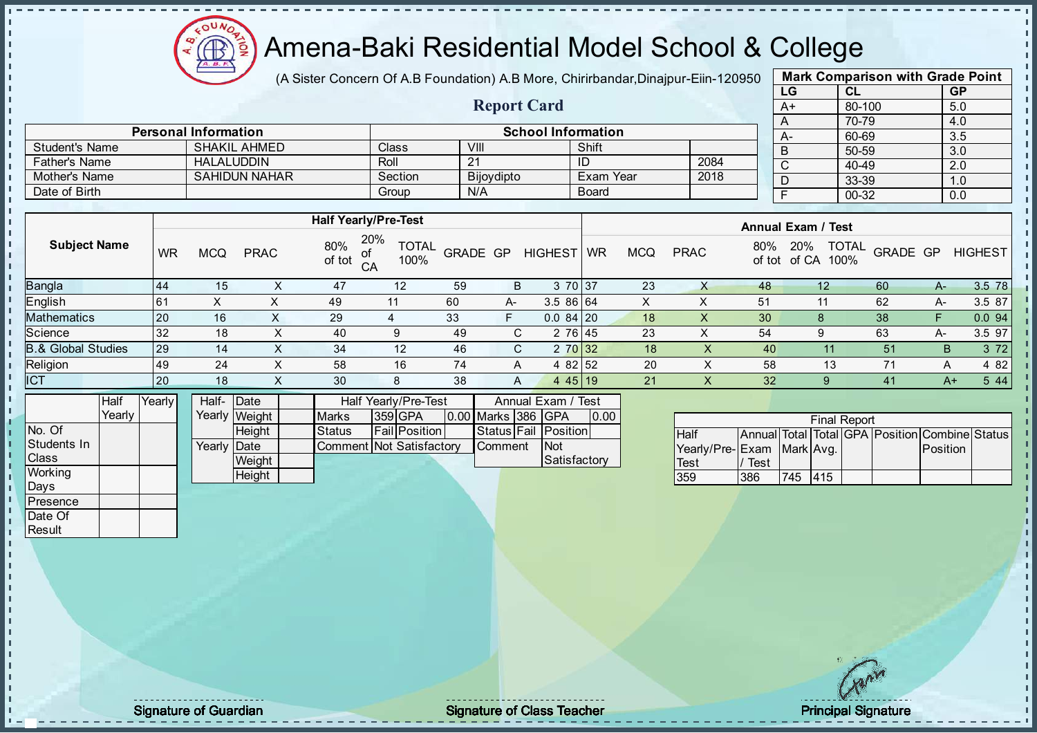

(A Sister Concern Of A.B Foundation) A.B More, Chirirbandar, Dinajpur-Eiin-120950

Report Card

| <b>Mark Comparison with Grade Point</b> |           |           |  |  |  |  |  |  |  |
|-----------------------------------------|-----------|-----------|--|--|--|--|--|--|--|
| LG                                      | <b>CL</b> | <b>GP</b> |  |  |  |  |  |  |  |
| $A+$                                    | 80-100    | 5.0       |  |  |  |  |  |  |  |
| A                                       | 70-79     | 4.0       |  |  |  |  |  |  |  |
|                                         | 60-69     | 3.5       |  |  |  |  |  |  |  |
| B                                       | 50-59     | 3.0       |  |  |  |  |  |  |  |
| C                                       | 40-49     | 2.0       |  |  |  |  |  |  |  |
|                                         | 33-39     | 1.0       |  |  |  |  |  |  |  |
|                                         | 00-32     | 0.0       |  |  |  |  |  |  |  |
|                                         |           |           |  |  |  |  |  |  |  |

|                       | <b>Personal Information</b> |         |            | <b>School Information</b> |      | $A-$ | 60             |
|-----------------------|-----------------------------|---------|------------|---------------------------|------|------|----------------|
| <b>Student's Name</b> | <b>SHAKIL AHMED</b>         | Class   | VIII       | Shift                     |      | D    |                |
| <b>Father's Name</b>  | <b>HALALUDDIN</b>           | Roll    | 21         | ID                        | 2084 |      |                |
| Mother's Name         | <b>SAHIDUN NAHAR</b>        | Section | Bijoydipto | Exam Year                 | 2018 | D    | ົ              |
| Date of Birth         |                             | Group   | N/A        | <b>Board</b>              |      |      | $\overline{0}$ |

|                               |           | <b>Half Yearly/Pre-Test</b> |             |               |                                   |          |    |                |           |            | <b>Annual Exam / Test</b> |     |                             |                          |      |                |
|-------------------------------|-----------|-----------------------------|-------------|---------------|-----------------------------------|----------|----|----------------|-----------|------------|---------------------------|-----|-----------------------------|--------------------------|------|----------------|
| <b>Subject Name</b>           | <b>WR</b> | <b>MCQ</b>                  | <b>PRAC</b> | 80%<br>of tot | 20%<br><b>TOTAL</b><br>100%<br>CA | GRADE GP |    | <b>HIGHEST</b> | <b>WR</b> | <b>MCQ</b> | <b>PRAC</b>               | 80% | 20%<br>100%<br>of tot of CA | <b>TOTAL</b><br>GRADE GP |      | <b>HIGHEST</b> |
| <b>Bangla</b>                 | 44        | 15                          |             | 47            | 12                                | 59       | B  | 3 70 37        |           | 23         | X                         | 48  | 12                          | 60                       | А-   | 3.5 78         |
| <b>English</b>                | 61        | X                           |             | 49            | 11                                | 60       | A- | 3.5 86 64      |           | X          | $\lambda$                 | 51  | 11                          | 62                       | A-   | 3.5 87         |
| <b>Mathematics</b>            | 20        | 16                          | $\sim$      | 29            |                                   | 33       | F  | $0.084$   20   |           | 18         | ∧                         | 30  |                             | 38                       |      | 0.094          |
| Science                       | 32        | 18                          |             | 40            | 9                                 | 49       | C. | 2 76 45        |           | 23         | х                         | 54  |                             | 63                       | A-   | 3.5 97         |
| <b>B.&amp; Global Studies</b> | 29        | 14                          | X           | 34            | 12                                | 46       | C. | 2 70 32        |           | 18         | X                         | 40  | 11                          | 51                       | B.   | 3 7 2          |
| Religion                      | 49        | 24                          | x           | 58            | 16                                | 74       | A  | 4 82 52        |           | 20         | X                         | 58  | 13                          | 71                       | A    | 4 8 2          |
| <b>ICT</b>                    | 20        | 18                          |             | 30            | 8                                 | 38       | A  | $445$   19     |           | 21         | Ā                         | 32  | 9                           | 41                       | $A+$ | 5 4 4          |
|                               |           |                             |             |               |                                   |          |    |                |           |            |                           |     |                             |                          |      |                |

|                | <b>Half</b> | Yearlvll | Half- Date  |               | Half Yearly/Pre-Test     |  |                     | Annual Exam / Test |                    |  |                      |      |
|----------------|-------------|----------|-------------|---------------|--------------------------|--|---------------------|--------------------|--------------------|--|----------------------|------|
|                | Yearly      |          |             | Yearly Weight | <b>Marks</b>             |  | <b>359 GPA</b>      |                    | 0.00 Marks 386 GPA |  |                      | 0.00 |
| No. Of         |             |          |             | <b>Height</b> | <b>I</b> Status          |  | <b>FailPosition</b> |                    |                    |  | Status Fail Position |      |
| Students In    |             |          | Yearly Date |               | Comment Not Satisfactory |  |                     |                    | <b>Comment</b>     |  | <b>INot</b>          |      |
| <b>Class</b>   |             |          |             | Weight        |                          |  |                     |                    |                    |  | Satisfactory         |      |
| <b>Working</b> |             |          |             | Height        |                          |  |                     |                    |                    |  |                      |      |

|                              | <b>Final Report</b> |         |  |  |  |                                                |  |  |  |  |  |
|------------------------------|---------------------|---------|--|--|--|------------------------------------------------|--|--|--|--|--|
| <b>Half</b>                  |                     |         |  |  |  | Annual Total Total GPA Position Combine Status |  |  |  |  |  |
| Yearly/Pre- Exam   Mark Avg. |                     |         |  |  |  | <b>Position</b>                                |  |  |  |  |  |
| Test                         | Test                |         |  |  |  |                                                |  |  |  |  |  |
| 359                          | 386                 | 745 415 |  |  |  |                                                |  |  |  |  |  |

Days **Presence** Date Of **Result** 

J. D  $\frac{1}{1}$  $\mathbf{I}$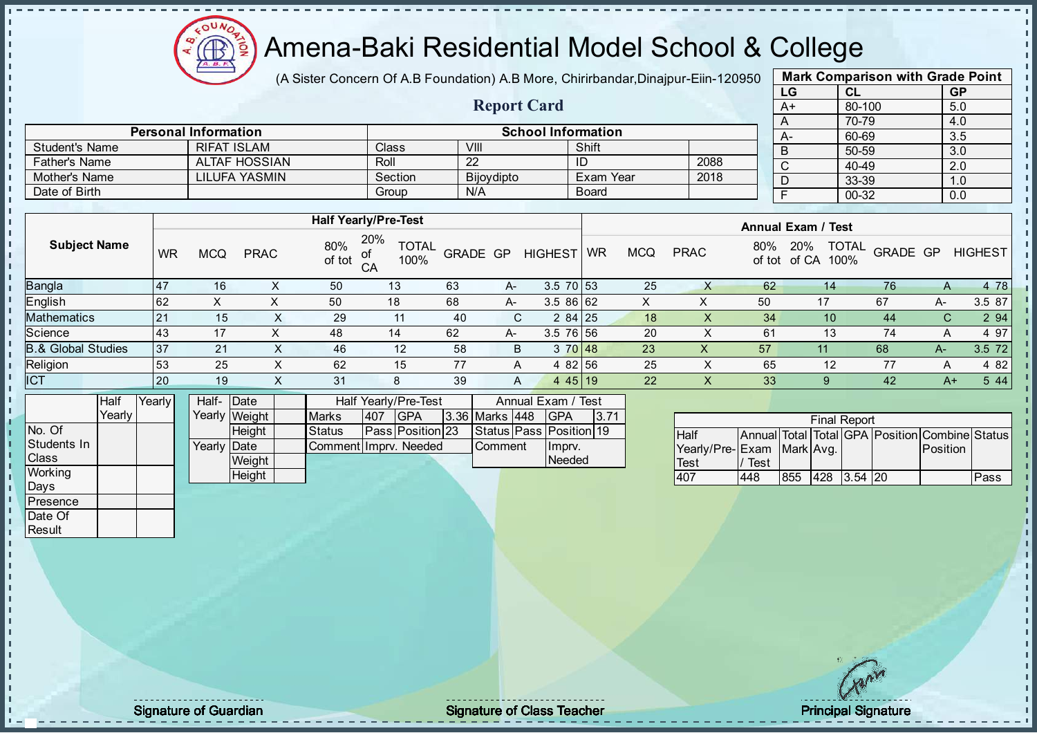

(A Sister Concern Of A.B Foundation) A.B More, Chirirbandar, Dinajpur-Eiin-120950

Report Card

| <b>Mark Comparison with Grade Point</b> |        |           |  |  |  |  |  |  |  |
|-----------------------------------------|--------|-----------|--|--|--|--|--|--|--|
| LG                                      | CL     | <b>GP</b> |  |  |  |  |  |  |  |
| A+                                      | 80-100 | 5.0       |  |  |  |  |  |  |  |
| A                                       | 70-79  | 4.0       |  |  |  |  |  |  |  |
| А-                                      | 60-69  | 3.5       |  |  |  |  |  |  |  |
| B                                       | 50-59  | 3.0       |  |  |  |  |  |  |  |
| C                                       | 40-49  | 2.0       |  |  |  |  |  |  |  |
| D                                       | 33-39  | 1.0       |  |  |  |  |  |  |  |
| F                                       | 00-32  | 0.0       |  |  |  |  |  |  |  |
|                                         |        |           |  |  |  |  |  |  |  |

|                | <b>Personal Information</b> |                             |            | <b>School Information</b> |                           | $A-$ | 60-69 |
|----------------|-----------------------------|-----------------------------|------------|---------------------------|---------------------------|------|-------|
| Student's Name | <b>RIFAT ISLAM</b>          | <b>Class</b>                | VIII       | Shift                     |                           |      | 50-59 |
| Father's Name  | <b>ALTAF HOSSIAN</b>        | Roll                        | 22         | ID                        | 2088                      |      | 40-49 |
| Mother's Name  | LILUFA YASMIN               | Section                     | Bijoydipto | Exam Year                 | 2018                      |      | 33-39 |
| Date of Birth  |                             | Group                       | N/A        | Board                     |                           |      | 00-32 |
|                |                             |                             |            |                           |                           |      |       |
|                |                             | <b>Half Yearly/Pre-Test</b> |            |                           | <b>Annual Exam / Test</b> |      |       |
|                |                             | $- - - -$                   |            |                           |                           |      |       |

| <b>Subject Name</b>           | <b>WR</b> | <b>MCQ</b> | <b>PRAC</b> | 80%<br>of tot | 20%<br><b>TOTAL</b><br>100%<br>CA |    | <b>GRADE GP</b> | <b>HIGHEST</b> | <b>WR</b> | <b>MCQ</b> | <b>PRAC</b> | 80%<br>of tot | <b>TOTAL</b><br>20%<br>of CA<br>100% | GRADE GP        |              | <b>HIGHEST</b> |
|-------------------------------|-----------|------------|-------------|---------------|-----------------------------------|----|-----------------|----------------|-----------|------------|-------------|---------------|--------------------------------------|-----------------|--------------|----------------|
| <b>Bangla</b>                 | 47        | 16         |             | 50            | 13 <sup>°</sup>                   | 63 | $A-$            | $3.5$ 70 53    |           | 25         |             | 62            | 14                                   | 76              | $\mathsf{A}$ | 4 78           |
| English                       | 62        |            |             | 50            | 18                                | 68 | A-              | 3.586 62       |           |            |             | 50            | 17                                   | 67              | A-           | 3.5 87         |
| <b>Mathematics</b>            | 21        | 15         | ^           | 29            | 11                                | 40 | C.              | 284 25         |           | 18         | X.          | 34            | 10                                   | 44              | С            | 2 9 4          |
| Science                       | 43        | 17         |             | 48            | 14                                | 62 | A-              | 3.5 76 56      |           | 20         |             | 61            | 13                                   | 74              | A            | 4 97           |
| <b>B.&amp; Global Studies</b> | 37        | 21         |             | 46            | 12                                | 58 | B               | 3 70 48        |           | 23         | X           | 57            | 11                                   | 68              | A-           | 3.5 72         |
| Religion                      | 53        | 25         | X           | 62            | 15                                | 77 | A               | 4 82 56        |           | 25         |             | 65            | 12                                   | 77              | $\mathsf{A}$ | 4 8 2          |
| <b>ICT</b>                    | 20        | 19         | $\sim$      | 31            | 8                                 | 39 | A               | 4 4 5 1 9      |           | 22         | X.          | 33            | 9                                    | 42 <sup>°</sup> | $A+$         | 5 4 4          |
|                               |           |            |             |               |                                   |    |                 |                |           |            |             |               |                                      |                 |              |                |

|                | Half     | Yearly | Half-Date   |               |                       |      | Half Yearly/Pre-Test    |                       | Annual Exam / Test      |      |
|----------------|----------|--------|-------------|---------------|-----------------------|------|-------------------------|-----------------------|-------------------------|------|
|                | Yearlv I |        |             | Yearly Weight | <b>Marks</b>          | 1407 | <b>IGPA</b>             | <b>3.36 Marks 448</b> | <b>IGPA</b>             | 3.71 |
| No. Of         |          |        |             | <b>Height</b> | <b>Status</b>         |      | <b>Pass Position 23</b> |                       | Status Pass Position 19 |      |
| Students In    |          |        | Yearly Date |               | Comment Imprv. Needed |      |                         | <b>Comment</b>        | Ilmpry.                 |      |
| <b>Class</b>   |          |        |             | Weight        |                       |      |                         |                       | Needed                  |      |
| <b>Working</b> |          |        |             | Height        |                       |      |                         |                       |                         |      |

|                           |      |     | <b>Final Report</b> |  |                                                |      |
|---------------------------|------|-----|---------------------|--|------------------------------------------------|------|
| <b>Half</b>               |      |     |                     |  | Annual Total Total GPA Position Combine Status |      |
| Yearly/Pre-Exam Mark Avg. |      |     |                     |  | <b>Position</b>                                |      |
| <b>Test</b>               | Test |     |                     |  |                                                |      |
| 407                       | 448  | 855 | 428 3.54 20         |  |                                                | Pass |

Days **Presence** Date Of **Result** 

h

 $\begin{bmatrix} 1 \\ 1 \\ 1 \end{bmatrix}$ 

 $\mathbf{I}$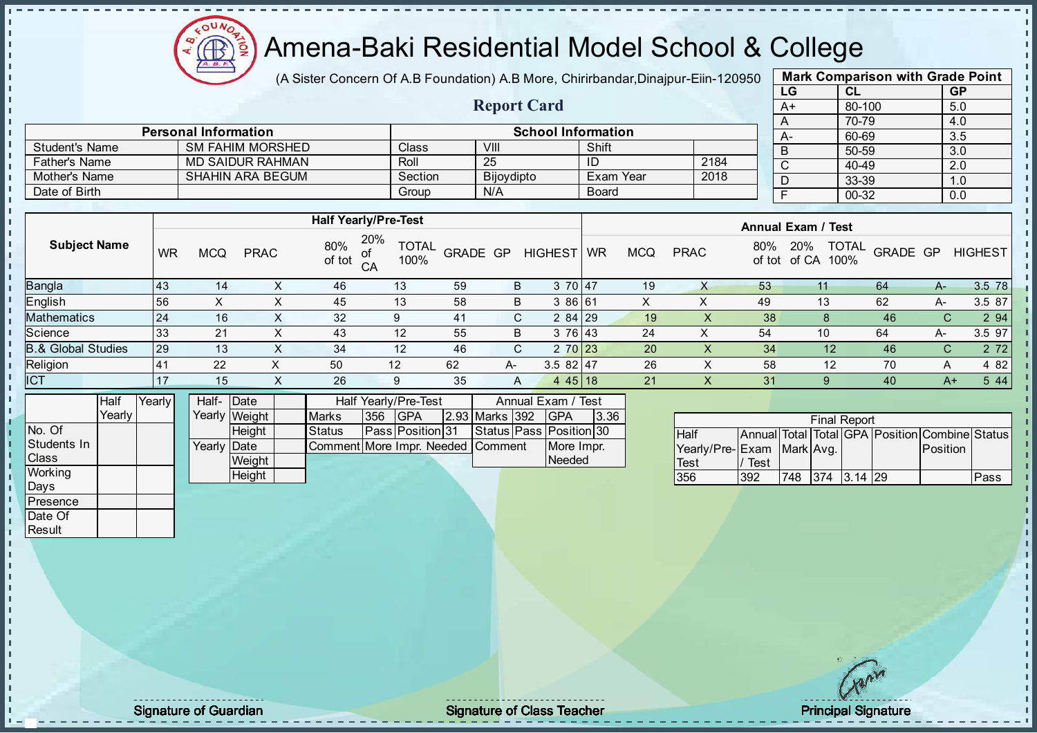oυ Æ

#### Amena-Baki Residential Model School & College

(A Sister Concern Of A.B Foundation) A.B More, Chirirbandar, Dinajpur-Eiin-120950

Report Card

|      | <b>Mark Comparison with Grade Point</b> |           |  |  |  |  |  |  |  |  |  |  |
|------|-----------------------------------------|-----------|--|--|--|--|--|--|--|--|--|--|
| LG   | CL                                      | <b>GP</b> |  |  |  |  |  |  |  |  |  |  |
| $A+$ | 80-100                                  | 5.0       |  |  |  |  |  |  |  |  |  |  |
| Α    | 70-79                                   | 4.0       |  |  |  |  |  |  |  |  |  |  |
| A-   | 60-69                                   | 3.5       |  |  |  |  |  |  |  |  |  |  |
| B    | 50-59                                   | 3.0       |  |  |  |  |  |  |  |  |  |  |
| C    | 40-49                                   | 2.0       |  |  |  |  |  |  |  |  |  |  |
| D    | 33-39                                   | 1.0       |  |  |  |  |  |  |  |  |  |  |
| F    | 00-32                                   | 0.0       |  |  |  |  |  |  |  |  |  |  |
|      |                                         |           |  |  |  |  |  |  |  |  |  |  |

|                               |      |           |            |                         |               |                                         |    |            |                    |              |            |             |               |                           | .                    |              | <u></u>        |
|-------------------------------|------|-----------|------------|-------------------------|---------------|-----------------------------------------|----|------------|--------------------|--------------|------------|-------------|---------------|---------------------------|----------------------|--------------|----------------|
| Mother's Name                 |      |           |            | <b>SHAHIN ARA BEGUM</b> |               | Section                                 |    | Bijoydipto |                    |              | Exam Year  | 2018        |               | D                         | 33-39                |              | 1.0            |
| Date of Birth                 |      |           |            |                         |               | Group                                   |    | N/A        |                    | <b>Board</b> |            |             |               |                           | 00-32                |              | 0.0            |
|                               |      |           |            |                         |               |                                         |    |            |                    |              |            |             |               |                           |                      |              |                |
|                               |      |           |            |                         |               | <b>Half Yearly/Pre-Test</b>             |    |            |                    |              |            |             |               | <b>Annual Exam / Test</b> |                      |              |                |
| <b>Subject Name</b>           |      | <b>WR</b> | <b>MCQ</b> | <b>PRAC</b>             | 80%<br>of tot | 20%<br><b>TOTAL</b><br>of<br>100%<br>CA |    | GRADE GP   | <b>HIGHEST</b>     | <b>WR</b>    | <b>MCQ</b> | <b>PRAC</b> | 80%<br>of tot | <b>20%</b><br>of CA       | <b>TOTAL</b><br>100% | GRADE GP     | <b>HIGHEST</b> |
| Bangla                        |      | 43        | 14         | x                       | 46            | 13                                      | 59 | B          | 3 70 47            |              | 19         | X           | 53            | 11                        | 64                   | $A-$         | 3.5 78         |
| English                       |      | 56        | X          | X                       | 45            | 13                                      | 58 | B          | 3 86 61            |              | X.         | Χ           | 49            | 13                        | 62                   | A-           | 3.5 87         |
| <b>Mathematics</b>            |      | 24        | 16         | X.                      | 32            | 9                                       | 41 | C.         | $284$   29         |              | 19         | X.          | 38            | 8                         | 46                   | C.           | 2 94           |
| Science                       |      | 33        | 21         | X                       | 43            | 12                                      | 55 | B          | 3 76 43            |              | 24         | X           | 54            | 10                        | 64                   | A-           | 3.5 97         |
| <b>B.&amp; Global Studies</b> |      | 29        | 13         | X                       | 34            | 12                                      | 46 | C.         | 2 70 23            |              | 20         | X.          | 34            | 12                        | 46                   | $\mathsf{C}$ | 2 7 2          |
| Religion                      |      | 41        | 22         | X                       | 50            | 12                                      | 62 | A-         | $3.582$   47       |              | 26         | X.          | 58            | 12                        | 70                   | A            | 4 8 2          |
| ICT                           |      | 17        | 15         | X                       | 26            | 9                                       | 35 | A          | $445$ 18           |              | 21         | X           | 31            | 9                         | 40                   | $A+$         | 5 4 4          |
|                               | Half | Yearly    | Half- Date |                         |               | Half Yearly/Pre-Test                    |    |            | Annual Exam / Test |              |            |             |               |                           |                      |              |                |

|              | ı ıalı | <b>TEQUE</b> | ∣ iali=     | ιυαισ         |                                   |     | וומוו וכסווע/דו <del>כ-</del> וכאנ |                       | AIIIIUAI LAAIII / TUJU        |      |  |
|--------------|--------|--------------|-------------|---------------|-----------------------------------|-----|------------------------------------|-----------------------|-------------------------------|------|--|
|              | Yearlv |              |             | Yearly Weight | <b>Marks</b>                      | 356 | <b>IGPA</b>                        | <b>2.93 Marks 392</b> | <b>IGPA</b>                   | 3.36 |  |
| No. Of       |        |              |             | Height        | Status                            |     | <b>Pass Position 31</b>            |                       | Status   Pass   Position   30 |      |  |
| Students In  |        |              | Yearly Date |               | Comment More Impr. Needed Comment |     |                                    |                       | More Impr.                    |      |  |
| <b>Class</b> |        |              |             | Weight        |                                   |     |                                    |                       | Needed                        |      |  |
| Working      |        |              |             | Heiaht        |                                   |     |                                    |                       |                               |      |  |
| Days         |        |              |             |               |                                   |     |                                    |                       |                               |      |  |

Student's Name SM FAHIM MORSHED Class VIII Shift<br>
Father's Name MD SAIDUR RAHMAN Roll 25 ID

Personal Information and The School Information

Father's Name MD SAIDUR RAHMAN ROLL 25 1D<br>
Mother's Name SHAHIN ARA BEGUM Section Bijoydipto Exam Year 2018

|                           |      |     | <b>Final Report</b> |            |                                                |      |
|---------------------------|------|-----|---------------------|------------|------------------------------------------------|------|
| <b>Half</b>               |      |     |                     |            | Annual Total Total GPA Position Combine Status |      |
| Yearly/Pre-Exam Mark Avg. |      |     |                     |            | <b>Position</b>                                |      |
| <b>Test</b>               | Test |     |                     |            |                                                |      |
| 356                       | 392  | 748 | 1374                | $13.14$ 29 |                                                | Pass |

Presence Date Of **Result** 

J.

п T. J. T. J. İ  $\mathbf{I}$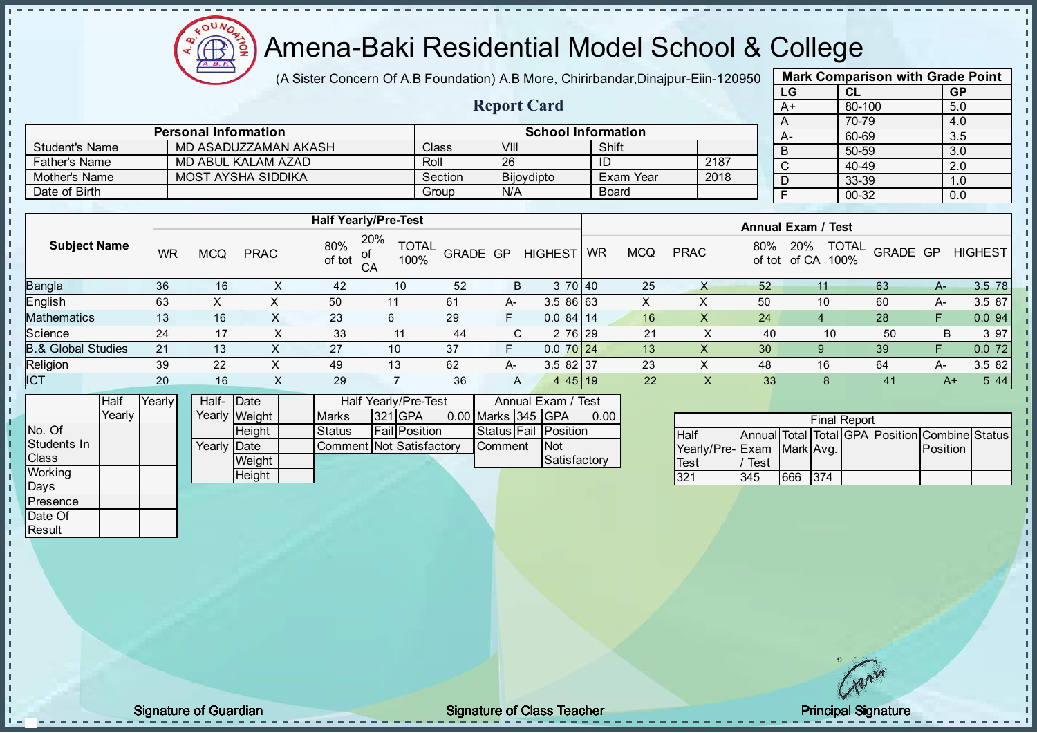

(A Sister Concern Of A.B Foundation) A.B More, Chirirbandar, Dinajpur-Eiin-120950

Report Card

|      | <b>Mark Comparison with Grade Point</b> |                  |
|------|-----------------------------------------|------------------|
| LG   | <b>CL</b>                               | <b>GP</b>        |
| $A+$ | 80-100                                  | 5.0              |
| A    | 70-79                                   | 4.0              |
| А-   | 60-69                                   | $\overline{3.5}$ |
| B    | 50-59                                   | 3.0              |
| C    | 40-49                                   | 2.0              |
| D    | 33-39                                   | 1.0              |
| F    | 00-32                                   | 0.0              |
|      |                                         |                  |

|                      | <b>Personal Information</b> |         |                   | <b>School Information</b> |      |  |
|----------------------|-----------------------------|---------|-------------------|---------------------------|------|--|
| Student's Name       | MD ASADUZZAMAN AKASH        | Class   | VIII              | Shift                     |      |  |
| <b>Father's Name</b> | MD ABUL KALAM AZAD          | Roll    | 26                | ID                        | 2187 |  |
| Mother's Name        | MOST AYSHA SIDDIKA          | Section | <b>Bijoydipto</b> | <b>Exam Year</b>          | 2018 |  |
| Date of Birth        |                             | Group   | N/A               | Board                     |      |  |

|                               |           |            |             |               | <b>Half Yearly/Pre-Test</b>       |          |    |                | <b>Annual Exam / Test</b> |            |             |     |                                             |          |    |                |
|-------------------------------|-----------|------------|-------------|---------------|-----------------------------------|----------|----|----------------|---------------------------|------------|-------------|-----|---------------------------------------------|----------|----|----------------|
| <b>Subject Name</b>           | <b>WR</b> | <b>MCQ</b> | <b>PRAC</b> | 80%<br>of tot | 20%<br><b>TOTAL</b><br>of<br>100% | GRADE GP |    | <b>HIGHEST</b> | <b>WR</b>                 | <b>MCQ</b> | <b>PRAC</b> | 80% | <b>TOTAL</b><br>20%<br>100%<br>of tot of CA | GRADE GP |    | <b>HIGHEST</b> |
| <b>Bangla</b>                 | 36        | 16         | x           | 42            | 10                                | 52       | B  | 3 70 40        |                           | 25         | X           | 52  |                                             | 63       | A- | 3.5 78         |
| <b>English</b>                | 63        | X          |             | 50            | 11                                | 61       | A- | 3.5 86 63      |                           | X          | ⌒           | 50  | 10                                          | 60       | A- | 3.5 87         |
| Mathematics                   | 13        | 16         | ^           | 23            | 6                                 | 29       | F. | $0.084$ 14     |                           | 16         | х           | 24  |                                             | 28       |    | 0.094          |
| Science                       | 24        | 17         |             | 33            | 11                                | 44       | C. | 2 76 29        |                           | 21         |             | 40  | 10                                          | 50       | В  | 3 97           |
| <b>B.&amp; Global Studies</b> | 21        | 13         | ㅅ           | 27            | 10                                | 37       | F  | $0.070$ 24     |                           | 13         | X           | 30  | 9                                           | 39       |    | 0.072          |
| Religion                      | 39        | 22         |             | 49            | 13                                | 62       | A- | $3.582$ 37     |                           | 23         | Χ           | 48  | 16                                          | 64       | A- | 3.5 82         |
| ICT                           | 20        | 16         |             | 29            |                                   | 36       | A  | 445 19         |                           | 22         | X           | 33  | 8                                           | 41       | A+ | 5 4 4          |
|                               |           |            |             |               |                                   |          |    |                |                           |            |             |     |                                             |          |    |                |

|              | Half   | Yearly | Half- Date  |               |                          | Half Yearly/Pre-Test |                    | Annual Exam / Test   |      |
|--------------|--------|--------|-------------|---------------|--------------------------|----------------------|--------------------|----------------------|------|
|              | Yearlv |        |             | Yearly Weight | <b>Marks</b>             | 321 GPA              | 0.00 Marks 345 GPA |                      | 0.00 |
| INo. Of      |        |        |             | <b>Height</b> | Status                   | <b>Fail Position</b> |                    | Status Fail Position |      |
| Students In  |        |        | Yearly Date |               | Comment Not Satisfactory |                      | Comment            | <b>INot</b>          |      |
| <b>Class</b> |        |        |             | Weight        |                          |                      |                    | Satisfactory         |      |
| Working      |        |        |             | Height        |                          |                      |                    |                      |      |

| <b>Final Report</b>       |      |         |  |  |  |                                                |  |  |  |  |
|---------------------------|------|---------|--|--|--|------------------------------------------------|--|--|--|--|
| <b>Half</b>               |      |         |  |  |  | Annual Total Total GPA Position Combine Status |  |  |  |  |
| Yearly/Pre-Exam Mark Avg. |      |         |  |  |  | <b>Position</b>                                |  |  |  |  |
| Test                      | Test |         |  |  |  |                                                |  |  |  |  |
| 321                       | 345  | 666 374 |  |  |  |                                                |  |  |  |  |

Days Presence Date Of **Result** 

h. h D  $\frac{1}{1}$  $\mathbf{I}$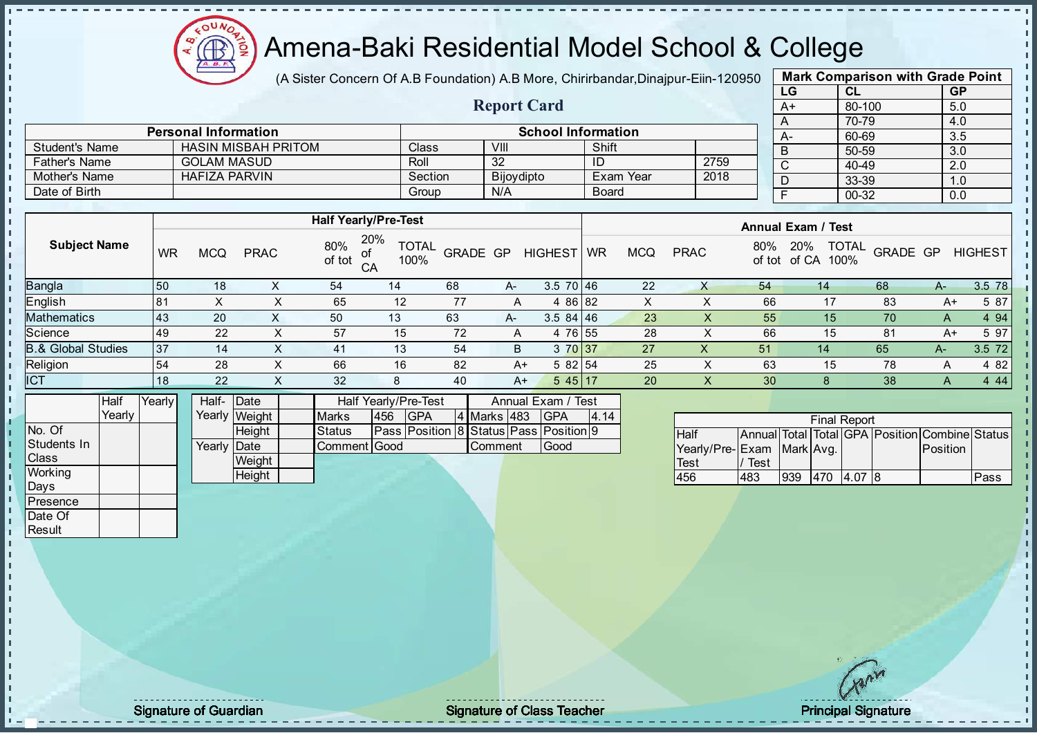(A Sister Concern Of A.B Foundation) A.B More, Chirirbandar, Dinajpur-Eiin-120950

Report Card

| <b>Mark Comparison with Grade Point</b> |           |     |  |  |  |  |  |  |  |
|-----------------------------------------|-----------|-----|--|--|--|--|--|--|--|
| LG                                      | <b>GP</b> |     |  |  |  |  |  |  |  |
| A+                                      | 80-100    | 5.0 |  |  |  |  |  |  |  |
| A                                       | 70-79     | 4.0 |  |  |  |  |  |  |  |
| А-                                      | 60-69     | 3.5 |  |  |  |  |  |  |  |
| B                                       | 50-59     | 3.0 |  |  |  |  |  |  |  |
| C                                       | 40-49     | 2.0 |  |  |  |  |  |  |  |
| D                                       | 33-39     | 1.0 |  |  |  |  |  |  |  |
| F                                       | $00 - 32$ | 0.0 |  |  |  |  |  |  |  |
|                                         |           |     |  |  |  |  |  |  |  |

|                      | <b>Personal Information</b> |         | <b>School Information</b> |                  |      |  |  |  |
|----------------------|-----------------------------|---------|---------------------------|------------------|------|--|--|--|
| Student's Name       | <b>HASIN MISBAH PRITOM</b>  | Classi  | VIII                      | Shift            |      |  |  |  |
| <b>Father's Name</b> | <b>GOLAM MASUD</b>          | Roll    | -32                       |                  | 2759 |  |  |  |
| Mother's Name        | HAFIZA PARVIN               | Section | <b>Bijoydipto</b>         | <b>Exam Year</b> | 2018 |  |  |  |
| Date of Birth        |                             | Group   | N/A                       | <b>Board</b>     |      |  |  |  |

|                               |           |            |             |               | <b>Half Yearly/Pre-Test</b>       |          |       |                | <b>Annual Exam / Test</b> |            |             |               |                                      |          |      |                |
|-------------------------------|-----------|------------|-------------|---------------|-----------------------------------|----------|-------|----------------|---------------------------|------------|-------------|---------------|--------------------------------------|----------|------|----------------|
| <b>Subject Name</b>           | <b>WR</b> | <b>MCQ</b> | <b>PRAC</b> | 80%<br>of tot | 20%<br><b>TOTAL</b><br>100%<br>CA | GRADE GP |       | <b>HIGHEST</b> | <b>WR</b>                 | <b>MCQ</b> | <b>PRAC</b> | 80%<br>of tot | <b>TOTAL</b><br>20%<br>100%<br>of CA | GRADE GP |      | <b>HIGHEST</b> |
| <b>Bangla</b>                 | 50        | 18         |             | 54            | 14                                | 68       | A-    | $3.5$ 70 46    |                           | 22         | X           | 54            | 14                                   | 68       | $A-$ | 3.5 78         |
| <b>English</b>                | 81        |            |             | 65            | 12                                | 77       | A     | 4 86 82        |                           | Y.         |             | 66            |                                      | 83       | A+   | 5 87           |
| <b>Mathematics</b>            | 43        | 20         |             | 50            | 13                                | 63       | $A -$ | $3.584$ 46     |                           | 23         |             | 55            | 15                                   | 70       | A    | 4 9 4          |
| Science                       | 49        | 22         | ∧           | 57            | 15                                | 72       | A     | 4 76 55        |                           | 28         |             | 66            | 15                                   | 81       | A+   | 5 97           |
| <b>B.&amp; Global Studies</b> | 37        | 14         |             | 41            | 13                                | 54       | B.    | 3 70 37        |                           | 27         | $\lambda$   | 51            | 14                                   | 65       | A-   | 3.5 72         |
| Religion                      | 54        | 28         |             | 66            | 16                                | 82       | A+    | 5 82 54        |                           | 25         | X           | 63            | 15                                   | 78       | Α    | 4 8 2          |
| <b>ICT</b>                    | 18        | 22         | $\lambda$   | 32            | 8                                 | 40       | A+    | $545$   17     |                           | 20         | X           | 30            | 8                                    | 38       | A    | 4 4 4          |
|                               |           |            |             |               |                                   |          |       |                |                           |            |             |               |                                      |          |      |                |

|                 | <b>Half</b> | Yearly | Half- Date  |               | Half Yearly/Pre-Test |     |                                        | Annual Exam / Test |                |  |             |      |
|-----------------|-------------|--------|-------------|---------------|----------------------|-----|----------------------------------------|--------------------|----------------|--|-------------|------|
|                 | Yearly      |        |             | Yearly Weight | <b>Marks</b>         | 456 | <b>GPA</b>                             |                    | 4 Marks 483    |  | <b>IGPA</b> | 4.14 |
| No. Of          |             |        |             | <b>Height</b> | <b>Status</b>        |     | Pass Position 8 Status Pass Position 9 |                    |                |  |             |      |
| Students In     |             |        | Yearly Date |               | Comment Good         |     |                                        |                    | <b>Comment</b> |  | Good        |      |
| <b>I</b> Class  |             |        |             | Weight        |                      |     |                                        |                    |                |  |             |      |
| Working         |             |        |             | <b>Height</b> |                      |     |                                        |                    |                |  |             |      |
| Davs            |             |        |             |               |                      |     |                                        |                    |                |  |             |      |
| <b>Presence</b> |             |        |             |               |                      |     |                                        |                    |                |  |             |      |

| <b>Final Report</b>          |      |     |      |        |  |                                                |      |  |  |
|------------------------------|------|-----|------|--------|--|------------------------------------------------|------|--|--|
| <b>Half</b>                  |      |     |      |        |  | Annual Total Total GPA Position Combine Status |      |  |  |
| Yearly/Pre- Exam   Mark Avg. |      |     |      |        |  | Position                                       |      |  |  |
| Test                         | Test |     |      |        |  |                                                |      |  |  |
| 456                          | 483  | 939 | 1470 | 4.0718 |  |                                                | Pass |  |  |

Date Of **Result** 

л J. J. İ  $\mathbf{I}$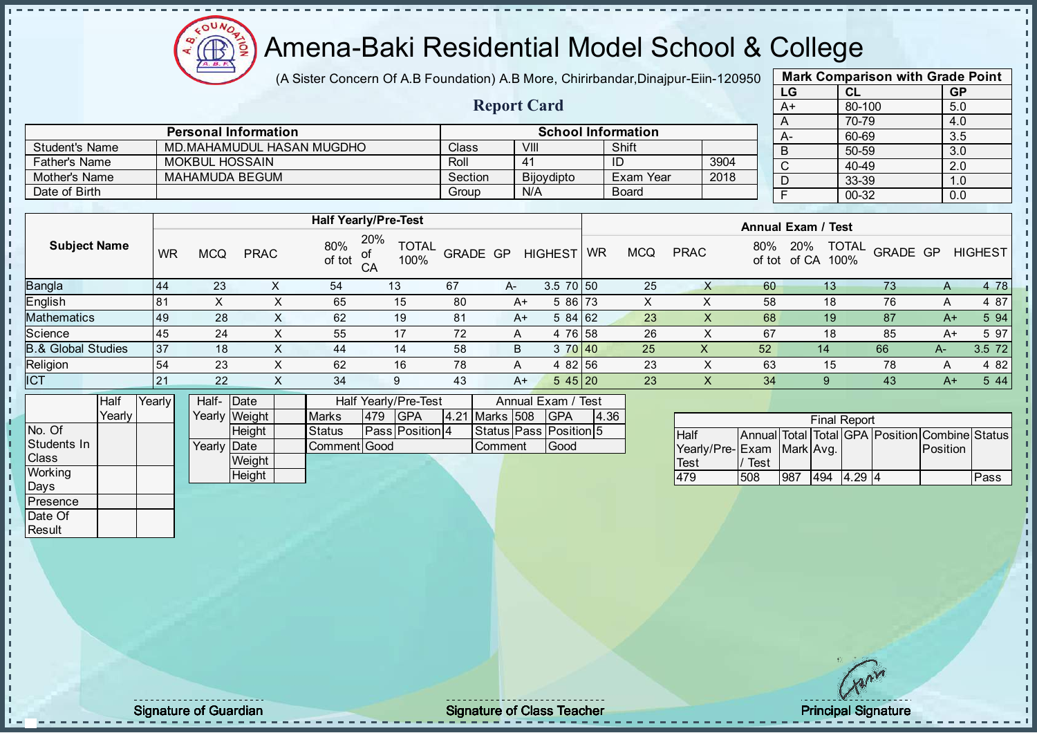Æ

## Amena-Baki Residential Model School & College

(A Sister Concern Of A.B Foundation) A.B More, Chirirbandar, Dinajpur-Eiin-120950

Report Card

| <b>Mark Comparison with Grade Point</b> |           |     |  |  |  |  |  |  |  |
|-----------------------------------------|-----------|-----|--|--|--|--|--|--|--|
| LG                                      | <b>GP</b> |     |  |  |  |  |  |  |  |
| $A+$                                    | 80-100    | 5.0 |  |  |  |  |  |  |  |
| A                                       | 70-79     | 4.0 |  |  |  |  |  |  |  |
| А-                                      | 60-69     | 3.5 |  |  |  |  |  |  |  |
| B                                       | 50-59     | 3.0 |  |  |  |  |  |  |  |
| C                                       | $40 - 49$ | 2.0 |  |  |  |  |  |  |  |
| D                                       | 33-39     | 1.0 |  |  |  |  |  |  |  |
| F                                       | 00-32     | 0.0 |  |  |  |  |  |  |  |
|                                         |           |     |  |  |  |  |  |  |  |

|                      | <b>Personal Information</b> |         | <b>School Information</b> |              |      |
|----------------------|-----------------------------|---------|---------------------------|--------------|------|
| Student's Name       | MD.MAHAMUDUL HASAN MUGDHO   | Class   | VIII                      | Shift        |      |
| <b>Father's Name</b> | MOKBUL HOSSAIN              | Roll    | 4 <sup>1</sup>            |              | 3904 |
| Mother's Name        | MAHAMUDA BEGUM              | Section | <b>Bijoydipto</b>         | Exam Year    | 2018 |
| Date of Birth        |                             | Group   | N/A                       | <b>Board</b> |      |

|                               |    |     |                           |               | <b>Half Yearly/Pre-Test</b>       |          |      |                 | <b>Annual Exam / Test</b> |                   |             |               |                                      |          |      |                |
|-------------------------------|----|-----|---------------------------|---------------|-----------------------------------|----------|------|-----------------|---------------------------|-------------------|-------------|---------------|--------------------------------------|----------|------|----------------|
| <b>Subject Name</b>           | WR | MCQ | <b>PRAC</b>               | 80%<br>of tot | 20%<br><b>TOTAL</b><br>100%<br>CA | GRADE GP |      | <b>HIGHEST</b>  | <b>WR</b>                 | <b>MCQ</b>        | <b>PRAC</b> | 80%<br>of tot | <b>TOTAL</b><br>20%<br>of CA<br>100% | GRADE GP |      | <b>HIGHEST</b> |
| <b>Bangla</b>                 | 44 | 23  | ⌒                         | 54            | 13                                | 67       | $A-$ | $3.5 \ 70 \ 50$ |                           | 25                |             | 60            | 13 <sub>1</sub>                      | 73       | A    | 4 78           |
| English                       | 81 |     | ∧                         | 65            | 15                                | 80       | A+   | 5 86 73         |                           | $\checkmark$<br>⋏ |             | 58            | 18                                   | 76       | A    | 4 87           |
| <b>Mathematics</b>            | 49 | 28  | Ā                         | 62            | 19                                | 81       | $A+$ | 584 62          |                           | 23                | $\Lambda$   | 68            | 19                                   | 87       | $A+$ | 5 94           |
| Science                       | 45 | 24  | ⋏                         | 55            | 17                                | 72       | A    | 4 76 58         |                           | 26                | ⌒           | 67            | 18                                   | 85       | A+   | 5 97           |
| <b>B.&amp; Global Studies</b> | 37 | 18  | ᄉ                         | 44            | 14                                | 58       | B    | 3 70 40         |                           | 25                | X           | 52            | 14                                   | 66       | $A-$ | 3.5 72         |
| Religion                      | 54 | 23  | $\lambda$                 | 62            | 16                                | 78       | A    | 4 82 56         |                           | 23                | ⌒           | 63            | 15                                   | 78       |      | 4 8 2          |
| <b>ICT</b>                    | 21 | 22  | $\checkmark$<br>$\lambda$ | 34            | 9                                 | 43       | A+   | 545 20          |                           | 23                | $\lambda$   | 34            |                                      | 43       | $A+$ | 5 4 4          |

|              | Half   | Yearly | Half-       | <b>IDate</b>  |               |     | <b>Half Yearly/Pre-Test</b> |                | Annual Exam / Test     |      |
|--------------|--------|--------|-------------|---------------|---------------|-----|-----------------------------|----------------|------------------------|------|
|              | Yearlv |        |             | Yearly Weight | <b>Marks</b>  | 479 | <b>IGPA</b>                 | 4.21 Marks 508 | <b>IGPA</b>            | 4.36 |
| No. Of       |        |        |             | Height        | <b>Status</b> |     | <b>Pass Position 4</b>      |                | Status Pass Position 5 |      |
| Students In  |        |        | Yearly Date |               | Comment Good  |     |                             | Comment        | Good                   |      |
| <b>Class</b> |        |        |             | Weight        |               |     |                             |                |                        |      |
| Working      |        |        |             | Height        |               |     |                             |                |                        |      |
| Davs         |        |        |             |               |               |     |                             |                |                        |      |

| <b>Final Report</b>       |      |     |     |        |  |                                                |      |  |  |
|---------------------------|------|-----|-----|--------|--|------------------------------------------------|------|--|--|
| <b>Half</b>               |      |     |     |        |  | Annual Total Total GPA Position Combine Status |      |  |  |
| Yearly/Pre-Exam Mark Avg. |      |     |     |        |  | <b>Position</b>                                |      |  |  |
| Test                      | Test |     |     |        |  |                                                |      |  |  |
| 179                       | 508  | 987 | 494 | 4 29 4 |  |                                                | Pass |  |  |

Presence Date Of **Result** 

- n -f J. İ  $\mathbf{I}$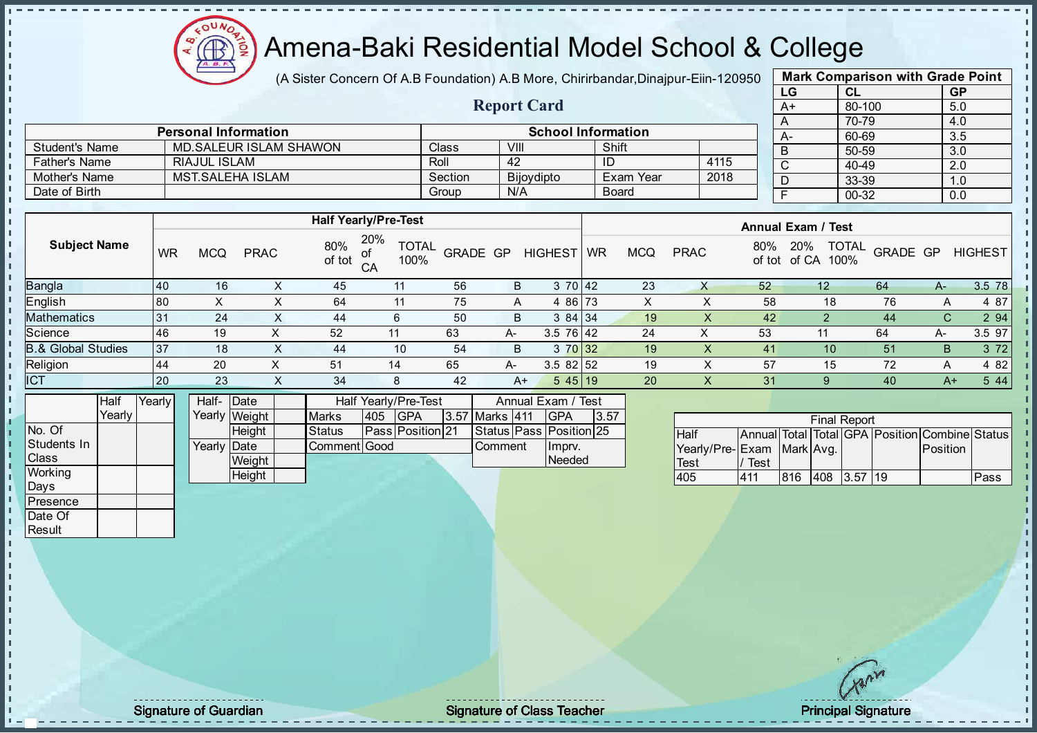$\Omega$ Æ

## Amena-Baki Residential Model School & College

(A Sister Concern Of A.B Foundation) A.B More, Chirirbandar, Dinajpur-Eiin-120950

Report Card

| <b>Mark Comparison with Grade Point</b> |        |           |  |  |  |  |  |  |  |
|-----------------------------------------|--------|-----------|--|--|--|--|--|--|--|
| LG                                      | CL     | <b>GP</b> |  |  |  |  |  |  |  |
| A+                                      | 80-100 | 5.0       |  |  |  |  |  |  |  |
| A                                       | 70-79  | 4.0       |  |  |  |  |  |  |  |
| A-                                      | 60-69  | 3.5       |  |  |  |  |  |  |  |
| B                                       | 50-59  | 3.0       |  |  |  |  |  |  |  |
| $\overline{\text{c}}$                   | 40-49  | 2.0       |  |  |  |  |  |  |  |
| D                                       | 33-39  | 1.0       |  |  |  |  |  |  |  |
| F                                       | 00-32  | 0.0       |  |  |  |  |  |  |  |
|                                         |        |           |  |  |  |  |  |  |  |

|                       | <b>Personal Information</b> |              | <b>School Information</b> |           |      |  |
|-----------------------|-----------------------------|--------------|---------------------------|-----------|------|--|
| <b>Student's Name</b> | MD. SALEUR ISLAM SHAWON     | <b>Class</b> | VIII                      | Shift     |      |  |
| <b>Father's Name</b>  | RIAJUL ISLAM                | Roll         | 42                        |           | 4115 |  |
| Mother's Name         | MST SALEHA ISLAM            | Section      | <b>Bijovdipto</b>         | Exam Year | 2018 |  |
| Date of Birth         |                             | Group        | N/A                       | Board     |      |  |

|                                                                                                                      |           |            |             |               | <b>Half Yearly/Pre-Test</b>             |                 |      |                 | <b>Annual Exam / Test</b> |            |             |               |                               |                 |      |                |
|----------------------------------------------------------------------------------------------------------------------|-----------|------------|-------------|---------------|-----------------------------------------|-----------------|------|-----------------|---------------------------|------------|-------------|---------------|-------------------------------|-----------------|------|----------------|
| <b>Subject Name</b>                                                                                                  | <b>WR</b> | <b>MCQ</b> | <b>PRAC</b> | 80%<br>of tot | 20%<br><b>TOTAL</b><br>of<br>CA<br>100% | <b>GRADE GP</b> |      | <b>HIGHEST</b>  | <b>WR</b>                 | <b>MCQ</b> | <b>PRAC</b> | 80%<br>of tot | TOTAL<br>20%<br>100%<br>of CA | <b>GRADE GP</b> |      | <b>HIGHEST</b> |
| <b>Bangla</b>                                                                                                        | 40        | 16         | ∧           | 45            | 11                                      | 56              | B    | 3 70 42         |                           | 23         | X           | 52            | 12                            | 64              | A-   | 3.5 78         |
| English                                                                                                              | 80        |            |             | 64            | 11                                      | 75              | A    | 4 86 73         |                           | х          |             | 58            | 18                            | 76              | A    | 4 87           |
| Mathematics                                                                                                          | 31        | 24         | X.          | 44            | 6                                       | 50              | B    | 384 34          |                           | 19         | X           | 42            |                               | 44              | C.   | 2 94           |
| Science                                                                                                              | 46        | 19         |             | 52            | 11                                      | 63              | A-   | $3.5 \ 76 \ 42$ |                           | 24         | X           | 53            | 11                            | 64              | А-   | 3.5 97         |
| <b>B.&amp; Global Studies</b>                                                                                        | 37        | 18         |             | 44            | 10                                      | 54              | B    | 3 70 32         |                           | 19         |             | 41            | 10                            | 51              | В    | 3 7 2          |
| Religion                                                                                                             | 44        | 20         |             | 51            | 14                                      | 65              | A-   | $3.582$ 52      |                           | 19         |             | 57            | 15                            | 72              | A    | 4 82           |
| <b>ICT</b>                                                                                                           | 20        | 23         |             | 34            | 8                                       | 42              | $A+$ | $545$   19      |                           | 20         | X           | 31            | 9                             | 40              | $A+$ | 5 4 4          |
| .<br>the contract of the contract of the contract of the contract of the contract of the contract of the contract of |           |            |             |               |                                         |                 |      |                 |                           |            |             |               |                               |                 |      |                |

|              | Half   | Yearly | Half- Date           |               |               |      | <b>Half Yearly/Pre-Test</b> | Annual Exam / Test |                |  |                               |      |  |
|--------------|--------|--------|----------------------|---------------|---------------|------|-----------------------------|--------------------|----------------|--|-------------------------------|------|--|
|              | Yearly |        |                      | Yearly Weight | <b>Marks</b>  | 1405 | <b>IGPA</b>                 |                    | 3.57 Marks 411 |  | IGPA                          | 3.57 |  |
| INo. Of      |        |        |                      | <b>Height</b> | <b>Status</b> |      | <b>PassIPosition121</b>     |                    |                |  | Status   Pass   Position   25 |      |  |
| Students In  |        |        | Yearly <b>I</b> Date |               | Comment Good  |      |                             |                    | <b>Comment</b> |  | Ilmprv.                       |      |  |
| <b>Class</b> |        |        |                      | Weight        |               |      |                             |                    |                |  | Needed                        |      |  |
| Working      |        |        |                      | Height        |               |      |                             |                    |                |  |                               |      |  |

|                           |      |     |      | <b>Final Report</b> |    |                                                |      |
|---------------------------|------|-----|------|---------------------|----|------------------------------------------------|------|
| <b>Half</b>               |      |     |      |                     |    | Annual Total Total GPA Position Combine Status |      |
| Yearly/Pre-Exam Mark Avg. |      |     |      |                     |    | Position                                       |      |
| <b>Test</b>               | Test |     |      |                     |    |                                                |      |
| 405                       | 411  | 816 | 1408 | $\vert 3.57 \vert$  | 19 |                                                | Pass |

Days Presence Date Of **Result** 

h D  $\frac{1}{1}$  $\mathbf{I}$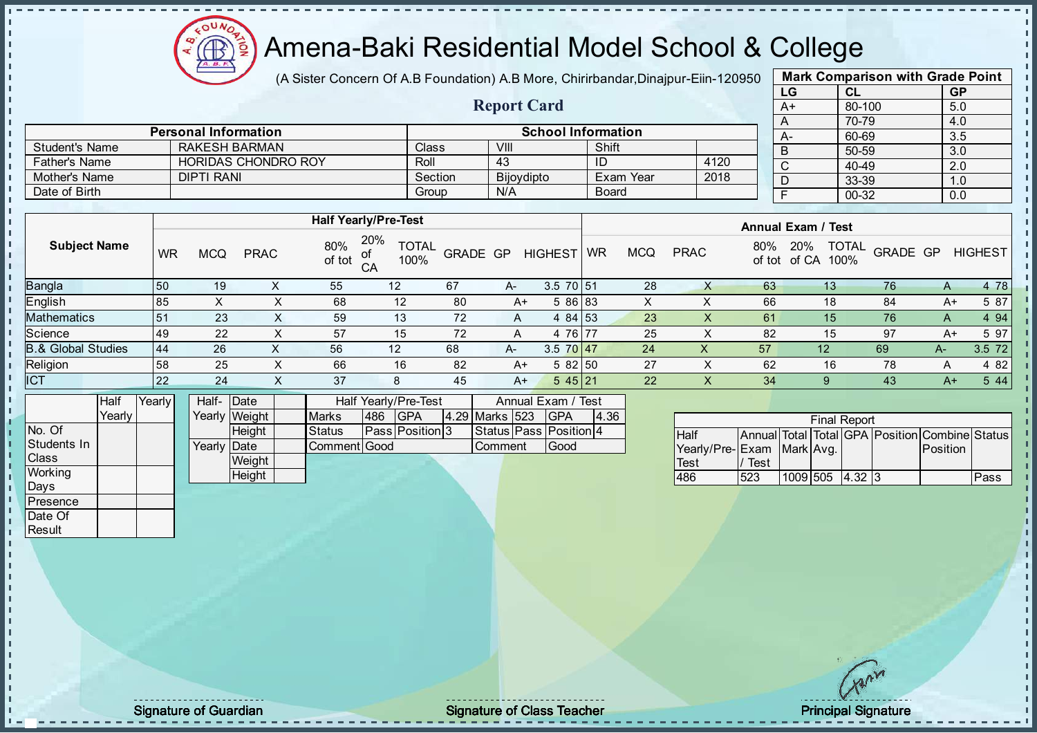

(A Sister Concern Of A.B Foundation) A.B More, Chirirbandar, Dinajpur-Eiin-120950

Report Card

| <b>Mark Comparison with Grade Point</b> |        |           |  |  |  |  |  |  |  |  |
|-----------------------------------------|--------|-----------|--|--|--|--|--|--|--|--|
| LG                                      | CL     | <b>GP</b> |  |  |  |  |  |  |  |  |
| $A+$                                    | 80-100 | 5.0       |  |  |  |  |  |  |  |  |
| A                                       | 70-79  | 4.0       |  |  |  |  |  |  |  |  |
| A-                                      | 60-69  | 3.5       |  |  |  |  |  |  |  |  |
| B                                       | 50-59  | 3.0       |  |  |  |  |  |  |  |  |
| C                                       | 40-49  | 2.0       |  |  |  |  |  |  |  |  |
| D                                       | 33-39  | 1.0       |  |  |  |  |  |  |  |  |
| F                                       | 00-32  | 0.0       |  |  |  |  |  |  |  |  |
|                                         |        |           |  |  |  |  |  |  |  |  |

|                      | <b>Personal Information</b> | <b>School Information</b> |            |              |      |  |  |  |  |
|----------------------|-----------------------------|---------------------------|------------|--------------|------|--|--|--|--|
| Student's Name       | <b>RAKESH BARMAN</b>        | Class                     | VIII       | Shift        |      |  |  |  |  |
| <b>Father's Name</b> | <b>HORIDAS CHONDRO ROY</b>  | Roll                      | 43         | ID           | 4120 |  |  |  |  |
| Mother's Name        | DIPTI RANI                  | Section                   | Bijoydipto | ⊩Exam Year   | 2018 |  |  |  |  |
| Date of Birth        |                             | Group                     | N/A        | <b>Board</b> |      |  |  |  |  |

|                               |           |            |             |               | <b>Half Yearly/Pre-Test</b>          |          |      |                | <b>Annual Exam / Test</b> |            |             |               |                                      |          |       |                |
|-------------------------------|-----------|------------|-------------|---------------|--------------------------------------|----------|------|----------------|---------------------------|------------|-------------|---------------|--------------------------------------|----------|-------|----------------|
| <b>Subject Name</b>           | <b>WR</b> | <b>MCQ</b> | <b>PRAC</b> | 80%<br>of tot | 20%<br><b>TOTAL</b><br>100%<br>$C$ A | GRADE GP |      | <b>HIGHEST</b> | WR                        | <b>MCQ</b> | <b>PRAC</b> | 80%<br>of tot | <b>TOTAL</b><br>20%<br>of CA<br>100% | GRADE GP |       | <b>HIGHEST</b> |
| <b>Bangla</b>                 | 50        | 19         |             | 55            | 12                                   | 67       | A-   | 3.5 70 51      |                           | 28         |             | 63            | 13                                   | 76       | A     | 4 78           |
| English                       | 85        |            |             | 68            | 12                                   | 80       | $A+$ | 5 86 83        |                           | X          | ⋏           | 66            | 18                                   | 84       | $A+$  | 5 87           |
| <b>Mathematics</b>            | 51        | 23         | X.          | 59            | 13                                   | 72       | A    | 4 84 53        |                           | 23         |             | 61            | 15                                   | 76       | A     | 4 9 4          |
| Science                       | 49        | 22         | X           | 57            | 15                                   | 72       | A    | 4 76 77        |                           | 25         |             | 82            | 15                                   | 97       | A+    | 5 97           |
| <b>B.&amp; Global Studies</b> | 44        | 26         | ⋏           | 56            | 12                                   | 68       | A-   | $3.5$ 70 47    |                           | 24         | X           | 57            | $12 \overline{ }$                    | -69      | $A -$ | $3.5$ 72       |
| Religion                      | 58        | 25         |             | 66            | 16                                   | 82       | $A+$ | 582 50         |                           | 27         |             | 62            | 16                                   | 78       | A     | 4 8 2          |
| <b>ICT</b>                    | 22        | 24         | X           | 37            | 8                                    | 45       | A+   | 545 21         |                           | 22         | $\lambda$   | 34            | 9                                    | 43       | A+    | 544            |
|                               |           |            |             |               |                                      |          |      |                |                           |            |             |               |                                      |          |       |                |

|                | Half            | Yearly | Half- Date  |               |               |     | Half Yearly/Pre-Test   |  |                | Annual Exam / Test |                        |      |
|----------------|-----------------|--------|-------------|---------------|---------------|-----|------------------------|--|----------------|--------------------|------------------------|------|
|                | Yearlv <b>I</b> |        |             | Yearly Weight | <b>Marks</b>  | 486 | <b>IGPA</b>            |  | 4.29 Marks 523 |                    | <b>IGPA</b>            | 4.36 |
| No. Of         |                 |        |             | Height        | <b>Status</b> |     | <b>Pass Position 3</b> |  |                |                    | Status Pass Position 4 |      |
| Students In    |                 |        | Yearly Date |               | Comment Good  |     |                        |  | <b>Comment</b> |                    | Good                   |      |
| <b>Class</b>   |                 |        |             | Weight        |               |     |                        |  |                |                    |                        |      |
| <b>Working</b> |                 |        |             | Height        |               |     |                        |  |                |                    |                        |      |
| Days           |                 |        |             |               |               |     |                        |  |                |                    |                        |      |

|                           |      |                 | <b>Final Report</b> |                                                |      |
|---------------------------|------|-----------------|---------------------|------------------------------------------------|------|
| <b>Half</b>               |      |                 |                     | Annual Total Total GPA Position Combine Status |      |
| Yearly/Pre-Exam Mark Avg. |      |                 |                     | <b>Position</b>                                |      |
| Test                      | Test |                 |                     |                                                |      |
| 486                       | 523  | 1009 505 4.32 3 |                     |                                                | Pass |

**Presence** Date Of **Result** 

J. T.  $\begin{bmatrix} 1 \\ 1 \\ 1 \end{bmatrix}$  $\mathbf{I}$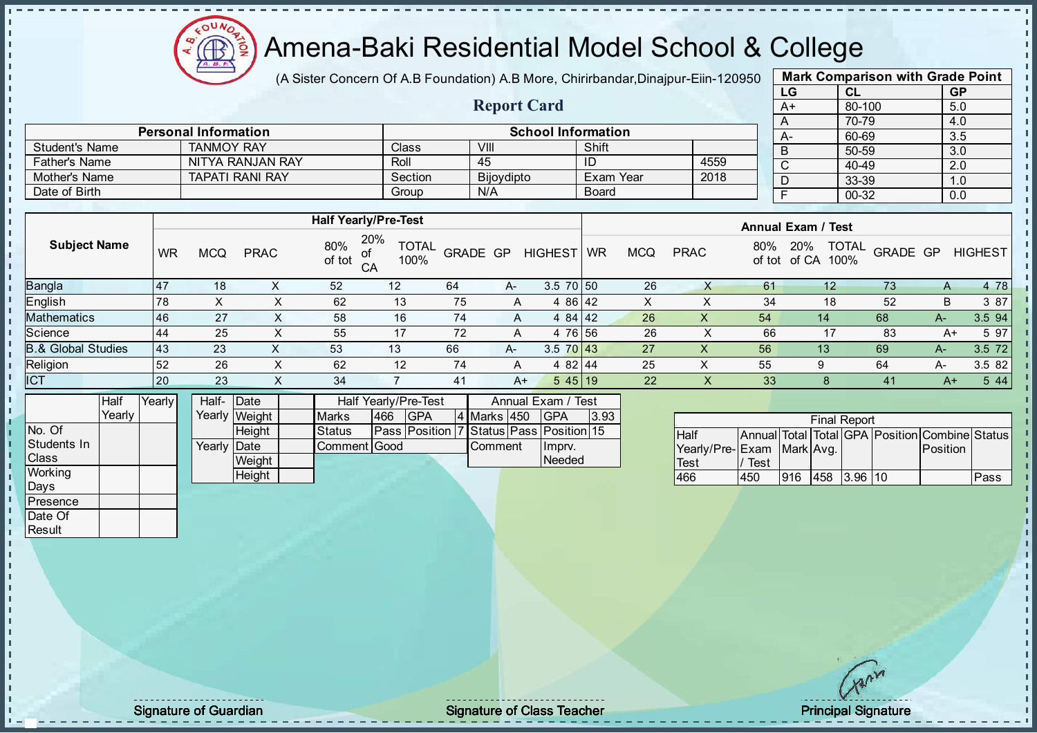

(A Sister Concern Of A.B Foundation) A.B More, Chirirbandar, Dinajpur-Eiin-120950

Report Card

| <b>Mark Comparison with Grade Point</b> |           |           |  |  |  |  |  |  |  |  |
|-----------------------------------------|-----------|-----------|--|--|--|--|--|--|--|--|
| LG                                      | <b>CL</b> | <b>GP</b> |  |  |  |  |  |  |  |  |
| $A+$                                    | 80-100    | 5.0       |  |  |  |  |  |  |  |  |
| A                                       | 70-79     | 4.0       |  |  |  |  |  |  |  |  |
|                                         | 60-69     | 3.5       |  |  |  |  |  |  |  |  |
| B                                       | 50-59     | 3.0       |  |  |  |  |  |  |  |  |
| C                                       | 40-49     | 2.0       |  |  |  |  |  |  |  |  |
|                                         | 33-39     | 1.0       |  |  |  |  |  |  |  |  |
|                                         | 00-32     | 0.0       |  |  |  |  |  |  |  |  |
|                                         |           |           |  |  |  |  |  |  |  |  |

|                      | <b>Personal Information</b> |         | <b>School Information</b> |           |      |
|----------------------|-----------------------------|---------|---------------------------|-----------|------|
| Student's Name       | <b>TANMOY RAY</b>           | Class   | VIII                      | Shift     |      |
| <b>Father's Name</b> | NITYA RANJAN RAY            | Roll    | 45                        | ID        | 4559 |
| Mother's Name        | <b>TAPATI RANI RAY</b>      | Section | <b>Bijoydipto</b>         | Exam Year | 2018 |
| Date of Birth        |                             | Group   | N/A                       | Board     |      |

|                     |              |                   |             | <b>Half Yearly/Pre-Test</b>      |                                                                                                                                                                                                                                                                                                                                                    |                 |      |                                                                                                                                                                                                                                                                                                                                    | <b>Annual Exam / Test</b> |            |             |               |                                      |          |      |                |
|---------------------|--------------|-------------------|-------------|----------------------------------|----------------------------------------------------------------------------------------------------------------------------------------------------------------------------------------------------------------------------------------------------------------------------------------------------------------------------------------------------|-----------------|------|------------------------------------------------------------------------------------------------------------------------------------------------------------------------------------------------------------------------------------------------------------------------------------------------------------------------------------|---------------------------|------------|-------------|---------------|--------------------------------------|----------|------|----------------|
| <b>Subject Name</b> | <b>WR</b>    | <b>MCQ</b>        | <b>PRAC</b> | 20%<br>80%<br>0f<br>of tot<br>CA | <b>TOTAL</b><br>100%                                                                                                                                                                                                                                                                                                                               | <b>GRADE GP</b> |      | <b>HIGHEST</b>                                                                                                                                                                                                                                                                                                                     | <b>WR</b>                 | <b>MCQ</b> | <b>PRAC</b> | 80%<br>of tot | <b>TOTAL</b><br>20%<br>100%<br>of CA | GRADE GP |      | <b>HIGHEST</b> |
| Bangla              | 47           | 18                |             | 52                               | 12                                                                                                                                                                                                                                                                                                                                                 | 64              | A-   | $3.5 \ 70 \ 50$                                                                                                                                                                                                                                                                                                                    |                           | 26         |             | 61            |                                      | 73       |      | 4 78           |
| English             | 78           | X                 | X           | 62                               | 13                                                                                                                                                                                                                                                                                                                                                 | 75              | A    | 4 86 42                                                                                                                                                                                                                                                                                                                            |                           | X          |             | 34            | 18                                   | 52       | B    | 3 87           |
| Mathematics         | 46           | 27                |             | 58                               | 16                                                                                                                                                                                                                                                                                                                                                 | 74              | A    | 4 84 42                                                                                                                                                                                                                                                                                                                            |                           | 26         | X           | 54            | 14                                   | 68       | $A-$ | 3.594          |
| Science             | 44           | 25                | X           | 55                               | 17                                                                                                                                                                                                                                                                                                                                                 | 72              | A    | 4 76 56                                                                                                                                                                                                                                                                                                                            |                           | 26         | ⋏           | 66            | -17                                  | 83       | $A+$ | 5 97           |
| 8.& Global Studies  | 43           | 23                | X           | 53                               | 13                                                                                                                                                                                                                                                                                                                                                 | 66              | A-   | $3.5 \ 70 \ 43$                                                                                                                                                                                                                                                                                                                    |                           | 27         |             | 56            | 13                                   | 69       | A-   | $3.5$ 72       |
| Religion            | 52           | 26                | ⌒           | 62                               | 12                                                                                                                                                                                                                                                                                                                                                 | 74              | A    | 4 82 44                                                                                                                                                                                                                                                                                                                            |                           | 25         | ∧           | 55            | 9                                    | 64       | A-   | 3.5 82         |
| <b>ICT</b>          | <b>20</b>    | 23                | X           | 34                               |                                                                                                                                                                                                                                                                                                                                                    | 41              | $A+$ | $545$   19                                                                                                                                                                                                                                                                                                                         |                           | 22         | $\sim$      | 33            | -8                                   | 41       | $A+$ | 5 4 4          |
| lu un               | $\mathbf{1}$ | $\cdots$ $\cdots$ |             |                                  | $\mathbf{1}$ $\mathbf{1}$ $\mathbf{1}$ $\mathbf{1}$ $\mathbf{1}$ $\mathbf{1}$ $\mathbf{1}$ $\mathbf{1}$ $\mathbf{1}$ $\mathbf{1}$ $\mathbf{1}$ $\mathbf{1}$ $\mathbf{1}$ $\mathbf{1}$ $\mathbf{1}$ $\mathbf{1}$ $\mathbf{1}$ $\mathbf{1}$ $\mathbf{1}$ $\mathbf{1}$ $\mathbf{1}$ $\mathbf{1}$ $\mathbf{1}$ $\mathbf{1}$ $\mathbf{$<br>$\mathbf{r}$ |                 |      | $\mathbf{A}$ $\mathbf{A}$ $\mathbf{A}$ $\mathbf{A}$ $\mathbf{A}$ $\mathbf{A}$ $\mathbf{A}$ $\mathbf{A}$ $\mathbf{A}$ $\mathbf{A}$ $\mathbf{A}$ $\mathbf{A}$ $\mathbf{A}$ $\mathbf{A}$ $\mathbf{A}$ $\mathbf{A}$ $\mathbf{A}$ $\mathbf{A}$ $\mathbf{A}$ $\mathbf{A}$ $\mathbf{A}$ $\mathbf{A}$ $\mathbf{A}$ $\mathbf{A}$ $\mathbf{$ |                           |            |             |               |                                      |          |      |                |

|              | Half   | Yearly <mark>I</mark> | Half- Date  |               |               | Half Yearly/Pre-Test |                                         |  |                |  | Annual Exam / Test |      |  |  |  |
|--------------|--------|-----------------------|-------------|---------------|---------------|----------------------|-----------------------------------------|--|----------------|--|--------------------|------|--|--|--|
|              | Yearlv |                       |             | Yearly Weight | <b>Marks</b>  | 466                  | <b>IGPA</b>                             |  | 4 Marks 450    |  | <b>IGPA</b>        | 3.93 |  |  |  |
| INo. Of      |        |                       |             | <b>Height</b> | <b>Status</b> |                      | Pass Position 7 Status Pass Position 15 |  |                |  |                    |      |  |  |  |
| Students In  |        |                       | Yearly Date |               | Comment Good  |                      |                                         |  | <b>Comment</b> |  | Ilmpry.            |      |  |  |  |
| <b>Class</b> |        |                       |             | Weight        |               |                      |                                         |  |                |  | Needed             |      |  |  |  |
| Working      |        |                       |             | Height        |               |                      |                                         |  |                |  |                    |      |  |  |  |

|                           |      |     | <b>Final Report</b> |                                                |      |
|---------------------------|------|-----|---------------------|------------------------------------------------|------|
| <b>Half</b>               |      |     |                     | Annual Total Total GPA Position Combine Status |      |
| Yearly/Pre-Exam Mark Avg. |      |     |                     | <b>IPosition</b>                               |      |
| <b>Test</b>               | Test |     |                     |                                                |      |
| 466                       | 450  | 916 | 458 3.96 10         |                                                | Pass |

Days **Presence** Date Of **Result** 

h h D  $\frac{1}{1}$  $\mathbf{I}$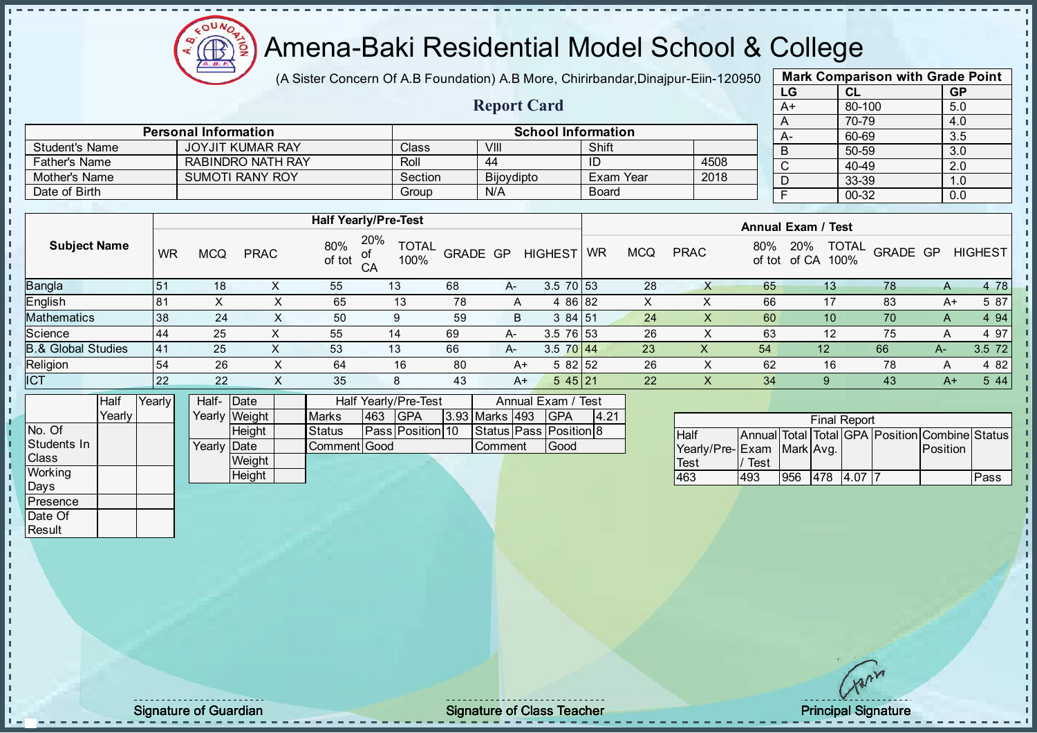

(A Sister Concern Of A.B Foundation) A.B More, Chirirbandar, Dinajpur-Eiin-120950

Report Card

| <b>Mark Comparison with Grade Point</b> |           |           |  |  |  |  |  |  |  |
|-----------------------------------------|-----------|-----------|--|--|--|--|--|--|--|
| LG                                      | <b>CL</b> | <b>GP</b> |  |  |  |  |  |  |  |
| $A+$                                    | 80-100    | 5.0       |  |  |  |  |  |  |  |
| A                                       | 70-79     | 4.0       |  |  |  |  |  |  |  |
| $A -$                                   | 60-69     | 3.5       |  |  |  |  |  |  |  |
| B                                       | 50-59     | 3.0       |  |  |  |  |  |  |  |
| C                                       | 40-49     | 2.0       |  |  |  |  |  |  |  |
| D                                       | 33-39     | 1.0       |  |  |  |  |  |  |  |
| F                                       | 00-32     | 0.0       |  |  |  |  |  |  |  |
|                                         |           |           |  |  |  |  |  |  |  |

|                       | <b>Personal Information</b> |              |            | <b>School Information</b> |      |
|-----------------------|-----------------------------|--------------|------------|---------------------------|------|
| <b>Student's Name</b> | JOYJIT KUMAR RAY            | <b>Class</b> | VIII       | Shift                     |      |
| <b>Father's Name</b>  | RABINDRO NATH RAY           | Roll         | 44         | ID                        | 4508 |
| Mother's Name         | <b>SUMOTI RANY ROY</b>      | Section      | Bijoydipto | Exam Year                 | 2018 |
| Date of Birth         |                             | Group        | N/A        | <b>Board</b>              |      |

|                               |     | <b>Half Yearly/Pre-Test</b> |             | <b>Annual Exam / Test</b> |                                                   |          |    |                |           |            |             |     |                                             |          |      |                |
|-------------------------------|-----|-----------------------------|-------------|---------------------------|---------------------------------------------------|----------|----|----------------|-----------|------------|-------------|-----|---------------------------------------------|----------|------|----------------|
| <b>Subject Name</b>           | WR  | <b>MCQ</b>                  | <b>PRAC</b> | 80%<br>of tot             | 20%<br><b>TOTAL</b><br>of<br>100%<br>$C^{\Delta}$ | GRADE GP |    | <b>HIGHEST</b> | <b>WR</b> | <b>MCQ</b> | <b>PRAC</b> | 80% | <b>TOTAL</b><br>20%<br>100%<br>of tot of CA | GRADE GP |      | <b>HIGHEST</b> |
| Bangla                        | 151 | 18                          |             | 55                        | 13                                                | 68       | A- | $3.5$ 70 $53$  |           | 28         | X           | 65  | 13 <sup>°</sup>                             | 78       | A    | 4 78           |
| English                       | 181 | X                           | X           | 65                        | 13                                                | 78       | A  | 4 86 82        |           | X          |             | 66  | 17                                          | 83       | A+   | 5 87           |
| Mathematics                   | 38  | 24                          |             | 50                        | 9                                                 | 59       | B  | 384 51         |           | 24         |             | 60  | 10 <sup>°</sup>                             | 70       | A    | 4 9 4          |
| Science                       | 144 | 25                          |             | 55                        | 14                                                | 69       | A- | 3.5 76 53      |           | 26         |             | 63  | 12                                          | 75       | A    | 4 97           |
| <b>B.&amp; Global Studies</b> | 41  | 25                          |             | 53                        | 13                                                | 66       | A- | 3.5 70 44      |           | 23         | X           | 54  | 12                                          | 66       | A-   | 3.5 72         |
| Religion                      | 54  | 26                          |             | 64                        | 16                                                | 80       | A+ | 582 52         |           | 26         | X           | 62  | 16                                          | 78       | A    | 4 8 2          |
| ICT                           | 22  | 22                          | х           | 35                        | 8                                                 | 43       | A+ | 545 21         |           | 22         | X           | 34  | 9                                           | 43       | $A+$ | 5 4 4          |
|                               |     |                             |             |                           |                                                   |          |    |                |           |            |             |     |                                             |          |      |                |

|                | Half            | <b>Yearly</b> | Half- Date           |               |              |     | Half Yearly/Pre-Test    |  | Annual Exam / Test |  |                        |      |
|----------------|-----------------|---------------|----------------------|---------------|--------------|-----|-------------------------|--|--------------------|--|------------------------|------|
|                | Yearlv <b>I</b> |               |                      | Yearly Weight | <b>Marks</b> | 463 | <b>IGPA</b>             |  | 3.93 Marks 493     |  | <b>IGPA</b>            | 4.21 |
| INo. Of        |                 |               |                      | <b>Height</b> | Status       |     | <b>Pass Position 10</b> |  |                    |  | Status Pass Position 8 |      |
| Students In    |                 |               | Yearly <b>I</b> Date |               | Comment Good |     |                         |  | <b>I</b> Comment   |  | <b>Good</b>            |      |
| <b>Class</b>   |                 |               |                      | Weight        |              |     |                         |  |                    |  |                        |      |
| <b>Working</b> |                 |               |                      | Height        |              |     |                         |  |                    |  |                        |      |
| Days           |                 |               |                      |               |              |     |                         |  |                    |  |                        |      |

|                           |      |     |     | <b>Final Report</b> |                                                |      |
|---------------------------|------|-----|-----|---------------------|------------------------------------------------|------|
| <b>Half</b>               |      |     |     |                     | Annual Total Total GPA Position Combine Status |      |
| Yearly/Pre-Exam Mark Avg. |      |     |     |                     | Position                                       |      |
| Test                      | Test |     |     |                     |                                                |      |
| 463                       | 493  | 956 | 478 | 4.07                |                                                | Pass |

**Presence** Date Of **Result** 

h J.  $\begin{bmatrix} 1 \\ 1 \\ 1 \end{bmatrix}$  $\mathbf{I}$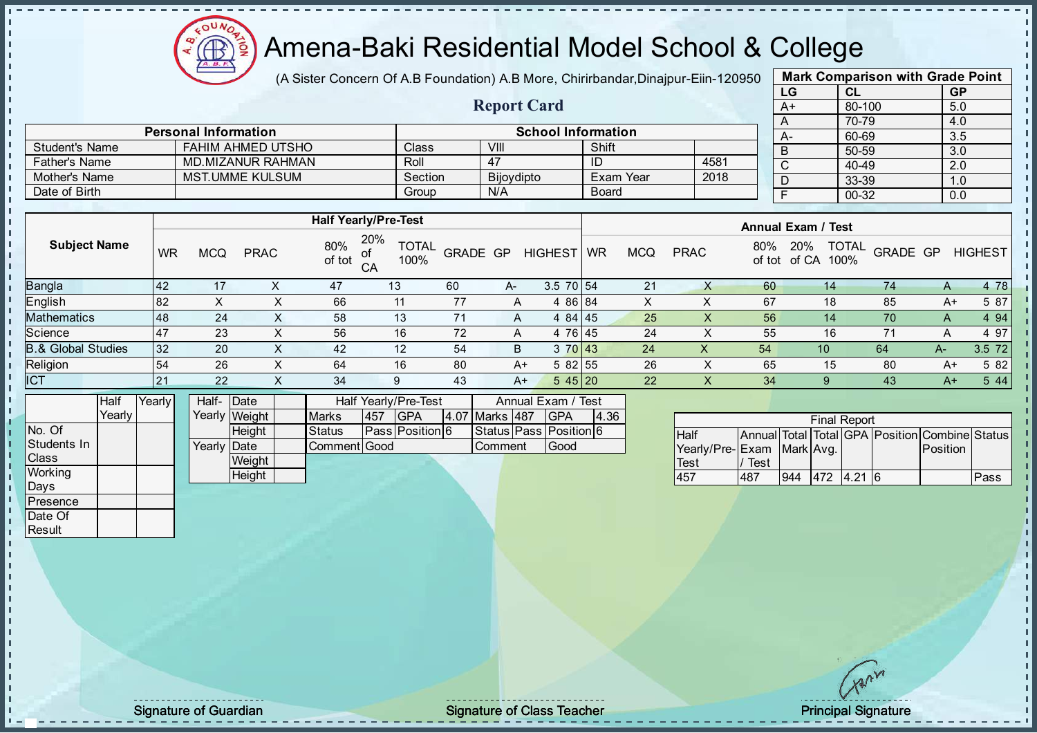

(A Sister Concern Of A.B Foundation) A.B More, Chirirbandar, Dinajpur-Eiin-120950

Report Card

| <b>Mark Comparison with Grade Point</b> |           |           |  |  |  |  |  |  |  |
|-----------------------------------------|-----------|-----------|--|--|--|--|--|--|--|
| LG                                      | <b>CL</b> | <b>GP</b> |  |  |  |  |  |  |  |
| $A+$                                    | 80-100    | 5.0       |  |  |  |  |  |  |  |
| A                                       | 70-79     | 4.0       |  |  |  |  |  |  |  |
|                                         | 60-69     | 3.5       |  |  |  |  |  |  |  |
| B                                       | 50-59     | 3.0       |  |  |  |  |  |  |  |
| $\mathsf{C}$                            | 40-49     | 2.0       |  |  |  |  |  |  |  |
|                                         | 33-39     | 1.0       |  |  |  |  |  |  |  |
| F                                       | 00-32     | 0.0       |  |  |  |  |  |  |  |
|                                         |           |           |  |  |  |  |  |  |  |

|                      | <b>Personal Information</b> |         | <b>School Information</b> |              |      | $A-$ |
|----------------------|-----------------------------|---------|---------------------------|--------------|------|------|
| Student's Name       | FAHIM AHMED UTSHO           | Class   | VIII                      | Shift        |      |      |
| <b>Father's Name</b> | MD.MIZANUR RAHMAN           | Roll    | 47                        | ID           | 4581 |      |
| Mother's Name        | MST.UMME KULSUM             | Section | <b>Bijoydipto</b>         | Exam Year    | 2018 |      |
| Date of Birth        |                             | Group   | N/A                       | <b>Board</b> |      |      |

|                               |    |     |             |               | <b>Half Yearly/Pre-Test</b> |          |       |                | <b>Annual Exam / Test</b> |            |             |               |                                      |          |      |                |
|-------------------------------|----|-----|-------------|---------------|-----------------------------|----------|-------|----------------|---------------------------|------------|-------------|---------------|--------------------------------------|----------|------|----------------|
| <b>Subject Name</b>           | WR | MCQ | <b>PRAC</b> | 80%<br>of tot | 20%<br><b>TOTAL</b><br>100% | GRADE GP |       | <b>HIGHEST</b> | <b>WR</b>                 | <b>MCQ</b> | <b>PRAC</b> | 80%<br>of tot | <b>TOTAL</b><br>20%<br>of CA<br>100% | GRADE GP |      | <b>HIGHEST</b> |
| <b>Bangla</b>                 | 42 | 17  |             | 47            | 13                          | 60       | $A -$ | $3.5$ 70 54    |                           | 21         |             | 60            | 14                                   | 74       | A    | 4 78           |
| English                       | 82 | ⌒   | $\sim$      | 66            | 11                          | 77       | A     | 4 86 84        |                           | x          |             | 67            | 18                                   | 85       | A+   | 5 87           |
| <b>Mathematics</b>            | 48 | 24  | $\sim$      | 58            | 13                          | 71       | A     | 4 84 45        |                           | 25         | X           | 56            | 14                                   | 70       | A    | 4 9 4          |
| Science                       | 47 | 23  | $\sim$      | 56            | 16                          | 72       | A     | 4 76 45        |                           | 24         | ⋏           | 55            | 16                                   |          |      | 4 97           |
| <b>B.&amp; Global Studies</b> | 32 | 20  | X           | 42            | 12                          | 54       | B.    | 3 70 43        |                           | 24         | Χ           | 54            | 10                                   | 64       | A-   | 3.5 72         |
| Religion                      | 54 | 26  | X           | 64            | 16                          | 80       | A+    | 5 82 55        |                           | 26         | X           | 65            | 15                                   | 80       | $A+$ | 5 82           |
| <b>ICT</b>                    | 21 | 22  |             | 34            | 9                           | 43       | A+    | 545 20         |                           | 22         | X           | 34            |                                      | 43       | $A+$ | 5 4 4          |
|                               |    |     |             |               |                             |          |       |                |                           |            |             |               |                                      |          |      |                |

|                | Half     | <b>Yearly</b> | Half- Date  |               |              |     | Half Yearly/Pre-Test |                | Annual Exam / Test     |      |
|----------------|----------|---------------|-------------|---------------|--------------|-----|----------------------|----------------|------------------------|------|
|                | Yearlv l |               |             | Yearly Weight | <b>Marks</b> | 457 | <b>IGPA</b>          | 4.07 Marks 487 | <b>IGPA</b>            | 4.36 |
| No. Of         |          |               |             | <b>Height</b> | Status       |     | Pass Position 6      |                | Status Pass Position 6 |      |
| Students In    |          |               | Yearly Date |               | Comment Good |     |                      | Comment        | Good                   |      |
| <b>Class</b>   |          |               |             | Weight        |              |     |                      |                |                        |      |
| <b>Working</b> |          |               |             | Height        |              |     |                      |                |                        |      |
| Days           |          |               |             |               |              |     |                      |                |                        |      |

|                           |      |     | <b>Final Report</b> |                                                |      |
|---------------------------|------|-----|---------------------|------------------------------------------------|------|
| <b>Half</b>               |      |     |                     | Annual Total Total GPA Position Combine Status |      |
| Yearly/Pre-Exam Mark Avg. |      |     |                     | Position                                       |      |
| Test                      | Test |     |                     |                                                |      |
| 457                       | 487  | 944 | 472 4.21 6          |                                                | Pass |

**Presence** Date Of **Result** 

J. T. J. i.  $\blacksquare$ 

Signature of Guardian The Signature of Class Teacher Principal Signature of Guardian Principal Signature of Class Teacher Principal Signature of Class Teacher Principal Signature of Class Teacher Principal Signature of Cla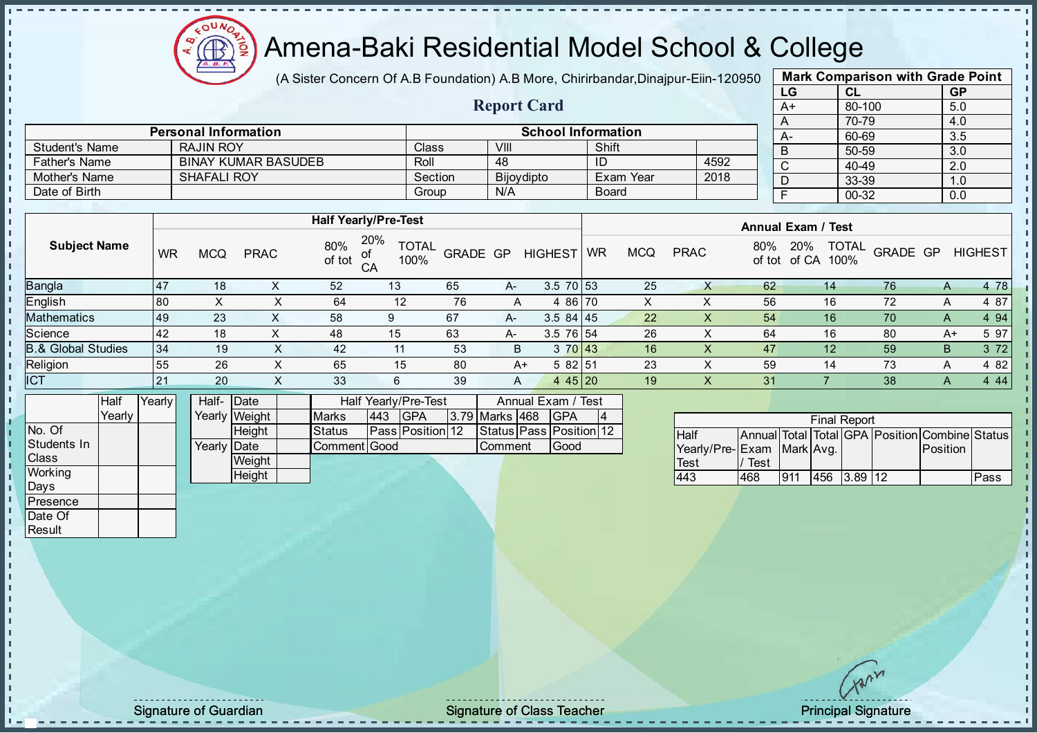

(A Sister Concern Of A.B Foundation) A.B More, Chirirbandar, Dinajpur-Eiin-120950

Report Card

| <b>Mark Comparison with Grade Point</b> |        |           |  |  |  |  |  |  |  |  |
|-----------------------------------------|--------|-----------|--|--|--|--|--|--|--|--|
| LG                                      | CL     | <b>GP</b> |  |  |  |  |  |  |  |  |
| $A+$                                    | 80-100 | 5.0       |  |  |  |  |  |  |  |  |
| A                                       | 70-79  | 4.0       |  |  |  |  |  |  |  |  |
| A-                                      | 60-69  | 3.5       |  |  |  |  |  |  |  |  |
| B                                       | 50-59  | 3.0       |  |  |  |  |  |  |  |  |
| $\mathsf{C}$                            | 40-49  | 2.0       |  |  |  |  |  |  |  |  |
| D                                       | 33-39  | 1.0       |  |  |  |  |  |  |  |  |
| F                                       | 00-32  | 0.0       |  |  |  |  |  |  |  |  |
|                                         |        |           |  |  |  |  |  |  |  |  |

|                      | <b>Personal Information</b> |              | <b>School Information</b> |              |      |
|----------------------|-----------------------------|--------------|---------------------------|--------------|------|
| Student's Name       | RAJIN ROY                   | <b>Class</b> | VIII                      | Shift        |      |
| <b>Father's Name</b> | <b>BINAY KUMAR BASUDEB</b>  | Roll         | 48                        | ID           | 4592 |
| Mother's Name        | <b>SHAFALI ROY</b>          | Section      | Bijoydipto                | Exam Year    | 2018 |
| Date of Birth        |                             | Group        | N/A                       | <b>Board</b> |      |

|                               |           |     |             |               | <b>Half Yearly/Pre-Test</b>       |          |      |                |    |            |             |               | <b>Annual Exam / Test</b>            |                 |              |                |
|-------------------------------|-----------|-----|-------------|---------------|-----------------------------------|----------|------|----------------|----|------------|-------------|---------------|--------------------------------------|-----------------|--------------|----------------|
| <b>Subject Name</b>           | <b>WR</b> | MCQ | <b>PRAC</b> | 80%<br>of tot | 20%<br><b>TOTAL</b><br>100%<br>CA | GRADE GP |      | <b>HIGHEST</b> | WR | <b>MCQ</b> | <b>PRAC</b> | 80%<br>of tot | <b>TOTAL</b><br>20%<br>100%<br>of CA | <b>GRADE GP</b> |              | <b>HIGHEST</b> |
| Bangla                        | 47        | 18  | ^           | 52            | 13                                | 65       | $A-$ | $3.5$ 70 53    |    | 25         |             | 62            | 14                                   | 76              | $\mathsf{A}$ | 4 78           |
| English                       | 80        | ∧   | х           | 64            | 12                                | 76       | A    | 4 86 70        |    | X          |             | 56            | 16                                   | 72              | A            | 4 87           |
| <b>Mathematics</b>            | <b>49</b> | 23  | X.          | 58            | 9                                 | 67       | A-   | $3.584$   45   |    | 22         |             | 54            | 16                                   | 70              | A            | 4 9 4          |
| Science                       | 42        | 18  |             | 48            | 15                                | 63       | $A-$ | 3.5 76 54      |    | 26         |             | 64            | 16                                   | 80              |              | 5 97<br>$A+$   |
| <b>B.&amp; Global Studies</b> | 134       | 19  | X           | 42            | 11                                | 53       | B    | 3 70 43        |    | 16         | v           | 47            | 12                                   | 59              | B            | 3 7 2          |
| Religion                      | 55        | 26  | х           | 65            | 15                                | 80       | A+   | 5 82 51        |    | 23         |             | 59            | 14                                   | 73              | A            | 4 8 2          |
| ICT                           | 21        | 20  | X           | 33            | 6                                 | 39       | A    | 4 4 5 2 0      |    | 19         | X           | 31            |                                      | 38              | A            | 4 4 4          |
|                               |           |     |             |               |                                   |          |      |                |    |            |             |               |                                      |                 |              |                |

|                  | Half   | Yearly | Half- Date  |               |               |     | Half Yearly/Pre-Test |                | Annual Exam / Test            |  |
|------------------|--------|--------|-------------|---------------|---------------|-----|----------------------|----------------|-------------------------------|--|
|                  | Yearlv |        |             | Yearly Weight | <b>Marks</b>  | 443 | IGPA                 | 3.79 Marks 468 | <b>IGPA</b>                   |  |
| No. Of           |        |        |             | Height        | <b>Status</b> |     | Pass Position 12     |                | Status   Pass   Position   12 |  |
| Students In      |        |        | Yearly Date |               | Comment Good  |     |                      | Comment        | Good                          |  |
| <b>Class</b>     |        |        |             | Weight        |               |     |                      |                |                               |  |
| Working          |        |        |             | Height        |               |     |                      |                |                               |  |
| Davs             |        |        |             |               |               |     |                      |                |                               |  |
| <b>IPresence</b> |        |        |             |               |               |     |                      |                |                               |  |

|                           |      |     | <b>Final Report</b> |                                                |      |
|---------------------------|------|-----|---------------------|------------------------------------------------|------|
| <b>Half</b>               |      |     |                     | Annual Total Total GPA Position Combine Status |      |
| Yearly/Pre-Exam Mark Avg. |      |     |                     | Position                                       |      |
| <b>Test</b>               | Test |     |                     |                                                |      |
| 443                       | 468  | 911 | 456 3.89 12         |                                                | Pass |

Date Of **Result** 

J. J. J.  $\overline{1}$  $\mathbf{r}$  $\mathbf{I}$